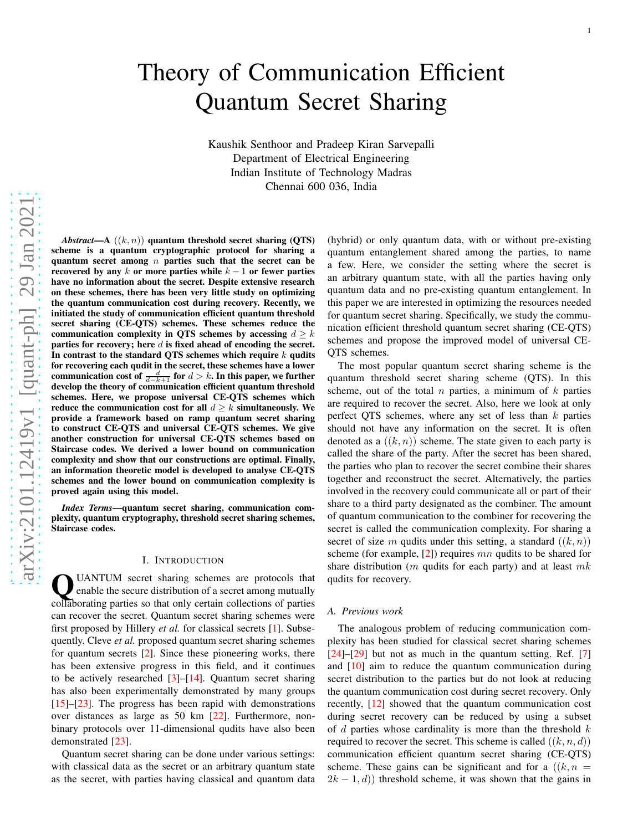# Theory of Communication Efficient Quantum Secret Sharing

Kaushik Senthoor and Pradeep Kiran Sarvepalli Department of Electrical Engineering Indian Institute of Technology Madras Chennai 600 036, India

*Abstract*—A  $((k, n))$  quantum threshold secret sharing  $(OTS)$ scheme is a quantum cryptographic protocol for sharing a quantum secret among  $n$  parties such that the secret can be recovered by any k or more parties while  $k - 1$  or fewer parties have no information about the secret. Despite extensive research on these schemes, there has been very little study on optimizing the quantum communication cost during recovery. Recently, we initiated the study of communication efficient quantum threshold secret sharing (CE-QTS) schemes. These schemes reduce the communication complexity in QTS schemes by accessing  $d \geq k$ parties for recovery; here  $d$  is fixed ahead of encoding the secret. In contrast to the standard QTS schemes which require  $k$  qudits for recovering each qudit in the secret, these schemes have a lower communication cost of  $\frac{d}{d-k+1}$  for  $d > k$ . In this paper, we further develop the theory of communication efficient quantum threshold schemes. Here, we propose universal CE-QTS schemes which reduce the communication cost for all  $d \geq k$  simultaneously. We provide a framework based on ramp quantum secret sharing to construct CE-QTS and universal CE-QTS schemes. We give another construction for universal CE-QTS schemes based on Staircase codes. We derived a lower bound on communication complexity and show that our constructions are optimal. Finally, an information theoretic model is developed to analyse CE-QTS schemes and the lower bound on communication complexity is proved again using this model.

*Index Terms*—quantum secret sharing, communication complexity, quantum cryptography, threshold secret sharing schemes, Staircase codes.

#### I. INTRODUCTION

UANTUM secret sharing schemes are protocols that enable the secure distribution of a secret among mutually collaborating parties so that only certain collections of parties UANTUM secret sharing schemes are protocols that enable the secure distribution of a secret among mutually can recover the secret. Quantum secret sharing schemes were first proposed by Hillery *et al.* for classical secrets [\[1\]](#page-21-0). Subsequently, Cleve *et al.* proposed quantum secret sharing schemes for quantum secrets [\[2\]](#page-21-1). Since these pioneering works, there has been extensive progress in this field, and it continues to be actively researched  $[3]-[14]$  $[3]-[14]$ . Quantum secret sharing has also been experimentally demonstrated by many groups [\[15\]](#page-21-4)–[\[23\]](#page-22-0). The progress has been rapid with demonstrations over distances as large as 50 km [\[22\]](#page-21-5). Furthermore, nonbinary protocols over 11-dimensional qudits have also been demonstrated [\[23\]](#page-22-0).

Quantum secret sharing can be done under various settings: with classical data as the secret or an arbitrary quantum state as the secret, with parties having classical and quantum data

(hybrid) or only quantum data, with or without pre-existing quantum entanglement shared among the parties, to name a few. Here, we consider the setting where the secret is an arbitrary quantum state, with all the parties having only quantum data and no pre-existing quantum entanglement. In this paper we are interested in optimizing the resources needed for quantum secret sharing. Specifically, we study the communication efficient threshold quantum secret sharing (CE-QTS) schemes and propose the improved model of universal CE-QTS schemes.

The most popular quantum secret sharing scheme is the quantum threshold secret sharing scheme (QTS). In this scheme, out of the total  $n$  parties, a minimum of  $k$  parties are required to recover the secret. Also, here we look at only perfect QTS schemes, where any set of less than  $k$  parties should not have any information on the secret. It is often denoted as a  $((k, n))$  scheme. The state given to each party is called the share of the party. After the secret has been shared, the parties who plan to recover the secret combine their shares together and reconstruct the secret. Alternatively, the parties involved in the recovery could communicate all or part of their share to a third party designated as the combiner. The amount of quantum communication to the combiner for recovering the secret is called the communication complexity. For sharing a secret of size m qudits under this setting, a standard  $((k, n))$ scheme (for example,  $[2]$ ) requires mn qudits to be shared for share distribution ( $m$  qudits for each party) and at least  $mk$ qudits for recovery.

#### *A. Previous work*

The analogous problem of reducing communication complexity has been studied for classical secret sharing schemes  $[24]-[29]$  $[24]-[29]$  $[24]-[29]$  but not as much in the quantum setting. Ref. [\[7\]](#page-21-6) and [\[10\]](#page-21-7) aim to reduce the quantum communication during secret distribution to the parties but do not look at reducing the quantum communication cost during secret recovery. Only recently, [\[12\]](#page-21-8) showed that the quantum communication cost during secret recovery can be reduced by using a subset of  $d$  parties whose cardinality is more than the threshold  $k$ required to recover the secret. This scheme is called  $((k, n, d))$ communication efficient quantum secret sharing (CE-QTS) scheme. These gains can be significant and for a  $((k, n =$  $2k - 1, d$ ) threshold scheme, it was shown that the gains in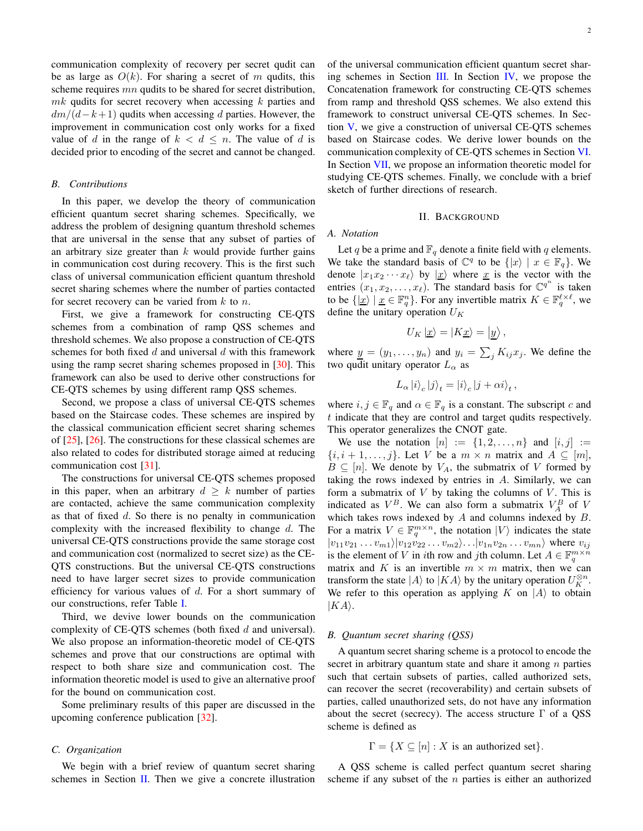communication complexity of recovery per secret qudit can be as large as  $O(k)$ . For sharing a secret of m qudits, this scheme requires mn qudits to be shared for secret distribution,  $mk$  qudits for secret recovery when accessing  $k$  parties and  $dm/(d-k+1)$  qudits when accessing d parties. However, the improvement in communication cost only works for a fixed value of d in the range of  $k < d \leq n$ . The value of d is decided prior to encoding of the secret and cannot be changed.

### *B. Contributions*

In this paper, we develop the theory of communication efficient quantum secret sharing schemes. Specifically, we address the problem of designing quantum threshold schemes that are universal in the sense that any subset of parties of an arbitrary size greater than  $k$  would provide further gains in communication cost during recovery. This is the first such class of universal communication efficient quantum threshold secret sharing schemes where the number of parties contacted for secret recovery can be varied from  $k$  to  $n$ .

First, we give a framework for constructing CE-QTS schemes from a combination of ramp QSS schemes and threshold schemes. We also propose a construction of CE-QTS schemes for both fixed  $d$  and universal  $d$  with this framework using the ramp secret sharing schemes proposed in [\[30\]](#page-22-3). This framework can also be used to derive other constructions for CE-QTS schemes by using different ramp QSS schemes.

Second, we propose a class of universal CE-QTS schemes based on the Staircase codes. These schemes are inspired by the classical communication efficient secret sharing schemes of [\[25\]](#page-22-4), [\[26\]](#page-22-5). The constructions for these classical schemes are also related to codes for distributed storage aimed at reducing communication cost [\[31\]](#page-22-6).

The constructions for universal CE-QTS schemes proposed in this paper, when an arbitrary  $d \geq k$  number of parties are contacted, achieve the same communication complexity as that of fixed  $d$ . So there is no penalty in communication complexity with the increased flexibility to change d. The universal CE-QTS constructions provide the same storage cost and communication cost (normalized to secret size) as the CE-QTS constructions. But the universal CE-QTS constructions need to have larger secret sizes to provide communication efficiency for various values of  $d$ . For a short summary of our constructions, refer Table [I.](#page-2-0)

Third, we devive lower bounds on the communication complexity of CE-QTS schemes (both fixed  $d$  and universal). We also propose an information-theoretic model of CE-QTS schemes and prove that our constructions are optimal with respect to both share size and communication cost. The information theoretic model is used to give an alternative proof for the bound on communication cost.

Some preliminary results of this paper are discussed in the upcoming conference publication [\[32\]](#page-22-7).

#### *C. Organization*

We begin with a brief review of quantum secret sharing schemes in Section [II.](#page-1-0) Then we give a concrete illustration of the universal communication efficient quantum secret shar-ing schemes in Section [III.](#page-5-0) In Section [IV,](#page-7-0) we propose the Concatenation framework for constructing CE-QTS schemes from ramp and threshold QSS schemes. We also extend this framework to construct universal CE-QTS schemes. In Section [V,](#page-11-0) we give a construction of universal CE-QTS schemes based on Staircase codes. We derive lower bounds on the communication complexity of CE-QTS schemes in Section [VI.](#page-14-0) In Section [VII,](#page-16-0) we propose an information theoretic model for studying CE-QTS schemes. Finally, we conclude with a brief sketch of further directions of research.

#### II. BACKGROUND

### <span id="page-1-0"></span>*A. Notation*

Let q be a prime and  $\mathbb{F}_q$  denote a finite field with q elements. We take the standard basis of  $\mathbb{C}^q$  to be  $\{|x\rangle | x \in \mathbb{F}_q\}$ . We denote  $|x_1x_2 \cdots x_\ell\rangle$  by  $|x\rangle$  where x is the vector with the entries  $(x_1, x_2, \ldots, x_\ell)$ . The standard basis for  $\mathbb{C}^{q^n}$  is taken to be  $\{|\underline{x}\rangle \mid \underline{x} \in \mathbb{F}_q^n\}$ . For any invertible matrix  $K \in \mathbb{F}_q^{\ell \times \ell}$ , we define the unitary operation  $U_K$ 

$$
U_K \left| \underline{x} \right\rangle = \left| K \underline{x} \right\rangle = \left| \underline{y} \right\rangle,
$$

where  $\underline{y} = (y_1, \dots, y_n)$  and  $y_i = \sum_j K_{ij} x_j$ . We define the two qudit unitary operator  $L_{\alpha}$  as

$$
L_{\alpha} |i\rangle_c |j\rangle_t = |i\rangle_c |j + \alpha i\rangle_t ,
$$

where  $i, j \in \mathbb{F}_q$  and  $\alpha \in \mathbb{F}_q$  is a constant. The subscript c and t indicate that they are control and target qudits respectively. This operator generalizes the CNOT gate.

We use the notation  $[n] := \{1, 2, ..., n\}$  and  $[i, j] :=$  $\{i, i+1, \ldots, j\}$ . Let V be a  $m \times n$  matrix and  $A \subseteq [m]$ ,  $B \subseteq [n]$ . We denote by  $V_A$ , the submatrix of V formed by taking the rows indexed by entries in A. Similarly, we can form a submatrix of  $V$  by taking the columns of  $V$ . This is indicated as  $V^B$ . We can also form a submatrix  $V^B_A$  of V which takes rows indexed by  $A$  and columns indexed by  $B$ . For a matrix  $V \in \mathbb{F}_q^{m \times n}$ , the notation  $|V\rangle$  indicates the state  $|v_{11}v_{21} \dots v_{m1} \rangle |v_{12}v_{22} \dots v_{m2} \rangle \dots |v_{1n}v_{2n} \dots v_{mn} \rangle$  where  $v_{ij}$ is the element of V in *i*th row and *j*th column. Let  $A \in \mathbb{F}_q^{m \times n}$ matrix and K is an invertible  $m \times m$  matrix, then we can transform the state  $|A\rangle$  to  $|KA\rangle$  by the unitary operation  $U_K^{\otimes n}$ . We refer to this operation as applying K on  $|A\rangle$  to obtain  $|KA\rangle.$ 

#### *B. Quantum secret sharing (QSS)*

A quantum secret sharing scheme is a protocol to encode the secret in arbitrary quantum state and share it among  $n$  parties such that certain subsets of parties, called authorized sets, can recover the secret (recoverability) and certain subsets of parties, called unauthorized sets, do not have any information about the secret (secrecy). The access structure  $\Gamma$  of a QSS scheme is defined as

 $\Gamma = \{X \subseteq [n] : X \text{ is an authorized set}\}.$ 

A QSS scheme is called perfect quantum secret sharing scheme if any subset of the  $n$  parties is either an authorized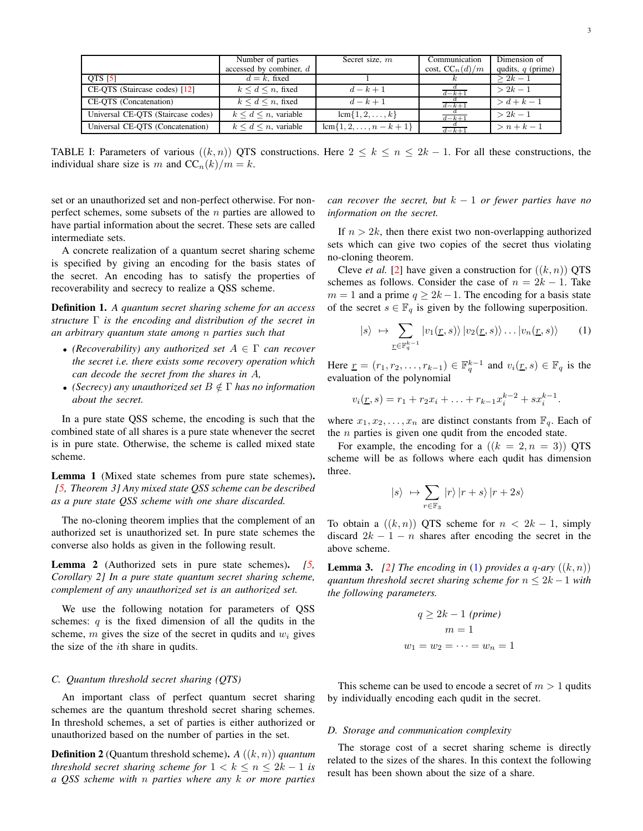|  | ۰. |
|--|----|
|  |    |

<span id="page-2-0"></span>

|                                    | Number of parties            | Secret size, m             | Communication      | Dimension of        |
|------------------------------------|------------------------------|----------------------------|--------------------|---------------------|
|                                    | accessed by combiner, d      |                            | cost, $CC_n(d)/m$  | qudits, $q$ (prime) |
| QTS [5]                            | $d = k$ , fixed              |                            |                    | $> 2k - 1$          |
| CE-QTS (Staircase codes) [12]      | $k \leq d \leq n$ , fixed    | $d-k+1$                    | $d-k+1$            | $> 2k - 1$          |
| CE-QTS (Concatenation)             | $k \leq d \leq n$ , fixed    | $d-k+1$                    | $\overline{d-k+1}$ | $> d + k - 1$       |
| Universal CE-QTS (Staircase codes) | $k \leq d \leq n$ , variable | $lcm\{1, 2, , k\}$         | $rac{d}{d-k+1}$    | $> 2k - 1$          |
| Universal CE-QTS (Concatenation)   | $k \leq d \leq n$ , variable | $lcm\{1, 2, , n - k + 1\}$ | $rac{d}{d-k+1}$    | $>n+k-1$            |

TABLE I: Parameters of various  $((k, n))$  QTS constructions. Here  $2 \le k \le n \le 2k - 1$ . For all these constructions, the individual share size is m and  $CC_n(k)/m = k$ .

set or an unauthorized set and non-perfect otherwise. For nonperfect schemes, some subsets of the  $n$  parties are allowed to have partial information about the secret. These sets are called intermediate sets.

A concrete realization of a quantum secret sharing scheme is specified by giving an encoding for the basis states of the secret. An encoding has to satisfy the properties of recoverability and secrecy to realize a QSS scheme.

Definition 1. *A quantum secret sharing scheme for an access structure* Γ *is the encoding and distribution of the secret in an arbitrary quantum state among* n *parties such that*

- *(Recoverability) any authorized set* A ∈ Γ *can recover the secret i.e. there exists some recovery operation which can decode the secret from the shares in* A*,*
- *(Secrecy) any unauthorized set* B /∈ Γ *has no information about the secret.*

In a pure state QSS scheme, the encoding is such that the combined state of all shares is a pure state whenever the secret is in pure state. Otherwise, the scheme is called mixed state scheme.

<span id="page-2-3"></span>Lemma 1 (Mixed state schemes from pure state schemes). *[\[5,](#page-21-9) Theorem 3] Any mixed state QSS scheme can be described as a pure state QSS scheme with one share discarded.*

The no-cloning theorem implies that the complement of an authorized set is unauthorized set. In pure state schemes the converse also holds as given in the following result.

<span id="page-2-4"></span>Lemma 2 (Authorized sets in pure state schemes). *[\[5,](#page-21-9) Corollary 2] In a pure state quantum secret sharing scheme, complement of any unauthorized set is an authorized set.*

We use the following notation for parameters of QSS schemes:  $q$  is the fixed dimension of all the qudits in the scheme,  $m$  gives the size of the secret in qudits and  $w_i$  gives the size of the *i*th share in qudits.

#### *C. Quantum threshold secret sharing (QTS)*

An important class of perfect quantum secret sharing schemes are the quantum threshold secret sharing schemes. In threshold schemes, a set of parties is either authorized or unauthorized based on the number of parties in the set.

Definition 2 (Quantum threshold scheme). *A* ((k, n)) *quantum threshold secret sharing scheme for*  $1 < k \le n \le 2k - 1$  *is a QSS scheme with* n *parties where any* k *or more parties* *can recover the secret, but*  $k - 1$  *or fewer parties have no information on the secret.*

If  $n > 2k$ , then there exist two non-overlapping authorized sets which can give two copies of the secret thus violating no-cloning theorem.

Cleve *et al.* [\[2\]](#page-21-1) have given a construction for  $((k, n))$  QTS schemes as follows. Consider the case of  $n = 2k - 1$ . Take  $m = 1$  and a prime  $q \ge 2k - 1$ . The encoding for a basis state of the secret  $s \in \mathbb{F}_q$  is given by the following superposition.

<span id="page-2-1"></span>
$$
|s\rangle \mapsto \sum_{\underline{r}\in\mathbb{F}_q^{k-1}} |v_1(\underline{r},s)\rangle |v_2(\underline{r},s)\rangle \dots |v_n(\underline{r},s)\rangle \qquad (1)
$$

Here  $\underline{r} = (r_1, r_2, \dots, r_{k-1}) \in \mathbb{F}_q^{k-1}$  and  $v_i(\underline{r}, s) \in \mathbb{F}_q$  is the evaluation of the polynomial

$$
v_i(\underline{r}, s) = r_1 + r_2 x_i + \ldots + r_{k-1} x_i^{k-2} + s x_i^{k-1}.
$$

where  $x_1, x_2, \ldots, x_n$  are distinct constants from  $\mathbb{F}_q$ . Each of the  $n$  parties is given one qudit from the encoded state.

For example, the encoding for a  $((k = 2, n = 3))$  QTS scheme will be as follows where each qudit has dimension three.

$$
|s\rangle \ \mapsto \sum_{r \in \mathbb{F}_3} |r\rangle \, |r+s\rangle \, |r+2s\rangle
$$

To obtain a  $((k, n))$  QTS scheme for  $n < 2k - 1$ , simply discard  $2k - 1 - n$  shares after encoding the secret in the above scheme.

<span id="page-2-2"></span>**Lemma 3.** [\[2\]](#page-21-1) The encoding in [\(1\)](#page-2-1) provides a q-ary  $((k, n))$ *quantum threshold secret sharing scheme for*  $n \leq 2k - 1$  *with the following parameters.*

$$
q \ge 2k - 1 \text{ (prime)}
$$

$$
m = 1
$$

$$
w_1 = w_2 = \dots = w_n = 1
$$

This scheme can be used to encode a secret of  $m > 1$  qudits by individually encoding each qudit in the secret.

#### *D. Storage and communication complexity*

The storage cost of a secret sharing scheme is directly related to the sizes of the shares. In this context the following result has been shown about the size of a share.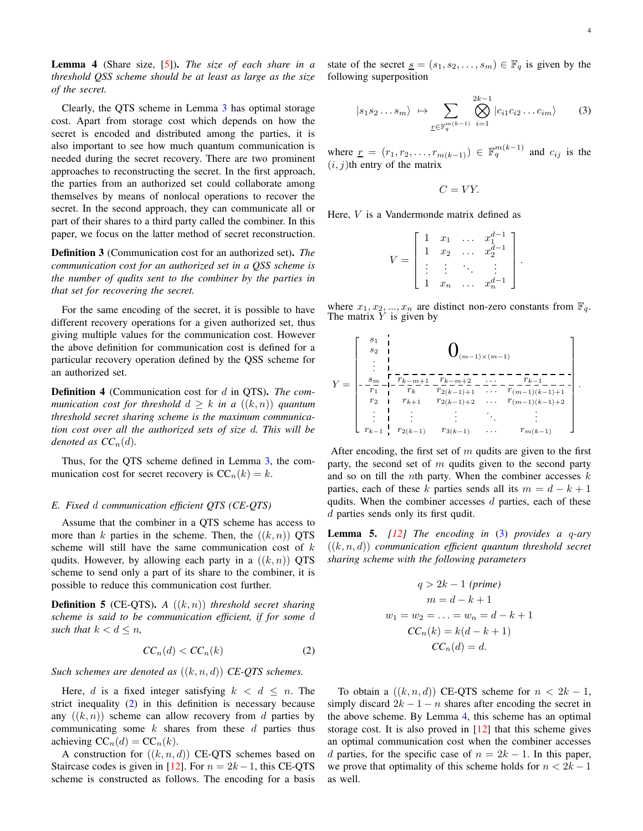<span id="page-3-2"></span>Lemma 4 (Share size, [\[5\]](#page-21-9)). *The size of each share in a threshold QSS scheme should be at least as large as the size of the secret.*

Clearly, the QTS scheme in Lemma [3](#page-2-2) has optimal storage cost. Apart from storage cost which depends on how the secret is encoded and distributed among the parties, it is also important to see how much quantum communication is needed during the secret recovery. There are two prominent approaches to reconstructing the secret. In the first approach, the parties from an authorized set could collaborate among themselves by means of nonlocal operations to recover the secret. In the second approach, they can communicate all or part of their shares to a third party called the combiner. In this paper, we focus on the latter method of secret reconstruction.

Definition 3 (Communication cost for an authorized set). *The communication cost for an authorized set in a QSS scheme is the number of qudits sent to the combiner by the parties in that set for recovering the secret.*

For the same encoding of the secret, it is possible to have different recovery operations for a given authorized set, thus giving multiple values for the communication cost. However the above definition for communication cost is defined for a particular recovery operation defined by the QSS scheme for an authorized set.

Definition 4 (Communication cost for d in QTS). *The communication cost for threshold*  $d \geq k$  *in a*  $((k, n))$  *quantum threshold secret sharing scheme is the maximum communication cost over all the authorized sets of size* d*. This will be denoted as*  $CC_n(d)$ *.* 

Thus, for the QTS scheme defined in Lemma [3,](#page-2-2) the communication cost for secret recovery is  $CC_n(k) = k$ .

#### *E. Fixed* d *communication efficient QTS (CE-QTS)*

Assume that the combiner in a QTS scheme has access to more than k parties in the scheme. Then, the  $((k, n))$  QTS scheme will still have the same communication cost of  $k$ qudits. However, by allowing each party in a  $((k, n))$  QTS scheme to send only a part of its share to the combiner, it is possible to reduce this communication cost further.

Definition 5 (CE-QTS). *A* ((k, n)) *threshold secret sharing scheme is said to be communication efficient, if for some* d *such that*  $k < d \leq n$ *,* 

$$
CC_n(d) < CC_n(k) \tag{2}
$$

*Such schemes are denoted as* ((k, n, d)) *CE-QTS schemes.*

Here, d is a fixed integer satisfying  $k < d \leq n$ . The strict inequality [\(2\)](#page-3-0) in this definition is necessary because any  $((k, n))$  scheme can allow recovery from d parties by communicating some  $k$  shares from these  $d$  parties thus achieving  $CC_n(d) = CC_n(k)$ .

A construction for  $((k, n, d))$  CE-QTS schemes based on Staircase codes is given in [\[12\]](#page-21-8). For  $n = 2k-1$ , this CE-QTS scheme is constructed as follows. The encoding for a basis state of the secret  $\underline{s} = (s_1, s_2, \dots, s_m) \in \mathbb{F}_q$  is given by the following superposition

<span id="page-3-0"></span>
$$
|s_1 s_2 \dots s_m\rangle \mapsto \sum_{\underline{r} \in \mathbb{F}_q^{m(k-1)}} \bigotimes_{i=1}^{2k-1} |c_{i1} c_{i2} \dots c_{im}\rangle \qquad (3)
$$

where  $\underline{r} = (r_1, r_2, \dots, r_{m(k-1)}) \in \mathbb{F}_q^{m(k-1)}$  and  $c_{ij}$  is the  $(i, j)$ th entry of the matrix

$$
C=VY.
$$

Here, V is a Vandermonde matrix defined as

$$
V = \begin{bmatrix} 1 & x_1 & \dots & x_1^{d-1} \\ 1 & x_2 & \dots & x_2^{d-1} \\ \vdots & \vdots & \ddots & \vdots \\ 1 & x_n & \dots & x_n^{d-1} \end{bmatrix}.
$$

where  $x_1, x_2, ..., x_n$  are distinct non-zero constants from  $\mathbb{F}_q$ . The matrix  $Y$  is given by

<span id="page-3-1"></span>Y = s1 s2 . . . 0(m−1)×(m−1) s<sup>m</sup> r<sup>k</sup>−m+1 r<sup>k</sup>−m+2 . . . r<sup>k</sup>−<sup>1</sup> r1 r2 . . . r<sup>k</sup>−<sup>1</sup> r<sup>k</sup> r2(k−1)+1 . . . r(m−1)(k−1)+1 r<sup>k</sup>+1 r2(k−1)+2 . . . r(m−1)(k−1)+2 . . . . . . . . . . . . r2(k−1) r3(k−1) . . . r<sup>m</sup>(k−1) .

After encoding, the first set of  $m$  qudits are given to the first party, the second set of  $m$  qudits given to the second party and so on till the *n*th party. When the combiner accesses  $k$ parties, each of these k parties sends all its  $m = d - k + 1$ qudits. When the combiner accesses  $d$  parties, each of these d parties sends only its first qudit.

Lemma 5. *[\[12\]](#page-21-8) The encoding in* [\(3\)](#page-3-1) *provides a* q*-ary*  $((k, n, d))$  *communication efficient quantum threshold secret sharing scheme with the following parameters*

$$
q > 2k - 1 \text{ (prime)}
$$
  
\n
$$
m = d - k + 1
$$
  
\n
$$
w_1 = w_2 = \dots = w_n = d - k + 1
$$
  
\n
$$
CC_n(k) = k(d - k + 1)
$$
  
\n
$$
CC_n(d) = d.
$$

To obtain a  $((k, n, d))$  CE-QTS scheme for  $n < 2k - 1$ , simply discard  $2k - 1 - n$  shares after encoding the secret in the above scheme. By Lemma [4,](#page-3-2) this scheme has an optimal storage cost. It is also proved in [\[12\]](#page-21-8) that this scheme gives an optimal communication cost when the combiner accesses d parties, for the specific case of  $n = 2k - 1$ . In this paper, we prove that optimality of this scheme holds for  $n < 2k - 1$ as well.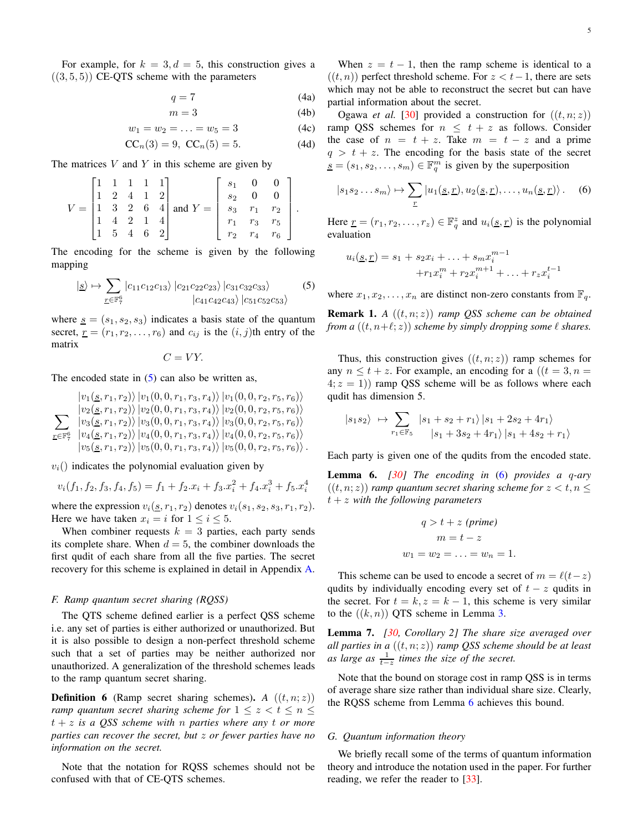For example, for  $k = 3, d = 5$ , this construction gives a  $((3, 5, 5))$  CE-QTS scheme with the parameters

$$
q = 7 \tag{4a}
$$

$$
m = 3 \tag{4b}
$$

$$
w_1 = w_2 = \ldots = w_5 = 3 \tag{4c}
$$

$$
CC_n(3) = 9, CC_n(5) = 5.
$$
 (4d)

The matrices  $V$  and  $Y$  in this scheme are given by

$$
V = \begin{bmatrix} 1 & 1 & 1 & 1 & 1 \\ 1 & 2 & 4 & 1 & 2 \\ 1 & 3 & 2 & 6 & 4 \\ 1 & 4 & 2 & 1 & 4 \\ 1 & 5 & 4 & 6 & 2 \end{bmatrix} \text{ and } Y = \begin{bmatrix} s_1 & 0 & 0 \\ s_2 & 0 & 0 \\ s_3 & r_1 & r_2 \\ r_1 & r_3 & r_5 \\ r_2 & r_4 & r_6 \end{bmatrix}.
$$

The encoding for the scheme is given by the following mapping

<span id="page-4-3"></span>
$$
|g \rangle \mapsto \sum_{\underline{r} \in \mathbb{F}_7^6} |c_{11}c_{12}c_{13}\rangle |c_{21}c_{22}c_{23}\rangle |c_{31}c_{32}c_{33}\rangle
$$
 (5) 
$$
|c_{41}c_{42}c_{43}\rangle |c_{51}c_{52}c_{53}\rangle
$$

where  $s = (s_1, s_2, s_3)$  indicates a basis state of the quantum secret,  $r = (r_1, r_2, \dots, r_6)$  and  $c_{ij}$  is the  $(i, j)$ th entry of the matrix

 $C = VY$ .

The encoded state in  $(5)$  can also be written as,

$$
\sum_{r \in \mathbb{F}_7^6} \frac{|v_1(\underline{s}, r_1, r_2)\rangle |v_1(0, 0, r_1, r_3, r_4)\rangle |v_1(0, 0, r_2, r_5, r_6)\rangle}{|v_2(\underline{s}, r_1, r_2)\rangle |v_2(0, 0, r_1, r_3, r_4)\rangle |v_2(0, 0, r_2, r_5, r_6)\rangle}
$$
\n
$$
\sum_{r \in \mathbb{F}_7^6} \frac{|v_3(\underline{s}, r_1, r_2)\rangle |v_3(0, 0, r_1, r_3, r_4)\rangle |v_3(0, 0, r_2, r_5, r_6)\rangle}{|v_4(\underline{s}, r_1, r_2)\rangle |v_4(0, 0, r_1, r_3, r_4)\rangle |v_4(0, 0, r_2, r_5, r_6)\rangle}
$$
\n
$$
|v_5(\underline{s}, r_1, r_2)\rangle |v_5(0, 0, r_1, r_3, r_4)\rangle |v_5(0, 0, r_2, r_5, r_6)\rangle.
$$

 $v_i$ () indicates the polynomial evaluation given by

$$
v_i(f_1, f_2, f_3, f_4, f_5) = f_1 + f_2 \cdot x_i + f_3 \cdot x_i^2 + f_4 \cdot x_i^3 + f_5 \cdot x_i^4
$$

where the expression  $v_i(\underline{s}, r_1, r_2)$  denotes  $v_i(s_1, s_2, s_3, r_1, r_2)$ . Here we have taken  $x_i = i$  for  $1 \le i \le 5$ .

When combiner requests  $k = 3$  parties, each party sends its complete share. When  $d = 5$ , the combiner downloads the first qudit of each share from all the five parties. The secret recovery for this scheme is explained in detail in Appendix [A.](#page-18-0)

#### *F. Ramp quantum secret sharing (RQSS)*

The QTS scheme defined earlier is a perfect QSS scheme i.e. any set of parties is either authorized or unauthorized. But it is also possible to design a non-perfect threshold scheme such that a set of parties may be neither authorized nor unauthorized. A generalization of the threshold schemes leads to the ramp quantum secret sharing.

**Definition 6** (Ramp secret sharing schemes). *A*  $((t, n; z))$ *ramp quantum secret sharing scheme for*  $1 \leq z < t \leq n \leq$ t + z *is a QSS scheme with* n *parties where any* t *or more parties can recover the secret, but* z *or fewer parties have no information on the secret.*

Note that the notation for RQSS schemes should not be confused with that of CE-QTS schemes.

When  $z = t - 1$ , then the ramp scheme is identical to a  $((t, n))$  perfect threshold scheme. For  $z < t-1$ , there are sets which may not be able to reconstruct the secret but can have partial information about the secret.

Ogawa *et al.* [\[30\]](#page-22-3) provided a construction for  $((t, n; z))$ ramp QSS schemes for  $n \leq t + z$  as follows. Consider the case of  $n = t + z$ . Take  $m = t - z$  and a prime  $q > t + z$ . The encoding for the basis state of the secret  $\underline{s} = (s_1, s_2, \dots, s_m) \in \mathbb{F}_q^m$  is given by the superposition

<span id="page-4-0"></span>
$$
|s_1s_2...s_m\rangle \mapsto \sum_{\underline{r}} |u_1(\underline{s},\underline{r}), u_2(\underline{s},\underline{r}),..., u_n(\underline{s},\underline{r})\rangle. \quad (6)
$$

Here  $\underline{r} = (r_1, r_2, \dots, r_z) \in \mathbb{F}_q^z$  and  $u_i(\underline{s}, \underline{r})$  is the polynomial evaluation

$$
u_i(\underline{s}, \underline{r}) = s_1 + s_2 x_i + \dots + s_m x_i^{m-1}
$$
  
+
$$
r_1 x_i^m + r_2 x_i^{m+1} + \dots + r_z x_i^{t-1}
$$

where  $x_1, x_2, \ldots, x_n$  are distinct non-zero constants from  $\mathbb{F}_q$ .

<span id="page-4-4"></span>Remark 1. *A* ((t, n; z)) *ramp QSS scheme can be obtained from a*  $((t, n+\ell; z))$  *scheme by simply dropping some*  $\ell$  *shares.* 

Thus, this construction gives  $((t, n; z))$  ramp schemes for any  $n \le t + z$ . For example, an encoding for a  $((t = 3, n =$  $(4; z = 1)$  ramp QSS scheme will be as follows where each qudit has dimension 5.

<span id="page-4-1"></span>
$$
|s_1 s_2\rangle \rightarrow \sum_{r_1 \in \mathbb{F}_5} |s_1 + s_2 + r_1\rangle |s_1 + 2s_2 + 4r_1\rangle
$$
  
 $|s_1 + 3s_2 + 4r_1\rangle |s_1 + 4s_2 + r_1\rangle$ 

Each party is given one of the qudits from the encoded state.

<span id="page-4-2"></span>Lemma 6. *[\[30\]](#page-22-3) The encoding in* [\(6\)](#page-4-1) *provides a* q*-ary*  $((t, n; z))$  *ramp quantum secret sharing scheme for*  $z < t, n \leq z$ t + z *with the following parameters*

$$
q > t + z (prime)
$$

$$
m = t - z
$$

$$
w_1 = w_2 = \dots = w_n = 1.
$$

This scheme can be used to encode a secret of  $m = \ell(t-z)$ qudits by individually encoding every set of  $t - z$  qudits in the secret. For  $t = k, z = k - 1$ , this scheme is very similar to the  $((k, n))$  QTS scheme in Lemma [3.](#page-2-2)

<span id="page-4-5"></span>Lemma 7. *[\[30,](#page-22-3) Corollary 2] The share size averaged over all parties in a* ((t, n; z)) *ramp QSS scheme should be at least* as large as  $\frac{1}{t-z}$  times the size of the secret.

Note that the bound on storage cost in ramp QSS is in terms of average share size rather than individual share size. Clearly, the RQSS scheme from Lemma [6](#page-4-2) achieves this bound.

#### *G. Quantum information theory*

We briefly recall some of the terms of quantum information theory and introduce the notation used in the paper. For further reading, we refer the reader to [\[33\]](#page-22-8).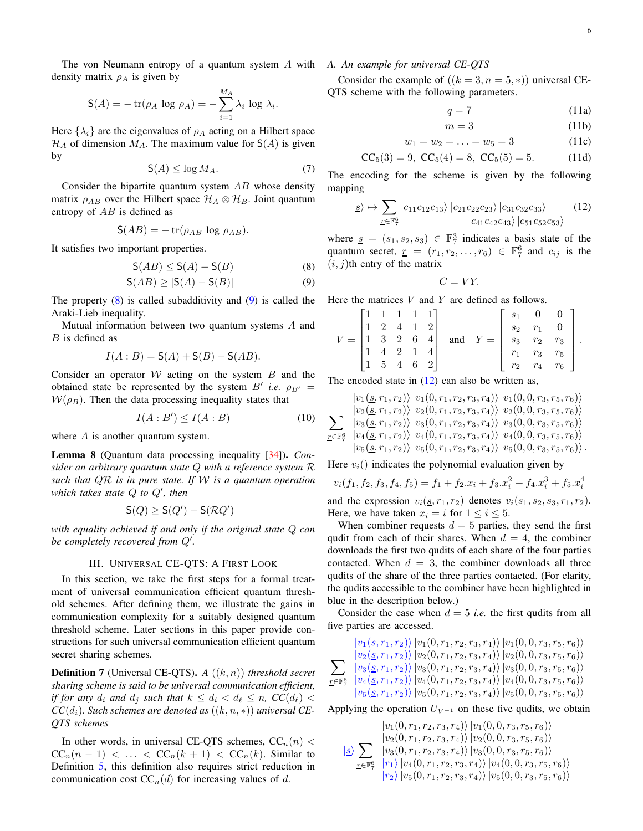The von Neumann entropy of a quantum system A with *A. An example for universal CE-QTS* density matrix  $\rho_A$  is given by

$$
\mathsf{S}(A) = -\operatorname{tr}(\rho_A \log \rho_A) = -\sum_{i=1}^{M_A} \lambda_i \log \lambda_i.
$$

Here  $\{\lambda_i\}$  are the eigenvalues of  $\rho_A$  acting on a Hilbert space  $\mathcal{H}_A$  of dimension  $M_A$ . The maximum value for  $S(A)$  is given by

$$
\mathsf{S}(A) \le \log M_A. \tag{7}
$$

Consider the bipartite quantum system  $AB$  whose density matrix  $\rho_{AB}$  over the Hilbert space  $\mathcal{H}_A \otimes \mathcal{H}_B$ . Joint quantum entropy of AB is defined as

$$
S(AB) = -\operatorname{tr}(\rho_{AB} \log \rho_{AB}).
$$

It satisfies two important properties.

<span id="page-5-3"></span>
$$
\mathsf{S}(AB) \le \mathsf{S}(A) + \mathsf{S}(B) \tag{8}
$$

$$
\mathsf{S}(AB) \ge |\mathsf{S}(A) - \mathsf{S}(B)|\tag{9}
$$

The property  $(8)$  is called subadditivity and  $(9)$  is called the Araki-Lieb inequality.

Mutual information between two quantum systems A and B is defined as

$$
I(A:B) = S(A) + S(B) - S(AB).
$$

Consider an operator  $W$  acting on the system  $B$  and the obtained state be represented by the system  $B'$  *i.e.*  $\rho_{B'} =$  $W(\rho_B)$ . Then the data processing inequality states that

$$
I(A:B') \le I(A:B) \tag{10}
$$

where  $A$  is another quantum system.

Lemma 8 (Quantum data processing inequality [\[34\]](#page-22-9)). *Consider an arbitrary quantum state* Q *with a reference system* R *such that* QR *is in pure state. If* W *is a quantum operation which takes state* Q *to* Q′ *, then*

$$
\mathsf{S}(Q) \geq \mathsf{S}(Q') - \mathsf{S}(\mathcal{R}Q')
$$

<span id="page-5-0"></span>*with equality achieved if and only if the original state* Q *can be completely recovered from* Q′ *.*

#### III. UNIVERSAL CE-QTS: A FIRST LOOK

In this section, we take the first steps for a formal treatment of universal communication efficient quantum threshold schemes. After defining them, we illustrate the gains in communication complexity for a suitably designed quantum threshold scheme. Later sections in this paper provide constructions for such universal communication efficient quantum secret sharing schemes.

Definition 7 (Universal CE-QTS). *A* ((k, n)) *threshold secret sharing scheme is said to be universal communication efficient, if for any*  $d_i$  *and*  $d_j$  *such that*  $k \leq d_i < d_\ell \leq n$ ,  $CC(d_\ell)$  $CC(d_i)$ *. Such schemes are denoted as*  $((k, n, *)$ *) universal CE-QTS schemes*

In other words, in universal CE-QTS schemes,  $CC_n(n)$  <  $CC_n(n-1) < \ldots < CC_n(k+1) < CC_n(k)$ . Similar to Definition [5,](#page-3-0) this definition also requires strict reduction in communication cost  $CC_n(d)$  for increasing values of d.

Consider the example of  $((k = 3, n = 5, *)$  universal CE-QTS scheme with the following parameters.

$$
q = 7 \tag{11a}
$$

$$
m = 3 \tag{11b}
$$

$$
w_1 = w_2 = \ldots = w_5 = 3 \tag{11c}
$$

$$
CC_5(3) = 9, CC_5(4) = 8, CC_5(5) = 5.
$$
 (11d)

The encoding for the scheme is given by the following mapping

$$
|s\rangle \mapsto \sum_{\underline{r} \in \mathbb{F}_7^6} |c_{11}c_{12}c_{13}\rangle |c_{21}c_{22}c_{23}\rangle |c_{31}c_{32}c_{33}\rangle \qquad (12)
$$
  

$$
|c_{41}c_{42}c_{43}\rangle |c_{51}c_{52}c_{53}\rangle
$$

<span id="page-5-1"></span>where  $s = (s_1, s_2, s_3) \in \mathbb{F}_7^3$  indicates a basis state of the quantum secret,  $\underline{r} = (r_1, r_2, \dots, r_6) \in \mathbb{F}_7^6$  and  $c_{ij}$  is the  $(i, j)$ th entry of the matrix

$$
C=VY.
$$

<span id="page-5-2"></span>Here the matrices  $V$  and  $Y$  are defined as follows.

|           | 1 1            |                | $\begin{bmatrix} 1 & 1 \end{bmatrix}$ |                |     |       | $s_1$ 0        |             | $\overline{0}$ |  |
|-----------|----------------|----------------|---------------------------------------|----------------|-----|-------|----------------|-------------|----------------|--|
|           | $\overline{2}$ | $\overline{A}$ | $\overline{1}$                        | $-21$          |     |       |                | $s_2$ $r_1$ | $\bf{0}$       |  |
| $V =  1 $ | -3             | $\overline{2}$ | $\,6\,$                               | 4 <sup>1</sup> | and | $Y =$ |                | $s_3$ $r_2$ | $r_3$  .       |  |
|           |                | ാ              |                                       |                |     |       | $r_1$          | $r_3$       | $r_5$          |  |
|           | - 5            |                | - 6                                   | 2              |     |       | r <sub>2</sub> | $r_4$       | $r_6$          |  |

The encoded state in  $(12)$  can also be written as,

$$
\sum_{r \in \mathbb{F}_7^6} \frac{|v_1(s, r_1, r_2)\rangle |v_1(0, r_1, r_2, r_3, r_4)\rangle |v_1(0, 0, r_3, r_5, r_6)\rangle}{|v_2(s, r_1, r_2)\rangle |v_2(0, r_1, r_2, r_3, r_4)\rangle |v_2(0, 0, r_3, r_5, r_6)\rangle}
$$
  

$$
\sum_{r \in \mathbb{F}_7^6} \frac{|v_3(s, r_1, r_2)\rangle |v_3(0, r_1, r_2, r_3, r_4)\rangle |v_3(0, 0, r_3, r_5, r_6)\rangle}{|v_4(s, r_1, r_2)\rangle |v_4(0, r_1, r_2, r_3, r_4)\rangle |v_4(0, 0, r_3, r_5, r_6)\rangle}
$$
  

$$
|v_5(s, r_1, r_2)\rangle |v_5(0, r_1, r_2, r_3, r_4)\rangle |v_5(0, 0, r_3, r_5, r_6)\rangle.
$$

Here  $v_i$ () indicates the polynomial evaluation given by

$$
v_i(f_1, f_2, f_3, f_4, f_5) = f_1 + f_2 \cdot x_i + f_3 \cdot x_i^2 + f_4 \cdot x_i^3 + f_5 \cdot x_i^4
$$

and the expression  $v_i(\underline{s}, r_1, r_2)$  denotes  $v_i(s_1, s_2, s_3, r_1, r_2)$ . Here, we have taken  $x_i = i$  for  $1 \le i \le 5$ .

When combiner requests  $d = 5$  parties, they send the first qudit from each of their shares. When  $d = 4$ , the combiner downloads the first two qudits of each share of the four parties contacted. When  $d = 3$ , the combiner downloads all three qudits of the share of the three parties contacted. (For clarity, the qudits accessible to the combiner have been highlighted in blue in the description below.)

Consider the case when  $d = 5$  *i.e.* the first qudits from all five parties are accessed.

$$
\sum_{r \in \mathbb{F}_7^6} \frac{\left| v_1(s, r_1, r_2) \right\rangle \left| v_1(0, r_1, r_2, r_3, r_4) \right\rangle \left| v_1(0, 0, r_3, r_5, r_6) \right\rangle}{\left| v_2(s, r_1, r_2) \right\rangle \left| v_2(0, r_1, r_2, r_3, r_4) \right\rangle \left| v_2(0, 0, r_3, r_5, r_6) \right\rangle} \n\sum_{r \in \mathbb{F}_7^6} \frac{\left| v_3(s, r_1, r_2) \right\rangle \left| v_3(0, r_1, r_2, r_3, r_4) \right\rangle \left| v_3(0, 0, r_3, r_5, r_6) \right\rangle}{\left| v_4(s, r_1, r_2) \right\rangle \left| v_4(0, r_1, r_2, r_3, r_4) \right\rangle \left| v_4(0, 0, r_3, r_5, r_6) \right\rangle} \n\left| v_5(s, r_1, r_2) \right\rangle \left| v_5(0, r_1, r_2, r_3, r_4) \right\rangle \left| v_5(0, 0, r_3, r_5, r_6) \right\rangle
$$

Applying the operation  $U_{V^{-1}}$  on these five qudits, we obtain

$$
\frac{|v_1(0, r_1, r_2, r_3, r_4)\rangle |v_1(0, 0, r_3, r_5, r_6)\rangle}{|v_2(0, r_1, r_2, r_3, r_4)\rangle |v_2(0, 0, r_3, r_5, r_6)\rangle}
$$
  

$$
\frac{|\mathbf{S}\rangle}{\mathbf{S}} \sum_{\mathbf{r} \in \mathbb{F}_7^6} \frac{|v_3(0, r_1, r_2, r_3, r_4)\rangle |v_3(0, 0, r_3, r_5, r_6)\rangle}{|r_1\rangle |v_4(0, r_1, r_2, r_3, r_4)\rangle |v_4(0, 0, r_3, r_5, r_6)\rangle}
$$
  

$$
\frac{|r_2\rangle |v_5(0, r_1, r_2, r_3, r_4)\rangle |v_5(0, 0, r_3, r_5, r_6)\rangle}{|v_5(0, 0, r_3, r_5, r_6)\rangle}
$$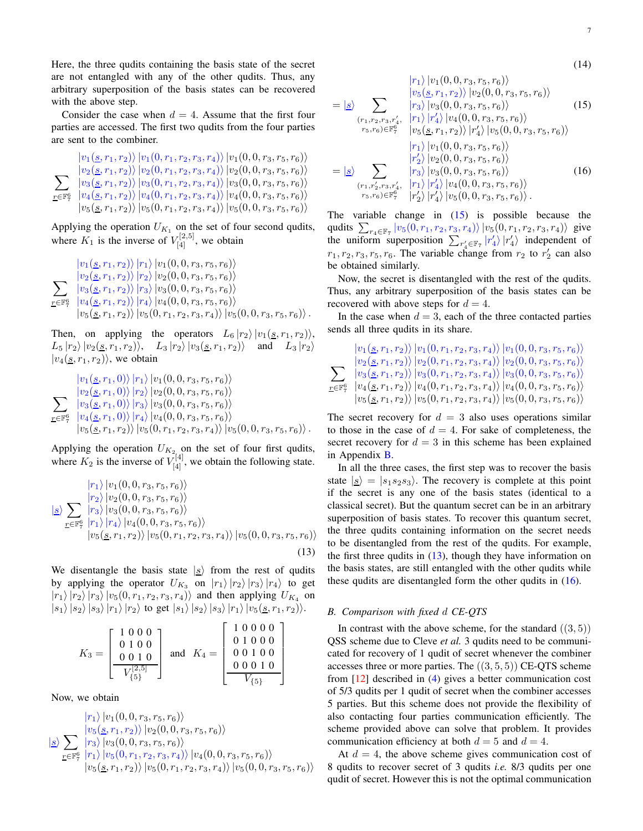Here, the three qudits containing the basis state of the secret are not entangled with any of the other qudits. Thus, any arbitrary superposition of the basis states can be recovered with the above step.

Consider the case when  $d = 4$ . Assume that the first four parties are accessed. The first two qudits from the four parties are sent to the combiner.

 $\sum$  $r$ ∈F $\frac{6}{7}$  $|v_1(\underline{s}, r_1, r_2)\rangle |v_1(0, r_1, r_2, r_3, r_4)\rangle |v_1(0, 0, r_3, r_5, r_6)\rangle$  $|v_2(\underline{s}, r_1, r_2)\rangle\, |v_2(0, r_1, r_2, r_3, r_4)\rangle\, |v_2(0, 0, r_3, r_5, r_6)\rangle$  $|v_3(\underline{s}, r_1, r_2)\rangle |v_3(0, r_1, r_2, r_3, r_4)\rangle |v_3(0, 0, r_3, r_5, r_6)\rangle$  $|v_4(\underline{s}, r_1, r_2)\rangle |v_4(0, r_1, r_2, r_3, r_4)\rangle |v_4(0, 0, r_3, r_5, r_6)\rangle$  $|v_5(\underline{s}, r_1, r_2)\rangle |v_5(0, r_1, r_2, r_3, r_4)\rangle |v_5(0, 0, r_3, r_5, r_6)\rangle$ 

Applying the operation  $U_{K_1}$  on the set of four second qudits, where  $K_1$  is the inverse of  $V_{[4]}^{[2,5]}$ , we obtain

<span id="page-6-0"></span>
$$
\sum_{r \in \mathbb{F}_7^6} \frac{|v_1(s, r_1, r_2)\rangle |r_1\rangle |v_1(0, 0, r_3, r_5, r_6)\rangle}{|v_2(s, r_1, r_2)\rangle |r_2\rangle |v_2(0, 0, r_3, r_5, r_6)\rangle}
$$
  

$$
\sum_{r \in \mathbb{F}_7^6} \frac{|v_3(s, r_1, r_2)\rangle |r_3\rangle |v_3(0, 0, r_3, r_5, r_6)\rangle}{|v_4(s, r_1, r_2)\rangle |r_4\rangle |v_4(0, 0, r_3, r_5, r_6)\rangle}
$$
  

$$
|v_5(s, r_1, r_2)\rangle |v_5(0, r_1, r_2, r_3, r_4)\rangle |v_5(0, 0, r_3, r_5, r_6)\rangle.
$$

Then, on applying the operators  $L_6 |r_2\rangle |v_1(\underline{s}, r_1, r_2)\rangle$ ,  $L_5 |r_2\rangle |v_2(\underline{s}, r_1, r_2)\rangle$ ,  $L_3 |r_2\rangle |v_3(\underline{s}, r_1, r_2)\rangle$  and  $L_3 |r_2\rangle$  $|v_4(\underline{s}, r_1, r_2)\rangle$ , we obtain

$$
\frac{\left|v_{1}(\underline{s},r_{1},0)\right\rangle\left|r_{1}\right\rangle\left|v_{1}(0,0,r_{3},r_{5},r_{6})\right\rangle}{\sum_{\underline{r}\in\mathbb{F}_{p}^{6}}\left|\frac{v_{2}(\underline{s},r_{1},0)\right\rangle\left|r_{2}\right\rangle\left|v_{2}(0,0,r_{3},r_{5},r_{6})\right\rangle}{\left|v_{3}(\underline{s},r_{1},0)\right\rangle\left|r_{3}\right\rangle\left|v_{3}(0,0,r_{3},r_{5},r_{6})\right\rangle}
$$
\n
$$
\frac{v_{\pm}(\underline{s},r_{1},0)\right\rangle\left|r_{4}\right\rangle\left|v_{4}(0,0,r_{3},r_{5},r_{6})\right\rangle}{\left|v_{5}(\underline{s},r_{1},r_{2})\right\rangle\left|v_{5}(0,r_{1},r_{2},r_{3},r_{4})\right\rangle\left|v_{5}(0,0,r_{3},r_{5},r_{6})\right\rangle}.
$$

Applying the operation  $U_{K_2}$  on the set of four first qudits, where  $K_2$  is the inverse of  $V_{[4]}^{[4]}$ , we obtain the following state.

$$
\frac{|r_1\rangle|v_1(0,0,r_3,r_5,r_6)\rangle}{\frac{|r_2\rangle|v_2(0,0,r_3,r_5,r_6)\rangle}{\frac{|r_3\rangle|v_3(0,0,r_3,r_5,r_6)\rangle}{\frac{|r_1\rangle|r_4\rangle|v_4(0,0,r_3,r_5,r_6)\rangle}}}
$$
  

$$
\frac{|v_5(s,r_1,r_2)|v_5(0,r_1,r_2,r_3,r_4)\rangle|v_5(0,0,r_3,r_5,r_6)\rangle}
$$

(13)

We disentangle the basis state  $|s\rangle$  from the rest of qudits by applying the operator  $U_{K_3}$  on  $|r_1\rangle |r_2\rangle |r_3\rangle |r_4\rangle$  to get  $|r_1\rangle |r_2\rangle |r_3\rangle |v_5(0, r_1, r_2, r_3, r_4\rangle)$  and then applying  $U_{K_4}$  on  $|s_1\rangle |s_2\rangle |s_3\rangle |r_1\rangle |r_2\rangle$  to get  $|s_1\rangle |s_2\rangle |s_3\rangle |r_1\rangle |v_5(\underline{s}, r_1, r_2)\rangle.$ 

$$
K_3 = \begin{bmatrix} 1 & 0 & 0 & 0 \\ 0 & 1 & 0 & 0 \\ 0 & 0 & 1 & 0 \\ \hline V_{\{5\}}^{[2,5]} \end{bmatrix} \text{ and } K_4 = \begin{bmatrix} 1 & 0 & 0 & 0 & 0 \\ 0 & 1 & 0 & 0 & 0 \\ 0 & 0 & 1 & 0 & 0 \\ \hline 0 & 0 & 0 & 1 & 0 \\ \hline V_{\{5\}} \end{bmatrix}
$$

Now, we obtain

$$
\frac{|r_1\rangle|v_1(0, 0, r_3, r_5, r_6)\rangle}{\frac{|v_5(\underline{s}, r_1, r_2)\rangle|v_2(0, 0, r_3, r_5, r_6)\rangle}{\frac{|r_3\rangle|v_3(0, 0, r_3, r_5, r_6)\rangle}}}
$$
  
\n
$$
\frac{|\underline{s}\rangle}{\frac{r_5|\mathbb{F}_7^6|r_1\rangle|v_5(0, r_1, r_2, r_3, r_4)\rangle|v_4(0, 0, r_3, r_5, r_6)\rangle}{|v_5(\underline{s}, r_1, r_2)\rangle|v_5(0, r_1, r_2, r_3, r_4)\rangle|v_5(0, 0, r_3, r_5, r_6)\rangle}
$$

<span id="page-6-3"></span><span id="page-6-1"></span>(14)

<span id="page-6-2"></span>
$$
= |\underline{s}\rangle \sum_{(r_1, r_2, r_3, r'_4, \atop r_1, r'_2 \leq r_3, r'_4, \atop r_2, r'_3, r'_4, \atop r_3, r'_4, \atop r_4, r'_2 \leq r_4, r'_3 \leq r_5, r_6)})
$$
(15)  

$$
= |\underline{s}\rangle \sum_{(r_1, r_2, r_3, r'_4, \atop r_5, r_6) \in \mathbb{F}_7^6} \frac{|r_3\rangle |v_3(0, 0, r_3, r_5, r_6)\rangle}{|v_4\rangle |v_4(0, 0, r_3, r_5, r_6)\rangle}
$$
  

$$
= |\underline{s}\rangle \sum_{(r_1, r'_2, r_3, r'_4, \atop r_1, r'_1 \leq r'_1 \leq r'_2 \leq r_5, r_6) \times r_5, r_6 \leq r_5, r_6 \leq r_5, r_6 \leq r_5, r_6 \leq r_5, r_6 \leq r_5, r_6 \leq r_5, r_6 \leq r_5, r_6 \leq r_5, r_6 \leq r_5, r_6 \leq r_5, r_6 \leq r_5, r_6 \leq r_5, r_6 \leq r_5, r_6 \leq r_5, r_6 \leq r_5, r_6 \leq r_5, r_6 \leq r_5, r_6 \leq r_5, r_6 \leq r_5, r_6 \leq r_5, r_6 \leq r_5, r_6 \leq r_5, r_6 \leq r_5, r_6 \leq r_5, r_6 \leq r_5, r_6 \leq r_5, r_6 \leq r_5, r_6 \leq r_5, r_6 \leq r_5, r_6 \leq r_5, r_6 \leq r_5, r_6 \leq r_5, r_6 \leq r_5, r_6 \leq r_5, r_6 \leq r_5, r_6 \leq r_5, r_6 \leq r_5, r_6 \leq r_5, r_6 \leq r_5, r_6 \leq r_5, r_6 \leq r_5, r_6 \leq r_5, r_6 \leq r_5, r_6 \leq r_5, r_6 \leq r_5, r_6 \leq r
$$

The variable change in  $(15)$  is possible because the qudits  $\sum_{r_4 \in \mathbb{F}_7} |v_5(0, r_1, r_2, r_3, r_4)\rangle |v_5(0, r_1, r_2, r_3, r_4)\rangle$  give the uniform superposition  $\sum_{r'_4 \in \mathbb{F}_7} |r'_4\rangle |r'_4\rangle$  independent of  $r_1, r_2, r_3, r_5, r_6$ . The variable change from  $r_2$  to  $r'_2$  can also be obtained similarly.

Now, the secret is disentangled with the rest of the qudits. Thus, any arbitrary superposition of the basis states can be recovered with above steps for  $d = 4$ .

In the case when  $d = 3$ , each of the three contacted parties sends all three qudits in its share.

 $\sum$  $r$ ∈F $^{6}$ 7  $|v_1(\underline{s}, r_1, r_2)\rangle |v_1(0, r_1, r_2, r_3, r_4)\rangle |v_1(0, 0, r_3, r_5, r_6)\rangle$  $|v_2(\underline{s}, r_1, r_2)\rangle |v_2(0, r_1, r_2, r_3, r_4)\rangle |v_2(0, 0, r_3, r_5, r_6)\rangle$  $|v_3(\underline{s}, r_1, r_2)\rangle \, |v_3(0, r_1, r_2, r_3, r_4)\rangle \, |v_3(0, 0, r_3, r_5, r_6)\rangle$  $|v_4(\underline{s}, r_1, r_2)\rangle |v_4(0, r_1, r_2, r_3, r_4)\rangle |v_4(0, 0, r_3, r_5, r_6)\rangle$  $|v_5(\underline{s}, r_1, r_2)\rangle\, |v_5(0, r_1, r_2, r_3, r_4)\rangle\, |v_5(0, 0, r_3, r_5, r_6)\rangle$ 

The secret recovery for  $d = 3$  also uses operations similar to those in the case of  $d = 4$ . For sake of completeness, the secret recovery for  $d = 3$  in this scheme has been explained in Appendix [B.](#page-20-0)

In all the three cases, the first step was to recover the basis state  $|s\rangle = |s_1 s_2 s_3\rangle$ . The recovery is complete at this point if the secret is any one of the basis states (identical to a classical secret). But the quantum secret can be in an arbitrary superposition of basis states. To recover this quantum secret, the three qudits containing information on the secret needs to be disentangled from the rest of the qudits. For example, the first three qudits in  $(13)$ , though they have information on the basis states, are still entangled with the other qudits while these qudits are disentangled form the other qudits in  $(16)$ .

# *B. Comparison with fixed* d *CE-QTS*

In contrast with the above scheme, for the standard  $((3,5))$ QSS scheme due to Cleve *et al.* 3 qudits need to be communicated for recovery of 1 qudit of secret whenever the combiner accesses three or more parties. The  $((3, 5, 5))$  CE-QTS scheme from [\[12\]](#page-21-8) described in [\(4\)](#page-4-3) gives a better communication cost of 5/3 qudits per 1 qudit of secret when the combiner accesses 5 parties. But this scheme does not provide the flexibility of also contacting four parties communication efficiently. The scheme provided above can solve that problem. It provides communication efficiency at both  $d = 5$  and  $d = 4$ .

At  $d = 4$ , the above scheme gives communication cost of 8 qudits to recover secret of 3 qudits *i.e.* 8/3 qudits per one qudit of secret. However this is not the optimal communication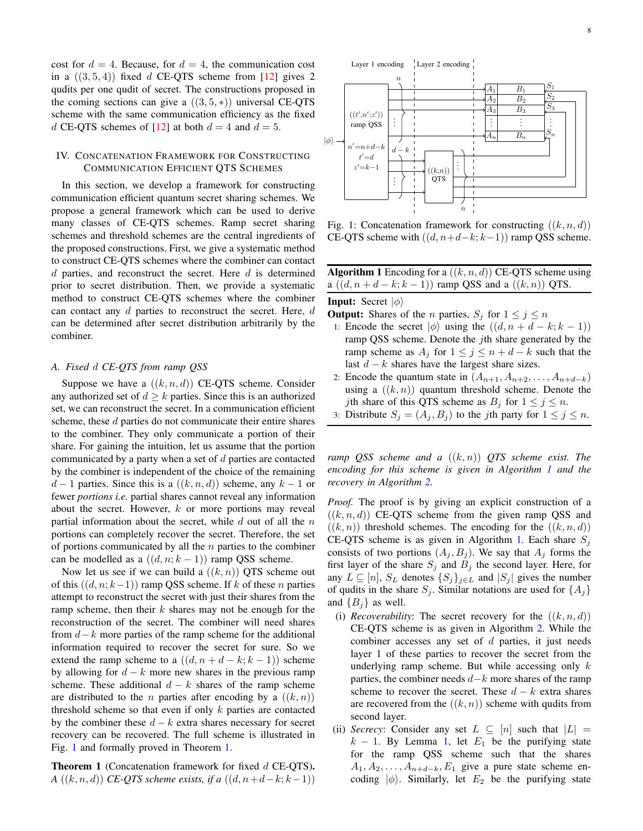cost for  $d = 4$ . Because, for  $d = 4$ , the communication cost in a  $((3,5,4))$  fixed d CE-QTS scheme from [\[12\]](#page-21-8) gives 2 qudits per one qudit of secret. The constructions proposed in the coming sections can give a  $((3, 5, *)$  universal CE-QTS scheme with the same communication efficiency as the fixed d CE-QTS schemes of [\[12\]](#page-21-8) at both  $d = 4$  and  $d = 5$ .

# <span id="page-7-0"></span>IV. CONCATENATION FRAMEWORK FOR CONSTRUCTING COMMUNICATION EFFICIENT QTS SCHEMES

In this section, we develop a framework for constructing communication efficient quantum secret sharing schemes. We propose a general framework which can be used to derive many classes of CE-QTS schemes. Ramp secret sharing schemes and threshold schemes are the central ingredients of the proposed constructions. First, we give a systematic method to construct CE-QTS schemes where the combiner can contact  $d$  parties, and reconstruct the secret. Here  $d$  is determined prior to secret distribution. Then, we provide a systematic method to construct CE-QTS schemes where the combiner can contact any  $d$  parties to reconstruct the secret. Here,  $d$ can be determined after secret distribution arbitrarily by the combiner.

#### *A. Fixed* d *CE-QTS from ramp QSS*

Suppose we have a  $((k, n, d))$  CE-QTS scheme. Consider any authorized set of  $d \geq k$  parties. Since this is an authorized set, we can reconstruct the secret. In a communication efficient scheme, these d parties do not communicate their entire shares to the combiner. They only communicate a portion of their share. For gaining the intuition, let us assume that the portion communicated by a party when a set of d parties are contacted by the combiner is independent of the choice of the remaining  $d-1$  parties. Since this is a  $((k, n, d))$  scheme, any  $k-1$  or fewer *portions i.e.* partial shares cannot reveal any information about the secret. However, k or more portions may reveal partial information about the secret, while  $d$  out of all the  $n$ portions can completely recover the secret. Therefore, the set of portions communicated by all the  $n$  parties to the combiner can be modelled as a  $((d, n; k - 1))$  ramp QSS scheme.

Now let us see if we can build a  $((k, n))$  QTS scheme out of this  $((d, n; k-1))$  ramp QSS scheme. If k of these n parties attempt to reconstruct the secret with just their shares from the ramp scheme, then their  $k$  shares may not be enough for the reconstruction of the secret. The combiner will need shares from  $d-k$  more parties of the ramp scheme for the additional information required to recover the secret for sure. So we extend the ramp scheme to a  $((d, n + d - k; k - 1))$  scheme by allowing for  $d - k$  more new shares in the previous ramp scheme. These additional  $d - k$  shares of the ramp scheme are distributed to the *n* parties after encoding by a  $((k, n))$ threshold scheme so that even if only  $k$  parties are contacted by the combiner these  $d - k$  extra shares necessary for secret recovery can be recovered. The full scheme is illustrated in Fig. [1](#page-7-1) and formally proved in Theorem [1.](#page-7-2)

<span id="page-7-2"></span>**Theorem 1** (Concatenation framework for fixed  $d$  CE-QTS). *A*  $((k, n, d))$  *CE-QTS scheme exists, if a*  $((d, n+d-k; k-1))$ 

<span id="page-7-1"></span>

Fig. 1: Concatenation framework for constructing  $((k, n, d))$ CE-QTS scheme with  $((d, n+d-k; k-1))$  ramp QSS scheme.

<span id="page-7-3"></span>

|                                                      |  | <b>Algorithm 1</b> Encoding for a $((k, n, d))$ CE-QTS scheme using |
|------------------------------------------------------|--|---------------------------------------------------------------------|
| a $((d, n+d-k; k-1))$ ramp QSS and a $((k, n))$ QTS. |  |                                                                     |

#### **Input:** Secret  $|\phi\rangle$

- **Output:** Shares of the *n* parties,  $S_j$  for  $1 \leq j \leq n$
- 1: Encode the secret  $|\phi\rangle$  using the  $((d, n + d k; k 1))$ ramp QSS scheme. Denote the *j*th share generated by the ramp scheme as  $A_j$  for  $1 \leq j \leq n+d-k$  such that the last  $d - k$  shares have the largest share sizes.
- 2: Encode the quantum state in  $(A_{n+1}, A_{n+2}, \ldots, A_{n+d-k})$ using a  $((k, n))$  quantum threshold scheme. Denote the *j*th share of this QTS scheme as  $B_j$  for  $1 \le j \le n$ .
- 3: Distribute  $S_j = (A_j, B_j)$  to the *j*th party for  $1 \le j \le n$ .

*ramp QSS scheme and a* ((k, n)) *QTS scheme exist. The encoding for this scheme is given in Algorithm [1](#page-7-3) and the recovery in Algorithm [2.](#page-8-0)*

*Proof.* The proof is by giving an explicit construction of a  $((k, n, d))$  CE-OTS scheme from the given ramp OSS and  $((k, n))$  threshold schemes. The encoding for the  $((k, n, d))$ CE-QTS scheme is as given in Algorithm [1.](#page-7-3) Each share  $S_i$ consists of two portions  $(A_j, B_j)$ . We say that  $A_j$  forms the first layer of the share  $S_j$  and  $B_j$  the second layer. Here, for any  $L \subseteq [n]$ ,  $S_L$  denotes  $\{S_j\}_{j \in L}$  and  $|S_j|$  gives the number of qudits in the share  $S_j$ . Similar notations are used for  $\{A_j\}$ and  ${B_i}$  as well.

- (i) *Recoverability*: The secret recovery for the  $((k, n, d))$ CE-QTS scheme is as given in Algorithm [2.](#page-8-0) While the combiner accesses any set of  $d$  parties, it just needs layer 1 of these parties to recover the secret from the underlying ramp scheme. But while accessing only  $k$ parties, the combiner needs  $d-k$  more shares of the ramp scheme to recover the secret. These  $d - k$  extra shares are recovered from the  $((k, n))$  scheme with qudits from second layer.
- (ii) *Secrecy*: Consider any set  $L \subseteq [n]$  such that  $|L| =$  $k - 1$ . By Lemma [1,](#page-2-3) let  $E_1$  be the purifying state for the ramp QSS scheme such that the shares  $A_1, A_2, \ldots, A_{n+d-k}, E_1$  give a pure state scheme encoding  $|\phi\rangle$ . Similarly, let  $E_2$  be the purifying state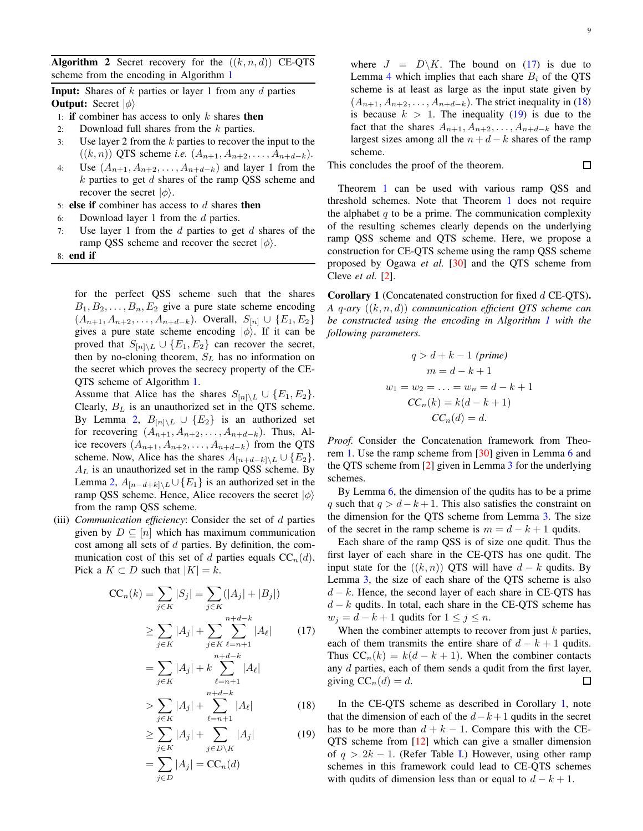<span id="page-8-0"></span>**Algorithm 2** Secret recovery for the  $((k, n, d))$  CE-QTS scheme from the encoding in Algorithm [1](#page-7-3)

**Input:** Shares of  $k$  parties or layer 1 from any  $d$  parties **Output:** Secret  $|\phi\rangle$ 

- 1: if combiner has access to only  $k$  shares then
- 2: Download full shares from the  $k$  parties.
- 3: Use layer 2 from the k parties to recover the input to the ((k, n)) QTS scheme *i.e.*  $(A_{n+1}, A_{n+2}, \ldots, A_{n+d-k}).$
- 4: Use  $(A_{n+1}, A_{n+2}, \ldots, A_{n+d-k})$  and layer 1 from the  $k$  parties to get  $d$  shares of the ramp QSS scheme and recover the secret  $|\phi\rangle$ .
- 5: else if combiner has access to  $d$  shares then
- 6: Download layer 1 from the  $d$  parties.
- 7: Use layer 1 from the  $d$  parties to get  $d$  shares of the ramp QSS scheme and recover the secret  $|\phi\rangle$ .
- 8: end if

for the perfect QSS scheme such that the shares  $B_1, B_2, \ldots, B_n, E_2$  give a pure state scheme encoding  $(A_{n+1}, A_{n+2}, \ldots, A_{n+d-k})$ . Overall,  $S_{[n]} \cup \{E_1, E_2\}$ gives a pure state scheme encoding  $|\phi\rangle$ . If it can be proved that  $S_{[n] \setminus L} \cup \{E_1, E_2\}$  can recover the secret, then by no-cloning theorem,  $S_L$  has no information on the secret which proves the secrecy property of the CE-QTS scheme of Algorithm [1.](#page-7-3)

Assume that Alice has the shares  $S_{[n] \setminus L} \cup \{E_1, E_2\}.$ Clearly,  $B_L$  is an unauthorized set in the QTS scheme. By Lemma [2,](#page-2-4)  $B_{[n] \setminus L} \cup \{E_2\}$  is an authorized set for recovering  $(A_{n+1}, A_{n+2}, \ldots, A_{n+d-k})$ . Thus, Alice recovers  $(A_{n+1}, A_{n+2}, \ldots, A_{n+d-k})$  from the QTS scheme. Now, Alice has the shares  $A_{[n+d-k]\setminus L} \cup \{E_2\}.$  $A_L$  is an unauthorized set in the ramp QSS scheme. By Lemma [2,](#page-2-4)  $A_{[n-d+k]\setminus L} \cup \{E_1\}$  is an authorized set in the ramp QSS scheme. Hence, Alice recovers the secret  $|\phi\rangle$ from the ramp QSS scheme.

(iii) *Communication efficiency*: Consider the set of d parties given by  $D \subseteq [n]$  which has maximum communication cost among all sets of  $d$  parties. By definition, the communication cost of this set of d parties equals  $CC_n(d)$ . Pick a  $K \subset D$  such that  $|K| = k$ .

$$
CC_n(k) = \sum_{j \in K} |S_j| = \sum_{j \in K} (|A_j| + |B_j|)
$$
  
\n
$$
\geq \sum_{j \in K} |A_j| + \sum_{j \in K} \sum_{\ell=n+1}^{n+d-k} |A_\ell| \qquad (17)
$$
  
\n
$$
= \sum |A_j| + k \sum_{j \in K} |A_\ell|
$$

$$
j \in K
$$
\n
$$
\ell = n+1
$$
\n
$$
n+d-k
$$

$$
> \sum_{j \in K} |A_j| + \sum_{\ell = n+1} |A_\ell| \tag{18}
$$

$$
\geq \sum_{j \in K} |A_j| + \sum_{j \in D \setminus K} |A_j| \tag{19}
$$

$$
=\sum_{j\in D}|A_j|=\mathrm{CC}_n(d)
$$

where  $J = D\backslash K$ . The bound on [\(17\)](#page-8-1) is due to Lemma [4](#page-3-2) which implies that each share  $B_i$  of the QTS scheme is at least as large as the input state given by  $(A_{n+1}, A_{n+2}, \ldots, A_{n+d-k})$ . The strict inequality in [\(18\)](#page-8-2) is because  $k > 1$ . The inequality [\(19\)](#page-10-0) is due to the fact that the shares  $A_{n+1}, A_{n+2}, \ldots, A_{n+d-k}$  have the largest sizes among all the  $n + d - k$  shares of the ramp scheme.

This concludes the proof of the theorem.

口

Theorem [1](#page-7-2) can be used with various ramp QSS and threshold schemes. Note that Theorem [1](#page-7-2) does not require the alphabet  $q$  to be a prime. The communication complexity of the resulting schemes clearly depends on the underlying ramp QSS scheme and QTS scheme. Here, we propose a construction for CE-QTS scheme using the ramp QSS scheme proposed by Ogawa *et al.* [\[30\]](#page-22-3) and the QTS scheme from Cleve *et al.* [\[2\]](#page-21-1).

<span id="page-8-3"></span>Corollary 1 (Concatenated construction for fixed d CE-QTS). *A* q*-ary* ((k, n, d)) *communication efficient QTS scheme can be constructed using the encoding in Algorithm [1](#page-7-3) with the following parameters.*

$$
q > d + k - 1 \text{ (prime)}
$$
  
\n
$$
m = d - k + 1
$$
  
\n
$$
w_1 = w_2 = \dots = w_n = d - k + 1
$$
  
\n
$$
CC_n(k) = k(d - k + 1)
$$
  
\n
$$
CC_n(d) = d.
$$

*Proof.* Consider the Concatenation framework from Theorem [1.](#page-7-2) Use the ramp scheme from [\[30\]](#page-22-3) given in Lemma [6](#page-4-2) and the QTS scheme from [\[2\]](#page-21-1) given in Lemma [3](#page-2-2) for the underlying schemes.

By Lemma [6,](#page-4-2) the dimension of the qudits has to be a prime q such that  $q > d-k+1$ . This also satisfies the constraint on the dimension for the QTS scheme from Lemma [3.](#page-2-2) The size of the secret in the ramp scheme is  $m = d - k + 1$  qudits.

Each share of the ramp QSS is of size one qudit. Thus the first layer of each share in the CE-QTS has one qudit. The input state for the  $((k, n))$  OTS will have  $d - k$  qudits. By Lemma [3,](#page-2-2) the size of each share of the QTS scheme is also  $d - k$ . Hence, the second layer of each share in CE-QTS has  $d - k$  qudits. In total, each share in the CE-QTS scheme has  $w_j = d - k + 1$  qudits for  $1 \le j \le n$ .

<span id="page-8-1"></span>When the combiner attempts to recover from just  $k$  parties, each of them transmits the entire share of  $d - k + 1$  qudits. Thus  $CC_n(k) = k(d - k + 1)$ . When the combiner contacts any  $d$  parties, each of them sends a qudit from the first layer, giving  $CC_n(d) = d$ . 口

<span id="page-8-2"></span>In the CE-QTS scheme as described in Corollary [1,](#page-8-3) note that the dimension of each of the  $d-k+1$  qudits in the secret has to be more than  $d + k - 1$ . Compare this with the CE-QTS scheme from [\[12\]](#page-21-8) which can give a smaller dimension of  $q > 2k - 1$ . (Refer Table [I.](#page-2-0)) However, using other ramp schemes in this framework could lead to CE-QTS schemes with qudits of dimension less than or equal to  $d - k + 1$ .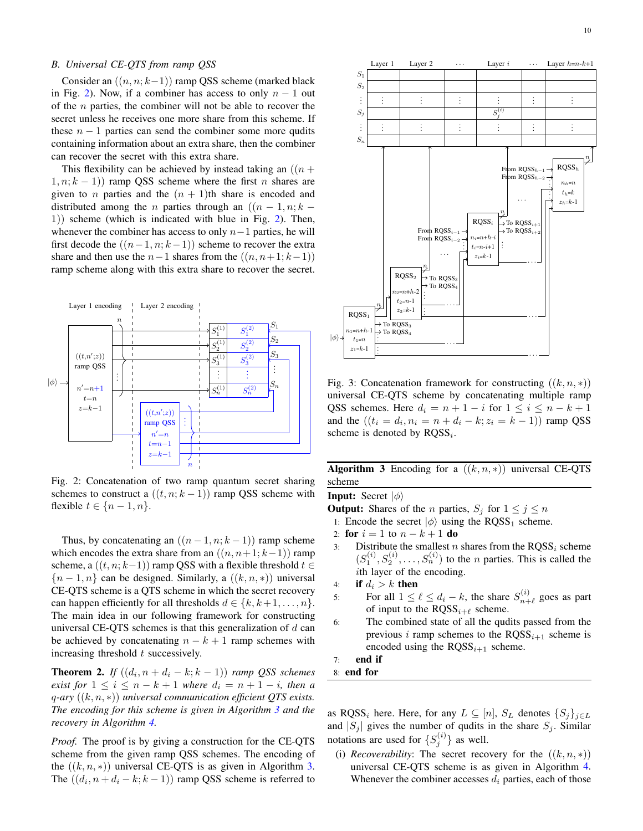# *B. Universal CE-QTS from ramp QSS*

Consider an  $((n, n; k-1))$  ramp QSS scheme (marked black in Fig. [2\)](#page-9-0). Now, if a combiner has access to only  $n - 1$  out of the  $n$  parties, the combiner will not be able to recover the secret unless he receives one more share from this scheme. If these  $n - 1$  parties can send the combiner some more qudits containing information about an extra share, then the combiner can recover the secret with this extra share.

This flexibility can be achieved by instead taking an  $((n +$  $(1, n; k - 1)$  ramp QSS scheme where the first n shares are given to *n* parties and the  $(n + 1)$ th share is encoded and distributed among the *n* parties through an  $((n - 1, n; k - 1))$ 1)) scheme (which is indicated with blue in Fig. [2\)](#page-9-0). Then, whenever the combiner has access to only  $n-1$  parties, he will first decode the  $((n-1, n; k-1))$  scheme to recover the extra share and then use the  $n-1$  shares from the  $((n, n+1; k-1))$ ramp scheme along with this extra share to recover the secret.

<span id="page-9-0"></span>

Fig. 2: Concatenation of two ramp quantum secret sharing schemes to construct a  $((t, n; k - 1))$  ramp QSS scheme with flexible  $t \in \{n-1, n\}.$ 

Thus, by concatenating an  $((n-1, n; k-1))$  ramp scheme which encodes the extra share from an  $((n, n+1; k-1))$  ramp scheme, a  $((t, n; k-1))$  ramp QSS with a flexible threshold  $t \in$  ${n-1,n}$  can be designed. Similarly, a  $((k, n, *)$  universal CE-QTS scheme is a QTS scheme in which the secret recovery can happen efficiently for all thresholds  $d \in \{k, k+1, \ldots, n\}$ . The main idea in our following framework for constructing universal CE-QTS schemes is that this generalization of  $d$  can be achieved by concatenating  $n - k + 1$  ramp schemes with increasing threshold  $t$  successively.

**Theorem 2.** *If*  $((d_i, n + d_i - k; k - 1))$  *ramp QSS schemes exist for*  $1 \leq i \leq n - k + 1$  *where*  $d_i = n + 1 - i$ *, then a* q*-ary* ((k, n, ∗)) *universal communication efficient QTS exists. The encoding for this scheme is given in Algorithm [3](#page-9-1) and the recovery in Algorithm [4.](#page-10-1)*

*Proof.* The proof is by giving a construction for the CE-QTS scheme from the given ramp QSS schemes. The encoding of the  $((k, n, *)$ ) universal CE-QTS is as given in Algorithm [3.](#page-9-1) The  $((d_i, n + d_i - k; k - 1))$  ramp QSS scheme is referred to



Fig. 3: Concatenation framework for constructing  $((k, n, *)$ universal CE-QTS scheme by concatenating multiple ramp QSS schemes. Here  $d_i = n + 1 - i$  for  $1 \le i \le n - k + 1$ and the  $((t_i = d_i, n_i = n + d_i - k; z_i = k - 1))$  ramp QSS scheme is denoted by  $RQSS_i$ .

<span id="page-9-1"></span>Algorithm 3 Encoding for a  $((k, n, *)$  universal CE-OTS scheme

**Input:** Secret  $|\phi\rangle$ 

**Output:** Shares of the *n* parties,  $S_j$  for  $1 \leq j \leq n$ 

- 1: Encode the secret  $|\phi\rangle$  using the RQSS<sub>1</sub> scheme.
- 2: for  $i = 1$  to  $n k + 1$  do
- 3: Distribute the smallest *n* shares from the  $RQSS_i$  scheme  $(S_1^{(i)}, S_2^{(i)}, \ldots, S_n^{(i)})$  to the *n* parties. This is called the ith layer of the encoding.
- 4: if  $d_i > k$  then
- 5: For all  $1 \leq \ell \leq d_i k$ , the share  $S_{n+1}^{(i)}$  $\binom{n}{n+\ell}$  goes as part of input to the  $RQSS_{i+\ell}$  scheme.
- 6: The combined state of all the qudits passed from the previous i ramp schemes to the  $RQSS_{i+1}$  scheme is encoded using the  $RQSS_{i+1}$  scheme.
- 7: end if
- 8: end for

as RQSS<sub>i</sub> here. Here, for any  $L \subseteq [n]$ ,  $S_L$  denotes  $\{S_j\}_{j \in L}$ and  $|S_j|$  gives the number of qudits in the share  $S_j$ . Similar notations are used for  $\{S_j^{(i)}\}$  as well.

(i) *Recoverability*: The secret recovery for the  $((k, n, *))$ universal CE-QTS scheme is as given in Algorithm [4.](#page-10-1) Whenever the combiner accesses  $d_i$  parties, each of those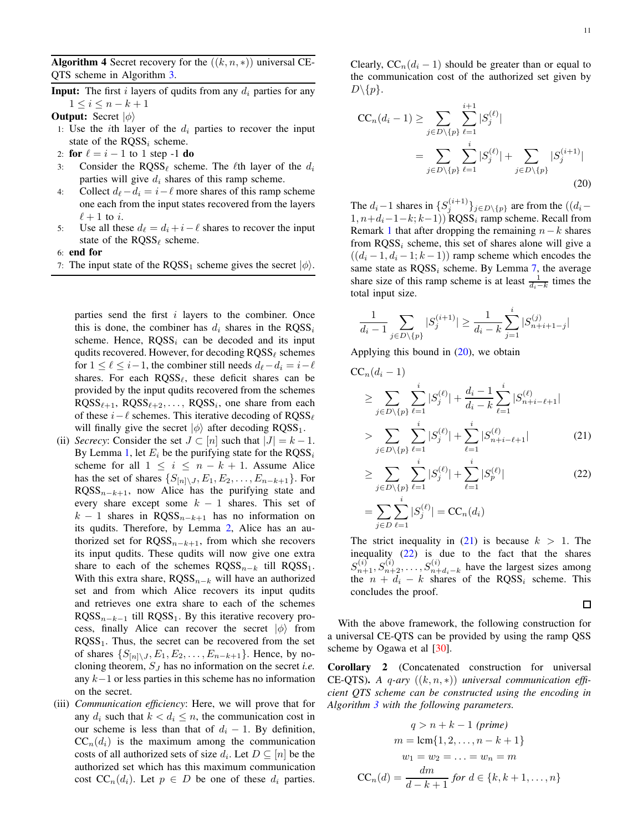<span id="page-10-1"></span>Algorithm 4 Secret recovery for the  $((k, n, *)$  universal CE-QTS scheme in Algorithm [3.](#page-9-1)

**Input:** The first i layers of qudits from any  $d_i$  parties for any  $1 \leq i \leq n-k+1$ 

**Output:** Secret  $|\phi\rangle$ 

- 1: Use the *i*th layer of the  $d_i$  parties to recover the input state of the  $ROSS_i$  scheme.
- 2: for  $\ell = i 1$  to 1 step -1 do
- 3: Consider the RQSS<sub> $\ell$ </sub> scheme. The  $\ell$ th layer of the  $d_i$ parties will give  $d_i$  shares of this ramp scheme.
- 4: Collect  $d_\ell d_i = i \ell$  more shares of this ramp scheme one each from the input states recovered from the layers  $\ell + 1$  to i.
- 5: Use all these  $d_\ell = d_i + i \ell$  shares to recover the input state of the  $RQSS_{\ell}$  scheme.

6: end for

7: The input state of the RQSS<sub>1</sub> scheme gives the secret  $|\phi\rangle$ .

parties send the first i layers to the combiner. Once this is done, the combiner has  $d_i$  shares in the RQSS<sub>i</sub> scheme. Hence,  $RQSS_i$  can be decoded and its input qudits recovered. However, for decoding  $RQSS_\ell$  schemes for  $1 \leq \ell \leq i-1$ , the combiner still needs  $d_{\ell} - d_i = i - \ell$ shares. For each  $RQSS_{\ell}$ , these deficit shares can be provided by the input qudits recovered from the schemes  $RQSS_{\ell+1}$ ,  $RQSS_{\ell+2}, \ldots$ ,  $RQSS_i$ , one share from each of these  $i-\ell$  schemes. This iterative decoding of RQSS<sub> $\ell$ </sub> will finally give the secret  $|\phi\rangle$  after decoding RQSS<sub>1</sub>.

- (ii) *Secrecy*: Consider the set  $J \subset [n]$  such that  $|J| = k 1$ . By Lemma [1,](#page-2-3) let  $E_i$  be the purifying state for the  $RQSS_i$ scheme for all  $1 \leq i \leq n - k + 1$ . Assume Alice has the set of shares  $\{S_{[n]\setminus J}, E_1, E_2, \ldots, E_{n-k+1}\}.$  For  $RQSS_{n-k+1}$ , now Alice has the purifying state and every share except some  $k - 1$  shares. This set of  $k - 1$  shares in RQSS<sub>n−k+1</sub> has no information on its qudits. Therefore, by Lemma [2,](#page-2-4) Alice has an authorized set for  $RQSS_{n-k+1}$ , from which she recovers its input qudits. These qudits will now give one extra share to each of the schemes  $RQSS_{n-k}$  till  $RQSS_1$ . With this extra share,  $RQSS_{n-k}$  will have an authorized set and from which Alice recovers its input qudits and retrieves one extra share to each of the schemes  $RQSS_{n-k-1}$  till  $RQSS_1$ . By this iterative recovery process, finally Alice can recover the secret  $|\phi\rangle$  from  $RQSS<sub>1</sub>$ . Thus, the secret can be recovered from the set of shares  $\{S_{[n]\setminus J}, E_1, E_2, \ldots, E_{n-k+1}\}.$  Hence, by nocloning theorem, S<sup>J</sup> has no information on the secret *i.e.* any k−1 or less parties in this scheme has no information on the secret.
- (iii) *Communication efficiency*: Here, we will prove that for any  $d_i$  such that  $k < d_i \leq n$ , the communication cost in our scheme is less than that of  $d_i - 1$ . By definition,  $CC_n(d_i)$  is the maximum among the communication costs of all authorized sets of size  $d_i$ . Let  $D \subseteq [n]$  be the authorized set which has this maximum communication cost  $CC_n(d_i)$ . Let  $p \in D$  be one of these  $d_i$  parties.

Clearly,  $CC_n(d_i - 1)$  should be greater than or equal to the communication cost of the authorized set given by  $D\backslash\{p\}.$ 

<span id="page-10-0"></span>
$$
CC_n(d_i - 1) \ge \sum_{j \in D \setminus \{p\}} \sum_{\ell=1}^{i+1} |S_j^{(\ell)}|
$$
  
= 
$$
\sum_{j \in D \setminus \{p\}} \sum_{\ell=1}^i |S_j^{(\ell)}| + \sum_{j \in D \setminus \{p\}} |S_j^{(i+1)}|
$$
 (20)

The  $d_i-1$  shares in  $\{S_j^{(i+1)}\}_{j\in D\setminus\{p\}}$  are from the  $((d_i 1, n+d_i-1-k; k-1)$ ) RQSS<sub>i</sub> ramp scheme. Recall from Remark [1](#page-4-4) that after dropping the remaining  $n-k$  shares from  $RQSS<sub>i</sub>$  scheme, this set of shares alone will give a  $((d_i - 1, d_i - 1; k - 1))$  ramp scheme which encodes the same state as  $\text{ROSS}_i$  scheme. By Lemma [7,](#page-4-5) the average share size of this ramp scheme is at least  $\frac{1}{d_i-k}$  times the total input size.

<span id="page-10-2"></span>
$$
\frac{1}{d_i-1}\sum_{j\in D\backslash\{p\}}|S_j^{(i+1)}|\geq \frac{1}{d_i-k}\sum_{j=1}^i|S_{n+i+1-j}^{(j)}|
$$

Applying this bound in  $(20)$ , we obtain

$$
CC_n(d_i - 1)
$$
  
\n
$$
\geq \sum_{j \in D \setminus \{p\}} \sum_{\ell=1}^i |S_j^{(\ell)}| + \frac{d_i - 1}{d_i - k} \sum_{\ell=1}^i |S_{n+i-\ell+1}^{(\ell)}|
$$
  
\n
$$
> \sum_{j \in D \setminus \{p\}} \sum_{\ell=1}^i |S_j^{(\ell)}| + \sum_{\ell=1}^i |S_{n+i-\ell+1}^{(\ell)}|
$$
(21)  
\n
$$
\geq \sum_{j \in D \setminus \{p\}} \sum_{\ell=1}^i |S_j^{(\ell)}| + \sum_{\ell=1}^i |S_p^{(\ell)}|
$$

$$
= \sum_{j \in D} \sum_{\ell=1}^{i} |S_j^{(\ell)}| = \text{CC}_n(d_i)
$$

The strict inequality in  $(21)$  is because  $k > 1$ . The inequality [\(22\)](#page-10-4) is due to the fact that the shares  $S_{n+1}^{(i)}, S_{n+2}^{(i)}, \ldots, S_{n+d_i-k}^{(i)}$  have the largest sizes among the  $n + d_i - k$  shares of the RQSS<sub>i</sub> scheme. This concludes the proof.

<span id="page-10-4"></span><span id="page-10-3"></span> $\Box$ 

With the above framework, the following construction for a universal CE-QTS can be provided by using the ramp QSS scheme by Ogawa et al [\[30\]](#page-22-3).

<span id="page-10-5"></span>Corollary 2 (Concatenated construction for universal CE-QTS). *A* q*-ary* ((k, n, ∗)) *universal communication efficient QTS scheme can be constructed using the encoding in Algorithm [3](#page-9-1) with the following parameters.*

$$
q > n + k - 1 \text{ (prime)}
$$

$$
m = \text{lcm}\{1, 2, \dots, n - k + 1\}
$$

$$
w_1 = w_2 = \dots = w_n = m
$$

$$
CC_n(d) = \frac{dm}{d - k + 1} \text{ for } d \in \{k, k + 1, \dots, n\}
$$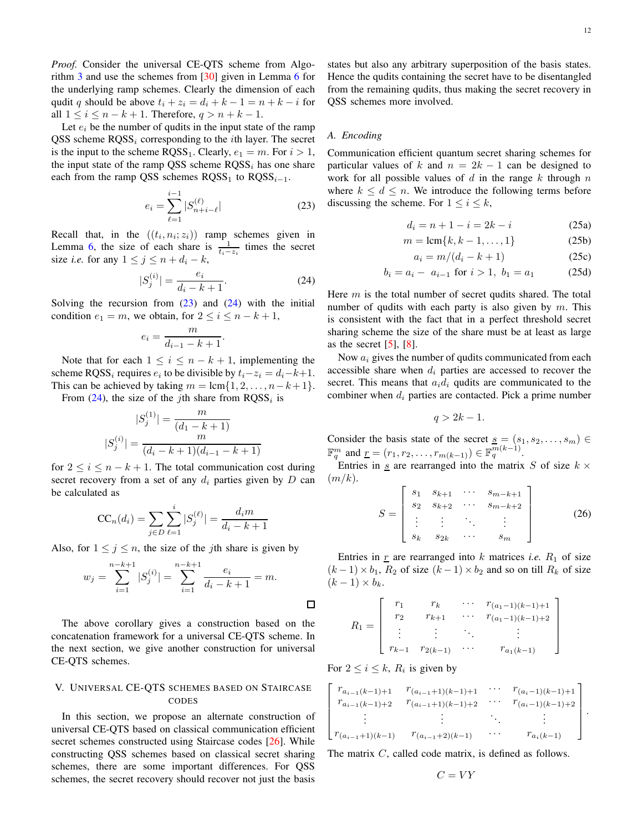Let  $e_i$  be the number of qudits in the input state of the ramp QSS scheme  $RQSS_i$  corresponding to the *i*th layer. The secret is the input to the scheme  $RQSS_1$ . Clearly,  $e_1 = m$ . For  $i > 1$ , the input state of the ramp QSS scheme  $RQSS<sub>i</sub>$  has one share each from the ramp QSS schemes  $RQSS_1$  to  $RQSS_{i-1}$ .

<span id="page-11-1"></span>
$$
e_i = \sum_{\ell=1}^{i-1} |S_{n+i-\ell}^{(\ell)}| \tag{23}
$$

Recall that, in the  $((t_i, n_i; z_i))$  ramp schemes given in Lemma [6,](#page-4-2) the size of each share is  $\frac{1}{t_i - z_i}$  times the secret size *i.e.* for any  $1 \le j \le n + d_i - k$ ,

$$
|S_j^{(i)}| = \frac{e_i}{d_i - k + 1}.\tag{24}
$$

Solving the recursion from  $(23)$  and  $(24)$  with the initial condition  $e_1 = m$ , we obtain, for  $2 \le i \le n - k + 1$ ,

$$
e_i = \frac{m}{d_{i-1} - k + 1}.
$$

Note that for each  $1 \leq i \leq n - k + 1$ , implementing the scheme RQSS<sub>i</sub> requires  $e_i$  to be divisible by  $t_i - z_i = d_i - k + 1$ . This can be achieved by taking  $m = \text{lcm}\{1, 2, \ldots, n-k+1\}.$ 

From  $(24)$ , the size of the *j*th share from  $RQSS<sub>i</sub>$  is

$$
|S_j^{(1)}| = \frac{m}{(d_1 - k + 1)}
$$

$$
|S_j^{(i)}| = \frac{m}{(d_i - k + 1)(d_{i-1} - k + 1)}
$$

for  $2 \leq i \leq n - k + 1$ . The total communication cost during secret recovery from a set of any  $d_i$  parties given by D can be calculated as

$$
CC_n(d_i) = \sum_{j \in D} \sum_{\ell=1}^i |S_j^{(\ell)}| = \frac{d_i m}{d_i - k + 1}
$$

Also, for  $1 \leq j \leq n$ , the size of the *j*th share is given by

<span id="page-11-2"></span>
$$
w_j = \sum_{i=1}^{n-k+1} |S_j^{(i)}| = \sum_{i=1}^{n-k+1} \frac{e_i}{d_i - k + 1} = m.
$$

The above corollary gives a construction based on the concatenation framework for a universal CE-QTS scheme. In the next section, we give another construction for universal CE-QTS schemes.

# <span id="page-11-0"></span>V. UNIVERSAL CE-QTS SCHEMES BASED ON STAIRCASE CODES

In this section, we propose an alternate construction of universal CE-QTS based on classical communication efficient secret schemes constructed using Staircase codes [\[26\]](#page-22-5). While constructing QSS schemes based on classical secret sharing schemes, there are some important differences. For QSS schemes, the secret recovery should recover not just the basis

states but also any arbitrary superposition of the basis states. Hence the qudits containing the secret have to be disentangled from the remaining qudits, thus making the secret recovery in QSS schemes more involved.

#### *A. Encoding*

Communication efficient quantum secret sharing schemes for particular values of k and  $n = 2k - 1$  can be designed to work for all possible values of  $d$  in the range  $k$  through  $n$ where  $k \leq d \leq n$ . We introduce the following terms before discussing the scheme. For  $1 \le i \le k$ ,

$$
d_i = n + 1 - i = 2k - i \tag{25a}
$$

$$
m = \operatorname{lcm}\{k, k - 1, \dots, 1\} \tag{25b}
$$

$$
a_i = m/(d_i - k + 1) \tag{25c}
$$

$$
b_i = a_i - a_{i-1} \text{ for } i > 1, \ b_1 = a_1 \tag{25d}
$$

Here  $m$  is the total number of secret qudits shared. The total number of qudits with each party is also given by  $m$ . This is consistent with the fact that in a perfect threshold secret sharing scheme the size of the share must be at least as large as the secret  $[5]$ ,  $[8]$ .

Now  $a_i$  gives the number of qudits communicated from each accessible share when  $d_i$  parties are accessed to recover the secret. This means that  $a_i d_i$  qudits are communicated to the combiner when  $d_i$  parties are contacted. Pick a prime number

$$
q>2k-1.
$$

Consider the basis state of the secret  $\underline{s} = (s_1, s_2, \dots, s_m) \in$  $\mathbb{F}_q^m$  and  $\underline{r} = (r_1, r_2, \dots, r_{m(k-1)}) \in \mathbb{F}_q^{m(k-1)}$ .

Entries in  $\underline{s}$  are rearranged into the matrix S of size  $k \times$  $(m/k).$ 

<span id="page-11-3"></span>
$$
S = \begin{bmatrix} s_1 & s_{k+1} & \cdots & s_{m-k+1} \\ s_2 & s_{k+2} & \cdots & s_{m-k+2} \\ \vdots & \vdots & \ddots & \vdots \\ s_k & s_{2k} & \cdots & s_m \end{bmatrix}
$$
 (26)

Entries in  $r$  are rearranged into  $k$  matrices *i.e.*  $R_1$  of size  $(k-1)\times b_1$ ,  $R_2$  of size  $(k-1)\times b_2$  and so on till  $R_k$  of size  $(k-1)\times b_k$ .

$$
R_1 = \left[ \begin{array}{cccc} r_1 & r_k & \cdots & r_{(a_1-1)(k-1)+1} \\ r_2 & r_{k+1} & \cdots & r_{(a_1-1)(k-1)+2} \\ \vdots & \vdots & \ddots & \vdots \\ r_{k-1} & r_{2(k-1)} & \cdots & r_{a_1(k-1)} \end{array} \right]
$$

For  $2 \leq i \leq k$ ,  $R_i$  is given by

 $\Box$ 

$$
\begin{bmatrix}\nr_{a_{i-1}(k-1)+1} & r_{(a_{i-1}+1)(k-1)+1} & \cdots & r_{(a_i-1)(k-1)+1} \\
r_{a_{i-1}(k-1)+2} & r_{(a_{i-1}+1)(k-1)+2} & \cdots & r_{(a_i-1)(k-1)+2} \\
\vdots & \vdots & \ddots & \vdots \\
r_{(a_{i-1}+1)(k-1)} & r_{(a_{i-1}+2)(k-1)} & \cdots & r_{a_i(k-1)}\n\end{bmatrix}.
$$

The matrix C, called code matrix, is defined as follows.

$$
C=VY
$$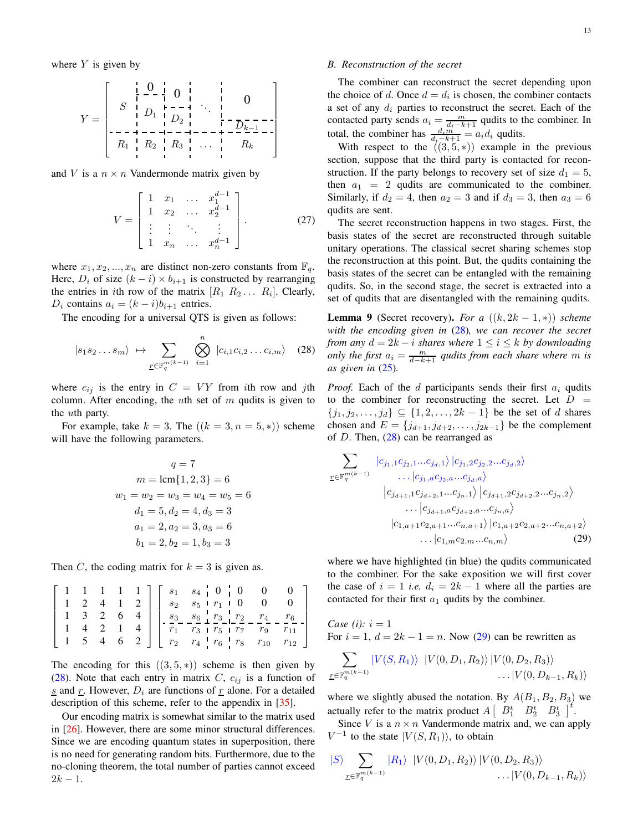where  $Y$  is given by

Y = S 0 0 . . . 0 <sup>D</sup><sup>1</sup> <sup>D</sup><sup>2</sup> <sup>D</sup>k−<sup>1</sup> R<sup>1</sup> R<sup>2</sup> R<sup>3</sup> . . . R<sup>k</sup> 

and V is a  $n \times n$  Vandermonde matrix given by

$$
V = \begin{bmatrix} 1 & x_1 & \dots & x_1^{d-1} \\ 1 & x_2 & \dots & x_2^{d-1} \\ \vdots & \vdots & \ddots & \vdots \\ 1 & x_n & \dots & x_n^{d-1} \end{bmatrix} .
$$
 (27)

where  $x_1, x_2, ..., x_n$  are distinct non-zero constants from  $\mathbb{F}_q$ . Here,  $D_i$  of size  $(k - i) \times b_{i+1}$  is constructed by rearranging the entries in *i*th row of the matrix  $[R_1 \ R_2 \dots \ R_i]$ . Clearly,  $D_i$  contains  $a_i = (k - i)b_{i+1}$  entries.

The encoding for a universal QTS is given as follows:

$$
|s_1 s_2 \dots s_m\rangle \mapsto \sum_{\underline{r} \in \mathbb{F}_q^{m(k-1)}} \bigotimes_{i=1}^n |c_{i,1} c_{i,2} \dots c_{i,m}\rangle \quad (28)
$$

where  $c_{ij}$  is the entry in  $C = VY$  from *i*th row and *j*th column. After encoding, the uth set of  $m$  qudits is given to the uth party.

For example, take  $k = 3$ . The  $((k = 3, n = 5, *)$  scheme will have the following parameters.

$$
q = 7
$$
  
\n
$$
m = \text{lcm}\{1, 2, 3\} = 6
$$
  
\n
$$
w_1 = w_2 = w_3 = w_4 = w_5 = 6
$$
  
\n
$$
d_1 = 5, d_2 = 4, d_3 = 3
$$
  
\n
$$
a_1 = 2, a_2 = 3, a_3 = 6
$$
  
\n
$$
b_1 = 2, b_2 = 1, b_3 = 3
$$

Then C, the coding matrix for  $k = 3$  is given as.

$$
\left[\begin{array}{cccc|c}1 & 1 & 1 & 1 & 1\\1 & 2 & 4 & 1 & 2\\1 & 3 & 2 & 6 & 4\\1 & 4 & 2 & 1 & 4\\1 & 5 & 4 & 6 & 2\end{array}\right]\left[\begin{array}{cccc|c} s_1 & s_4 & 0 & 0 & 0 & 0\\s_2 & s_5+r_1 & 0 & 0 & 0\\s_3 & s_6+r_2 & 0 & 0 & 0\\r_1 & r_3 & r_5 & r_7 & r_9 & r_{11}\\r_2 & r_4+r_6 & r_8 & r_{10} & r_{12}\end{array}\right]
$$

The encoding for this  $((3,5,*)$  scheme is then given by [\(28\)](#page-12-0). Note that each entry in matrix C,  $c_{ij}$  is a function of  $s$  and  $r$ . However,  $D_i$  are functions of  $r$  alone. For a detailed description of this scheme, refer to the appendix in [\[35\]](#page-22-10).

Our encoding matrix is somewhat similar to the matrix used in [\[26\]](#page-22-5). However, there are some minor structural differences. Since we are encoding quantum states in superposition, there is no need for generating random bits. Furthermore, due to the no-cloning theorem, the total number of parties cannot exceed  $2k - 1$ .

# *B. Reconstruction of the secret*

The combiner can reconstruct the secret depending upon the choice of d. Once  $d = d_i$  is chosen, the combiner contacts a set of any  $d_i$  parties to reconstruct the secret. Each of the contacted party sends  $a_i = \frac{m}{d_i - k + 1}$  qudits to the combiner. In total, the combiner has  $\frac{d_i m}{d_i - k + 1} = a_i d_i$  qudits.

With respect to the  $((3,5,*)$  example in the previous section, suppose that the third party is contacted for reconstruction. If the party belongs to recovery set of size  $d_1 = 5$ , then  $a_1 = 2$  qudits are communicated to the combiner. Similarly, if  $d_2 = 4$ , then  $a_2 = 3$  and if  $d_3 = 3$ , then  $a_3 = 6$ qudits are sent.

The secret reconstruction happens in two stages. First, the basis states of the secret are reconstructed through suitable unitary operations. The classical secret sharing schemes stop the reconstruction at this point. But, the qudits containing the basis states of the secret can be entangled with the remaining qudits. So, in the second stage, the secret is extracted into a set of qudits that are disentangled with the remaining qudits.

<span id="page-12-1"></span>**Lemma 9** (Secret recovery). *For a*  $((k, 2k - 1, *)$ ) *scheme with the encoding given in* [\(28\)](#page-12-0)*, we can recover the secret from any*  $d = 2k - i$  *shares where*  $1 \leq i \leq k$  *by downloading only the first*  $a_i = \frac{m}{d-k+1}$  *qudits from each share where* m *is as given in* [\(25\)](#page-11-3)*.*

*Proof.* Each of the d participants sends their first  $a_i$  qudits to the combiner for reconstructing the secret. Let  $D =$  $\{j_1, j_2, \ldots, j_d\} \subseteq \{1, 2, \ldots, 2k-1\}$  be the set of d shares chosen and  $E = \{j_{d+1}, j_{d+2}, \ldots, j_{2k-1}\}$  be the complement of  $D$ . Then,  $(28)$  can be rearranged as

<span id="page-12-0"></span>
$$
\sum_{\underline{r} \in \mathbb{F}_q^{m(k-1)}} \n\begin{array}{l}\n|c_{j_1,1}c_{j_2,1}...c_{j_d,1}\n\rangle |c_{j_1,2}c_{j_2,2}...c_{j_d,2}\n\end{array}\n\cdots\n\begin{array}{l}\n|c_{j_1,1}c_{j_2,2}...c_{j_d,2}\n\end{array}\n\cdots\n\begin{array}{l}\n|c_{j_{d+1},1}c_{j_{d+2},1}...c_{j_n,1}\n\rangle |c_{j_{d+1},2}c_{j_{d+2},2}...c_{j_n,2}\n\end{array}\n\cdots\n\begin{array}{l}\n|c_{j_{d+1},a}c_{j_{d+2},a}...c_{j_n,a}\n\end{array}\n\cdots\n\begin{array}{l}\n|c_{1,a+1}c_{2,a+1}...c_{n,a+1}\n\rangle |c_{1,a+2}c_{2,a+2}...c_{n,a+2}\n\end{array}\n\cdots\n\begin{array}{l}\n|c_{1,m}c_{2,m}...c_{n,m}\n\end{array}\n\tag{29}
$$

where we have highlighted (in blue) the qudits communicated to the combiner. For the sake exposition we will first cover the case of  $i = 1$  *i.e.*  $d_i = 2k - 1$  where all the parties are contacted for their first  $a_1$  qudits by the combiner.

*Case* (*i*):  $i = 1$ For  $i = 1$ ,  $d = 2k - 1 = n$ . Now [\(29\)](#page-13-0) can be rewritten as

$$
\sum_{\underline{r}\in\mathbb{F}_q^{m(k-1)}}\frac{|V(S,R_1)\rangle\ \ |V(0,D_1,R_2)\rangle\ |V(0,D_2,R_3)\rangle}{\ldots\ |V(0,D_{k-1},R_k)\rangle}
$$

where we slightly abused the notation. By  $A(B_1, B_2, B_3)$  we actually refer to the matrix product  $A \begin{bmatrix} B_1^t & B_2^t & B_3^t \end{bmatrix}^t$ .

Since V is a  $n \times n$  Vandermonde matrix and, we can apply  $V^{-1}$  to the state  $|V(S, R_1)\rangle$ , to obtain

$$
|S\rangle \sum_{\underline{r} \in \mathbb{F}_q^{m(k-1)}} |R_1\rangle |V(0, D_1, R_2)\rangle |V(0, D_2, R_3)\rangle
$$
  
...
$$
|V(0, D_{k-1}, R_k)\rangle
$$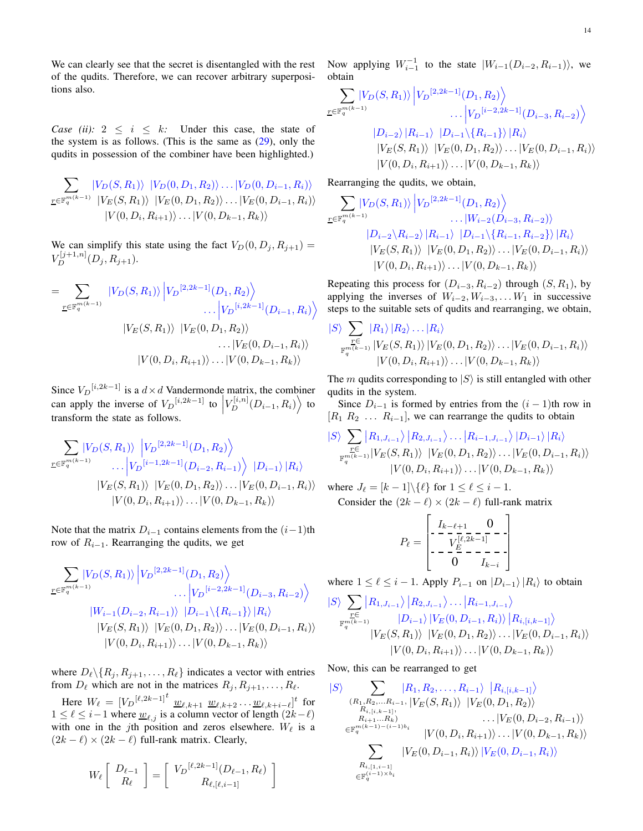We can clearly see that the secret is disentangled with the rest of the qudits. Therefore, we can recover arbitrary superpositions also.

*Case (ii):*  $2 \le i \le k$ *:* Under this case, the state of the system is as follows. (This is the same as  $(29)$ , only the qudits in possession of the combiner have been highlighted.)

$$
\sum_{\underline{r} \in \mathbb{F}_q^{m(k-1)}} \frac{|V_D(S, R_1)\rangle}{|V_E(S, R_1)\rangle} \frac{|V_D(0, D_1, R_2)\rangle \dots |V_D(0, D_{i-1}, R_i)\rangle}{|V_E(S, R_1)\rangle} \frac{|V_E(0, D_1, R_2)\rangle \dots |V_E(0, D_{i-1}, R_i)\rangle}{|V(0, D_i, R_{i+1})\rangle \dots |V(0, D_{k-1}, R_k)\rangle}
$$

We can simplify this state using the fact  $V_D(0, D_j, R_{j+1}) =$  $V_D^{[j+1,n]}(D_j, R_{j+1}).$ 

$$
= \sum_{\underline{r} \in \mathbb{F}_q^{m(k-1)}} |V_D(S, R_1)\rangle |V_D^{[2, 2k-1]}(D_1, R_2) \rangle \dots |V_D^{[i, 2k-1]}(D_{i-1}, R_i) \rangle
$$
  

$$
|V_E(S, R_1)\rangle |V_E(0, D_1, R_2) \rangle \dots |V_E(0, D_{i-1}, R_i) \rangle
$$
  

$$
|V(0, D_i, R_{i+1})\rangle \dots |V(0, D_{k-1}, R_k) \rangle
$$

Since  $V_D$ <sup>[i,2k-1]</sup> is a  $d \times d$  Vandermonde matrix, the combiner can apply the inverse of  $V_D^{[i,2k-1]}$  to  $\left| V_D^{[i,n]}(D_{i-1}, R_i) \right\rangle$  to transform the state as follows transform the state as follows.

<span id="page-13-0"></span>
$$
\sum_{\underline{r} \in \mathbb{F}_q^{m(k-1)}} \left| V_D(S, R_1) \right\rangle \left| V_D^{[2, 2k-1]}(D_1, R_2) \right\rangle \n\cdots \left| V_D^{[i-1, 2k-1]}(D_{i-2}, R_{i-1}) \right\rangle \left| D_{i-1} \right\rangle \left| R_i \right\rangle \n\left| V_E(S, R_1) \right\rangle \left| V_E(0, D_1, R_2) \right\rangle \cdots \left| V_E(0, D_{i-1}, R_i) \right\rangle \n\left| V(0, D_i, R_{i+1}) \right\rangle \cdots \left| V(0, D_{k-1}, R_k) \right\rangle
$$

Note that the matrix  $D_{i-1}$  contains elements from the  $(i-1)$ th row of  $R_{i-1}$ . Rearranging the qudits, we get

$$
\sum_{\underline{r} \in \mathbb{F}_q^{m(k-1)}} \left| V_D(S, R_1) \right| \left| V_D^{[2, 2k-1]}(D_1, R_2) \right\rangle
$$
  
 
$$
\cdots \left| V_D^{[i-2, 2k-1]}(D_{i-3}, R_{i-2}) \right\rangle
$$
  
\n
$$
\left| W_{i-1}(D_{i-2}, R_{i-1}) \right\rangle \left| D_{i-1} \setminus \{R_{i-1}\} \right\rangle \left| R_i \right\rangle
$$
  
\n
$$
\left| V_E(S, R_1) \right\rangle \left| V_E(0, D_1, R_2) \right\rangle \cdots \left| V_E(0, D_{i-1}, R_i) \right\rangle
$$
  
\n
$$
\left| V(0, D_i, R_{i+1}) \right\rangle \cdots \left| V(0, D_{k-1}, R_k) \right\rangle
$$

where  $D_{\ell} \setminus \{R_j, R_{j+1}, \ldots, R_{\ell}\}\$  indicates a vector with entries from  $D_{\ell}$  which are not in the matrices  $R_j, R_{j+1}, \ldots, R_{\ell}$ .

Here  $W_{\ell} = [V_D^{[\ell, 2k-1]}^{t} \underline{w}_{\ell, k+1} \underline{w}_{\ell, k+2} \dots \underline{w}_{\ell, k+i-\ell}]^{t}$  for  $1 \leq \ell \leq i-1$  where  $\underline{w}_{\ell,j}$  is a column vector of length  $(2k-\ell)$ with one in the jth position and zeros elsewhere.  $W_{\ell}$  is a  $(2k - \ell) \times (2k - \ell)$  full-rank matrix. Clearly,

$$
W_{\ell}\left[\begin{array}{c} D_{\ell-1} \\ R_{\ell} \end{array}\right] = \left[\begin{array}{c} V_D^{[\ell,2k-1]}(D_{\ell-1},R_{\ell}) \\ R_{\ell,[\ell,i-1]} \end{array}\right]
$$

Now applying  $W_{i-1}^{-1}$  to the state  $|W_{i-1}(D_{i-2}, R_{i-1})\rangle$ , we obtain

$$
\sum_{\mathbf{r} \in \mathbb{F}_q^{m(k-1)}} |V_D(S, R_1)\rangle |V_D^{[2, 2k-1]}(D_1, R_2) \rangle
$$
  
\n
$$
\dots |V_D^{[i-2, 2k-1]}(D_{i-3}, R_{i-2}) \rangle
$$
  
\n
$$
|D_{i-2}\rangle |R_{i-1}\rangle |D_{i-1}\langle \{R_{i-1}\}\rangle |R_i\rangle
$$
  
\n
$$
|V_E(S, R_1)\rangle |V_E(0, D_1, R_2)\rangle \dots |V_E(0, D_{i-1}, R_i)\rangle
$$
  
\n
$$
|V(0, D_i, R_{i+1})\rangle \dots |V(0, D_{k-1}, R_k)\rangle
$$

Rearranging the qudits, we obtain,

$$
\sum_{\underline{r}\in\mathbb{F}_q^{m(k-1)}} |V_D(S, R_1)\rangle |V_D^{[2,2k-1]}(D_1, R_2)\rangle
$$
  
\n... $|W_{i-2}(D_{i-3}, R_{i-2})\rangle$   
\n $|D_{i-2}\rangle R_{i-2}\rangle |R_{i-1}\rangle |D_{i-1}\rangle \{R_{i-1}, R_{i-2}\}\rangle |R_i\rangle$   
\n $|V_E(S, R_1)\rangle |V_E(0, D_1, R_2)\rangle ... |V_E(0, D_{i-1}, R_i)\rangle$   
\n $|V(0, D_i, R_{i+1})\rangle ... |V(0, D_{k-1}, R_k)\rangle$ 

Repeating this process for  $(D_{i-3}, R_{i-2})$  through  $(S, R_1)$ , by applying the inverses of  $W_{i-2}, W_{i-3}, \ldots, W_1$  in successive steps to the suitable sets of qudits and rearranging, we obtain,

$$
|S\rangle \sum_{\substack{\underline{r}\in\\ \mathbb{F}_q^{m(k-1)}}} |R_1\rangle |R_2\rangle \dots |R_i\rangle
$$
  

$$
|V_E(S, R_1)\rangle |V_E(0, D_1, R_2)\rangle \dots |V_E(0, D_{i-1}, R_i)\rangle
$$
  

$$
|V(0, D_i, R_{i+1})\rangle \dots |V(0, D_{k-1}, R_k)\rangle
$$

The m qudits corresponding to  $|S\rangle$  is still entangled with other qudits in the system.

Since  $D_{i-1}$  is formed by entries from the  $(i - 1)$ th row in  $[R_1 \ R_2 \ \ldots \ R_{i-1}]$ , we can rearrange the qudits to obtain

$$
\frac{|S\rangle}{\sum\limits_{\substack{r \in \\ \mathbb{F}_q^{m(k-1)}}} \left|R_{1,J_{i-1}}\right\rangle\left|R_{2,J_{i-1}}\right\rangle\ldots\left|R_{i-1,J_{i-1}}\right\rangle\left|D_{i-1}\right\rangle\left|R_{i}\right\rangle}{\left|V_{E}(S,R_{1})\right\rangle\,\left|V_{E}(0,D_{1},R_{2})\right\rangle\ldots\left|V_{E}(0,D_{i-1},R_{i})\right\rangle}\cdot\left|V(0,D_{i},R_{i+1})\right\rangle\ldots\left|V(0,D_{k-1},R_{k})\right\rangle}
$$

where  $J_{\ell} = [k-1] \setminus {\ell}$  for  $1 \leq \ell \leq i-1$ . Consider the  $(2k - \ell) \times (2k - \ell)$  full-rank matrix

$$
P_{\ell} = \begin{bmatrix} I_{k-\ell+1} & 0 \\ -\frac{V_{E}^{[\ell,2k-1]}}{V_{E}^{[\ell,2k-1]}} - \frac{1}{\ell} \\ -\frac{E}{\ell} - \frac{1}{\ell_{k-i}} \end{bmatrix}
$$

where  $1 \leq \ell \leq i-1$ . Apply  $P_{i-1}$  on  $|D_{i-1}\rangle |R_i\rangle$  to obtain

$$
\frac{|S\rangle}{\sum_{\substack{r \in \\ \mathbb{F}_q^{m(k-1)}}} \left|R_{1,J_{i-1}}\right\rangle \left|R_{2,J_{i-1}}\right\rangle \dots \left|R_{i-1,J_{i-1}}\right\rangle}{|D_{i-1}\rangle \left|V_E(0,D_{i-1},R_i)\right\rangle \left|R_{i,[i,k-1]}\right\rangle} \\ |V_E(S,R_1)\rangle \left|V_E(0,D_1,R_2)\right\rangle \dots \left|V_E(0,D_{i-1},R_i)\right\rangle}{|V(0,D_i,R_{i+1})\rangle \dots |V(0,D_{k-1},R_k)\rangle}
$$

Now, this can be rearranged to get

$$
|S\rangle \sum_{\substack{(R_1, R_2, \ldots, R_{i-1}) \\ R_{i, [i, k-1]}}} \frac{|R_1, R_2, \ldots, R_{i-1}\rangle}{|R_{i, [i, k-1]}} \frac{|R_{i, [i, k-1]}\rangle}{\langle R_{i, [i, k-1]}, |V_E(S, R_1)\rangle} \frac{|V_E(0, D_1, R_2)\rangle}{\langle V_E(0, D_{i-2}, R_{i-1})\rangle} \cdots |V_E(0, D_{i-2}, R_{i-1})\rangle
$$
  

$$
\sum_{\substack{R_{i+1}, \ldots, R_k \\ R_{i, [1, i-1]}}} |V_{E}(0, D_{i-1}, R_i)\rangle|V_E(0, D_{i-1}, R_i)\rangle
$$
  

$$
\sum_{\substack{R_{i, [1, i-1]} \\ \in \mathbb{F}_q^{(i-1)\times b_i}}} |\langle V_E(0, D_{i-1}, R_i) \rangle|V_E(0, D_{i-1}, R_i)\rangle
$$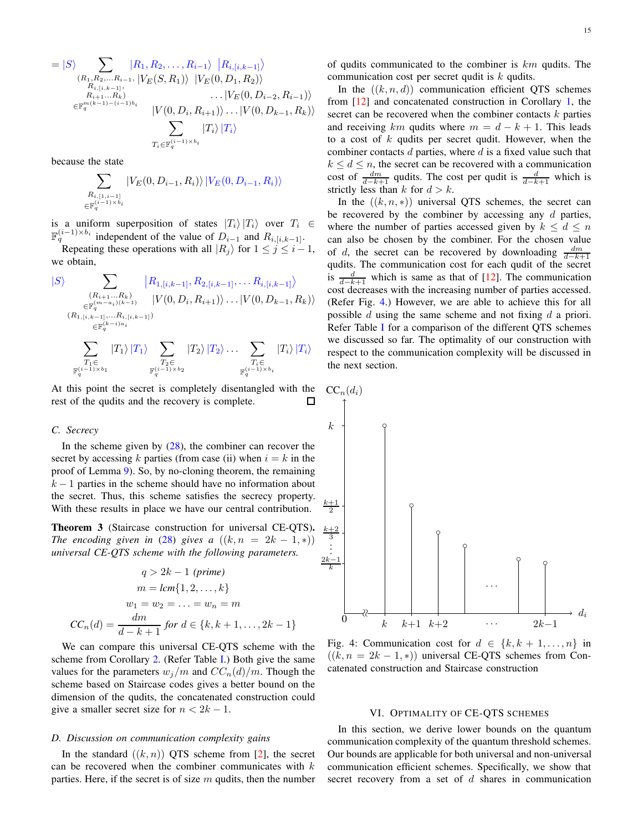$$
= |S\rangle \sum_{\substack{(R_1, R_2, \ldots, R_{i-1}, |V_E(S, R_1)) \\ R_{i,[i,k-1]} \\ R_{i+1} \ldots R_k)}} |R_1, R_2, \ldots, R_{i-1}\rangle} |R_{i,[i,k-1]}\rangle
$$
  
\n
$$
\langle R_{i,[i,k-1]}, |V_E(S, R_1) \rangle |V_E(0, D_1, R_2)\rangle
$$
  
\n
$$
\cdots |V_E(0, D_{i-2}, R_{i-1})\rangle
$$
  
\n
$$
\langle V(0, D_i, R_{i+1}) \rangle \ldots |V(0, D_{k-1}, R_k)\rangle
$$
  
\n
$$
\sum_{T_i \in \mathbb{F}_q^{(i-1)\times b_i}} |T_i\rangle |T_i\rangle
$$

because the state

$$
\sum_{\substack{R_{i,[1,i-1]}\\ \in \mathbb{F}_q^{(i-1)\times b_i}}} |V_E(0,D_{i-1},R_i)\rangle \, |V_E(0,D_{i-1},R_i)\rangle
$$

is a uniform superposition of states  $|T_i\rangle |T_i\rangle$  over  $T_i \in$  $\mathbb{F}_q^{(i-1)\times b_i}$  independent of the value of  $D_{i-1}$  and  $R_{i,[i,k-1]}$ .

Repeating these operations with all  $|R_i\rangle$  for  $1 \leq j \leq i-1$ , we obtain,

$$
\begin{array}{ll} |S\rangle & \sum_{\substack{(R_{i+1}\ldots R_k) \\ \in \mathbb{F}_q^{(m-a_i)(k-1)}}} \left|R_{1,[i,k-1]}, R_{2,[i,k-1]}, \ldots R_{i,[i,k-1]} \right\rangle \\ & & |V(0,D_i,R_{i+1})) \ldots |V(0,D_{k-1},R_k)\rangle \\ & & \sum_{\substack{(R_{1,[i,k-1]},\ldots,R_{i,[i,k-1]}) \\ \sum_{T_1 \in \\ \mathbb{F}_q^{(i-1)\times b_1}}} \left|T_1\right\rangle \left|T_1\right\rangle \sum_{\substack{T_2 \in \\ T_2 \in \\ \mathbb{F}_q^{(i-1)\times b_2}}} \left|T_2\right\rangle \left|T_2\right\rangle \ldots \sum_{\substack{T_i \in \\ \mathbb{F}_q^{(i-1)\times b_i}}} \left|T_i\right\rangle \left|T_i\right\rangle \end{array}
$$

At this point the secret is completely disentangled with the rest of the qudits and the recovery is complete. П

### *C. Secrecy*

In the scheme given by  $(28)$ , the combiner can recover the secret by accessing k parties (from case (ii) when  $i = k$  in the proof of Lemma [9\)](#page-12-1). So, by no-cloning theorem, the remaining  $k - 1$  parties in the scheme should have no information about the secret. Thus, this scheme satisfies the secrecy property. With these results in place we have our central contribution.

<span id="page-14-2"></span>Theorem 3 (Staircase construction for universal CE-QTS). *The encoding given in* [\(28\)](#page-12-0) *gives a*  $((k, n = 2k - 1, *)$ *universal CE-QTS scheme with the following parameters.*

$$
q > 2k - 1 \text{ (prime)}
$$
  
\n
$$
m = lcm\{1, 2, ..., k\}
$$
  
\n
$$
w_1 = w_2 = ... = w_n = m
$$
  
\n
$$
CC_n(d) = \frac{dm}{d - k + 1} \text{ for } d \in \{k, k + 1, ..., 2k - 1\}
$$

We can compare this universal CE-QTS scheme with the scheme from Corollary [2.](#page-10-5) (Refer Table [I.](#page-2-0)) Both give the same values for the parameters  $w_j/m$  and  $CC_n(d)/m$ . Though the scheme based on Staircase codes gives a better bound on the dimension of the qudits, the concatenated construction could give a smaller secret size for  $n < 2k - 1$ .

#### *D. Discussion on communication complexity gains*

In the standard  $((k, n))$  QTS scheme from [\[2\]](#page-21-1), the secret can be recovered when the combiner communicates with  $k$ parties. Here, if the secret is of size  $m$  qudits, then the number of qudits communicated to the combiner is  $km$  qudits. The communication cost per secret qudit is k qudits.

In the  $((k, n, d))$  communication efficient QTS schemes from [\[12\]](#page-21-8) and concatenated construction in Corollary [1,](#page-8-3) the secret can be recovered when the combiner contacts  $k$  parties and receiving km qudits where  $m = d - k + 1$ . This leads to a cost of  $k$  qudits per secret qudit. However, when the combiner contacts d parties, where d is a fixed value such that  $k \leq d \leq n$ , the secret can be recovered with a communication cost of  $\frac{dm}{d-k+1}$  qudits. The cost per qudit is  $\frac{d}{d-k+1}$  which is strictly less than  $k$  for  $d > k$ .

In the  $((k, n, *)$  universal QTS schemes, the secret can be recovered by the combiner by accessing any  $d$  parties, where the number of parties accessed given by  $k \leq d \leq n$ can also be chosen by the combiner. For the chosen value of d, the secret can be recovered by downloading  $\frac{dm}{d-k+1}$ qudits. The communication cost for each qudit of the secret is  $\frac{d}{d-k+1}$  which is same as that of [\[12\]](#page-21-8). The communication cost decreases with the increasing number of parties accessed. (Refer Fig. [4.](#page-14-1)) However, we are able to achieve this for all possible  $d$  using the same scheme and not fixing  $d$  a priori. Refer Table [I](#page-2-0) for a comparison of the different OTS schemes we discussed so far. The optimality of our construction with respect to the communication complexity will be discussed in the next section.

<span id="page-14-1"></span>

Fig. 4: Communication cost for  $d \in \{k, k+1, \ldots, n\}$  in  $((k, n = 2k - 1, *)$  universal CE-QTS schemes from Concatenated construction and Staircase construction

#### VI. OPTIMALITY OF CE-QTS SCHEMES

<span id="page-14-0"></span>In this section, we derive lower bounds on the quantum communication complexity of the quantum threshold schemes. Our bounds are applicable for both universal and non-universal communication efficient schemes. Specifically, we show that secret recovery from a set of  $d$  shares in communication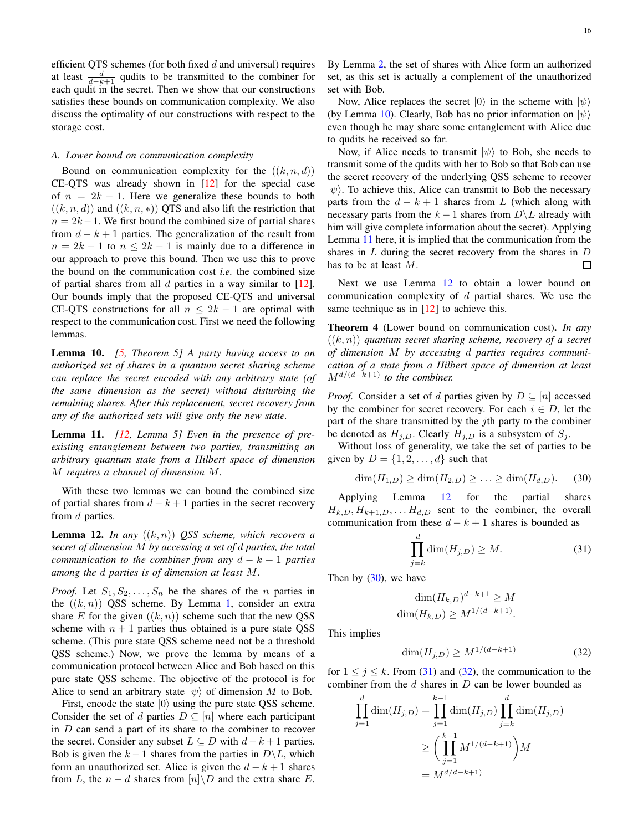efficient QTS schemes (for both fixed  $d$  and universal) requires at least  $\frac{d}{d-k+1}$  qudits to be transmitted to the combiner for each qudit in the secret. Then we show that our constructions satisfies these bounds on communication complexity. We also discuss the optimality of our constructions with respect to the storage cost.

# *A. Lower bound on communication complexity*

Bound on communication complexity for the  $((k, n, d))$ CE-QTS was already shown in [\[12\]](#page-21-8) for the special case of  $n = 2k - 1$ . Here we generalize these bounds to both  $((k, n, d))$  and  $((k, n, *)$ ) QTS and also lift the restriction that  $n = 2k-1$ . We first bound the combined size of partial shares from  $d - k + 1$  parties. The generalization of the result from  $n = 2k - 1$  to  $n \leq 2k - 1$  is mainly due to a difference in our approach to prove this bound. Then we use this to prove the bound on the communication cost *i.e.* the combined size of partial shares from all  $d$  parties in a way similar to [\[12\]](#page-21-8). Our bounds imply that the proposed CE-QTS and universal CE-QTS constructions for all  $n \leq 2k - 1$  are optimal with respect to the communication cost. First we need the following lemmas.

<span id="page-15-0"></span>Lemma 10. *[\[5,](#page-21-9) Theorem 5] A party having access to an authorized set of shares in a quantum secret sharing scheme can replace the secret encoded with any arbitrary state (of the same dimension as the secret) without disturbing the remaining shares. After this replacement, secret recovery from any of the authorized sets will give only the new state.*

<span id="page-15-1"></span>Lemma 11. *[\[12,](#page-21-8) Lemma 5] Even in the presence of preexisting entanglement between two parties, transmitting an arbitrary quantum state from a Hilbert space of dimension* M *requires a channel of dimension* M*.*

With these two lemmas we can bound the combined size of partial shares from  $d - k + 1$  parties in the secret recovery from d parties.

<span id="page-15-2"></span>**Lemma 12.** *In any*  $((k, n))$  *QSS scheme, which recovers a secret of dimension* M *by accessing a set of* d *parties, the total communication to the combiner from any*  $d - k + 1$  *parties among the* d *parties is of dimension at least* M*.*

*Proof.* Let  $S_1, S_2, \ldots, S_n$  be the shares of the *n* parties in the  $((k, n))$  QSS scheme. By Lemma [1,](#page-2-3) consider an extra share E for the given  $((k, n))$  scheme such that the new QSS scheme with  $n + 1$  parties thus obtained is a pure state QSS scheme. (This pure state QSS scheme need not be a threshold QSS scheme.) Now, we prove the lemma by means of a communication protocol between Alice and Bob based on this pure state QSS scheme. The objective of the protocol is for Alice to send an arbitrary state  $|\psi\rangle$  of dimension M to Bob.

First, encode the state  $|0\rangle$  using the pure state QSS scheme. Consider the set of d parties  $D \subseteq [n]$  where each participant in  $D$  can send a part of its share to the combiner to recover the secret. Consider any subset  $L \subseteq D$  with  $d-k+1$  parties. Bob is given the  $k-1$  shares from the parties in  $D\backslash L$ , which form an unauthorized set. Alice is given the  $d - k + 1$  shares from L, the  $n - d$  shares from  $[n] \backslash D$  and the extra share E. By Lemma [2,](#page-2-4) the set of shares with Alice form an authorized set, as this set is actually a complement of the unauthorized set with Bob.

Now, Alice replaces the secret  $|0\rangle$  in the scheme with  $|\psi\rangle$ (by Lemma [10\)](#page-15-0). Clearly, Bob has no prior information on  $|\psi\rangle$ even though he may share some entanglement with Alice due to qudits he received so far.

Now, if Alice needs to transmit  $|\psi\rangle$  to Bob, she needs to transmit some of the qudits with her to Bob so that Bob can use the secret recovery of the underlying QSS scheme to recover  $|\psi\rangle$ . To achieve this, Alice can transmit to Bob the necessary parts from the  $d - k + 1$  shares from L (which along with necessary parts from the  $k-1$  shares from  $D\backslash L$  already with him will give complete information about the secret). Applying Lemma [11](#page-15-1) here, it is implied that the communication from the shares in  $L$  during the secret recovery from the shares in  $D$ has to be at least M.  $\Box$ 

Next we use Lemma [12](#page-15-2) to obtain a lower bound on communication complexity of  $d$  partial shares. We use the same technique as in [\[12\]](#page-21-8) to achieve this.

<span id="page-15-6"></span>Theorem 4 (Lower bound on communication cost). *In any* ((k, n)) *quantum secret sharing scheme, recovery of a secret of dimension* M *by accessing* d *parties requires communication of a state from a Hilbert space of dimension at least* Md/(d−k+1) *to the combiner.*

*Proof.* Consider a set of d parties given by  $D \subseteq [n]$  accessed by the combiner for secret recovery. For each  $i \in D$ , let the part of the share transmitted by the  $j$ th party to the combiner be denoted as  $H_{i,D}$ . Clearly  $H_{i,D}$  is a subsystem of  $S_i$ .

Without loss of generality, we take the set of parties to be given by  $D = \{1, 2, \ldots, d\}$  such that

$$
\dim(H_{1,D}) \ge \dim(H_{2,D}) \ge \ldots \ge \dim(H_{d,D}).
$$
 (30)

Applying Lemma [12](#page-15-2) for the partial shares  $H_{k,D}, H_{k+1,D}, \ldots H_{d,D}$  sent to the combiner, the overall communication from these  $d - k + 1$  shares is bounded as

<span id="page-15-3"></span>
$$
\prod_{j=k}^{d} \dim(H_{j,D}) \ge M.
$$
\n(31)

Then by  $(30)$ , we have

$$
\dim(H_{k,D})^{d-k+1} \ge M
$$
  

$$
\dim(H_{k,D}) \ge M^{1/(d-k+1)}.
$$

This implies

<span id="page-15-5"></span><span id="page-15-4"></span>
$$
\dim(H_{j,D}) \ge M^{1/(d-k+1)}\tag{32}
$$

for  $1 \leq j \leq k$ . From [\(31\)](#page-15-4) and [\(32\)](#page-15-5), the communication to the combiner from the  $d$  shares in  $D$  can be lower bounded as

$$
\prod_{j=1}^{d} \dim(H_{j,D}) = \prod_{j=1}^{k-1} \dim(H_{j,D}) \prod_{j=k}^{d} \dim(H_{j,D})
$$
  
\n
$$
\geq \left( \prod_{j=1}^{k-1} M^{1/(d-k+1)} \right) M
$$
  
\n
$$
= M^{d/d-k+1}
$$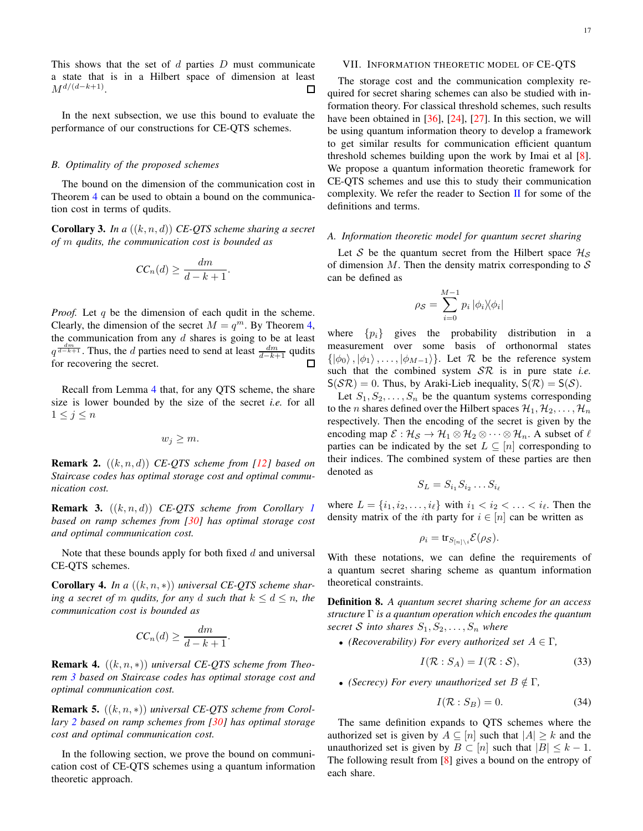This shows that the set of  $d$  parties  $D$  must communicate a state that is in a Hilbert space of dimension at least  $M^{d/(d-k+1)}$ . П

In the next subsection, we use this bound to evaluate the performance of our constructions for CE-QTS schemes.

#### *B. Optimality of the proposed schemes*

The bound on the dimension of the communication cost in Theorem [4](#page-15-6) can be used to obtain a bound on the communication cost in terms of qudits.

Corollary 3. *In a* ((k, n, d)) *CE-QTS scheme sharing a secret of* m *qudits, the communication cost is bounded as*

$$
CC_n(d) \ge \frac{dm}{d-k+1}
$$

.

*Proof.* Let q be the dimension of each qudit in the scheme. Clearly, the dimension of the secret  $M = q^m$ . By Theorem [4,](#page-15-6) the communication from any  $d$  shares is going to be at least  $q^{\frac{dm}{d-k+1}}$ . Thus, the d parties need to send at least  $\frac{dm}{d-k+1}$  qudits for recovering the secret.

Recall from Lemma [4](#page-3-2) that, for any QTS scheme, the share size is lower bounded by the size of the secret *i.e.* for all  $1\leq j\leq n$ 

$$
w_j \geq m.
$$

Remark 2. ((k, n, d)) *CE-QTS scheme from [\[12\]](#page-21-8) based on Staircase codes has optimal storage cost and optimal communication cost.*

Remark 3. ((k, n, d)) *CE-QTS scheme from Corollary [1](#page-8-3) based on ramp schemes from [\[30\]](#page-22-3) has optimal storage cost and optimal communication cost.*

Note that these bounds apply for both fixed  $d$  and universal CE-QTS schemes.

Corollary 4. *In a* ((k, n, ∗)) *universal CE-QTS scheme sharing a secret of* m *qudits, for any* d *such that*  $k \le d \le n$ , the *communication cost is bounded as*

$$
CC_n(d) \ge \frac{dm}{d-k+1}.
$$

Remark 4. ((k, n, ∗)) *universal CE-QTS scheme from Theorem [3](#page-14-2) based on Staircase codes has optimal storage cost and optimal communication cost.*

Remark 5. ((k, n, ∗)) *universal CE-QTS scheme from Corollary [2](#page-10-5) based on ramp schemes from [\[30\]](#page-22-3) has optimal storage cost and optimal communication cost.*

In the following section, we prove the bound on communication cost of CE-QTS schemes using a quantum information theoretic approach.

# <span id="page-16-0"></span>VII. INFORMATION THEORETIC MODEL OF CE-QTS

The storage cost and the communication complexity required for secret sharing schemes can also be studied with information theory. For classical threshold schemes, such results have been obtained in [\[36\]](#page-22-11), [\[24\]](#page-22-1), [\[27\]](#page-22-12). In this section, we will be using quantum information theory to develop a framework to get similar results for communication efficient quantum threshold schemes building upon the work by Imai et al [\[8\]](#page-21-10). We propose a quantum information theoretic framework for CE-QTS schemes and use this to study their communication complexity. We refer the reader to Section  $\Pi$  for some of the definitions and terms.

### *A. Information theoretic model for quantum secret sharing*

Let S be the quantum secret from the Hilbert space  $\mathcal{H}_S$ of dimension  $M$ . Then the density matrix corresponding to  $S$ can be defined as

$$
\rho_{\mathcal{S}} = \sum_{i=0}^{M-1} p_i \, |\phi_i\rangle\!\langle\phi_i|
$$

where  $\{p_i\}$  gives the probability distribution in a measurement over some basis of orthonormal states  $\{|\phi_0\rangle, |\phi_1\rangle, \ldots, |\phi_{M-1}\rangle\}$ . Let R be the reference system such that the combined system SR is in pure state *i.e.*  $S(S\mathcal{R}) = 0$ . Thus, by Araki-Lieb inequality,  $S(\mathcal{R}) = S(\mathcal{S})$ .

Let  $S_1, S_2, \ldots, S_n$  be the quantum systems corresponding to the *n* shares defined over the Hilbert spaces  $\mathcal{H}_1, \mathcal{H}_2, \ldots, \mathcal{H}_n$ respectively. Then the encoding of the secret is given by the encoding map  $\mathcal{E}: \mathcal{H}_{\mathcal{S}} \to \mathcal{H}_1 \otimes \mathcal{H}_2 \otimes \cdots \otimes \mathcal{H}_n$ . A subset of  $\ell$ parties can be indicated by the set  $L \subseteq [n]$  corresponding to their indices. The combined system of these parties are then denoted as

$$
S_L = S_{i_1} S_{i_2} \dots S_{i_\ell}
$$

where  $L = \{i_1, i_2, \ldots, i_\ell\}$  with  $i_1 < i_2 < \ldots < i_\ell$ . Then the density matrix of the *i*th party for  $i \in [n]$  can be written as

$$
\rho_i = \text{tr}_{S_{[n] \setminus i}} \mathcal{E}(\rho_{\mathcal{S}}).
$$

With these notations, we can define the requirements of a quantum secret sharing scheme as quantum information theoretical constraints.

Definition 8. *A quantum secret sharing scheme for an access structure* Γ *is a quantum operation which encodes the quantum secret* S into shares  $S_1, S_2, \ldots, S_n$  where

• *(Recoverability) For every authorized set*  $A \in \Gamma$ ,

$$
I(\mathcal{R}:S_A) = I(\mathcal{R}:S),\tag{33}
$$

• *(Secrecy) For every unauthorized set*  $B \notin \Gamma$ *,* 

$$
I(\mathcal{R}:S_B) = 0.\t\t(34)
$$

The same definition expands to QTS schemes where the authorized set is given by  $A \subseteq [n]$  such that  $|A| \geq k$  and the unauthorized set is given by  $B \subset [n]$  such that  $|B| \leq k - 1$ . The following result from [\[8\]](#page-21-10) gives a bound on the entropy of each share.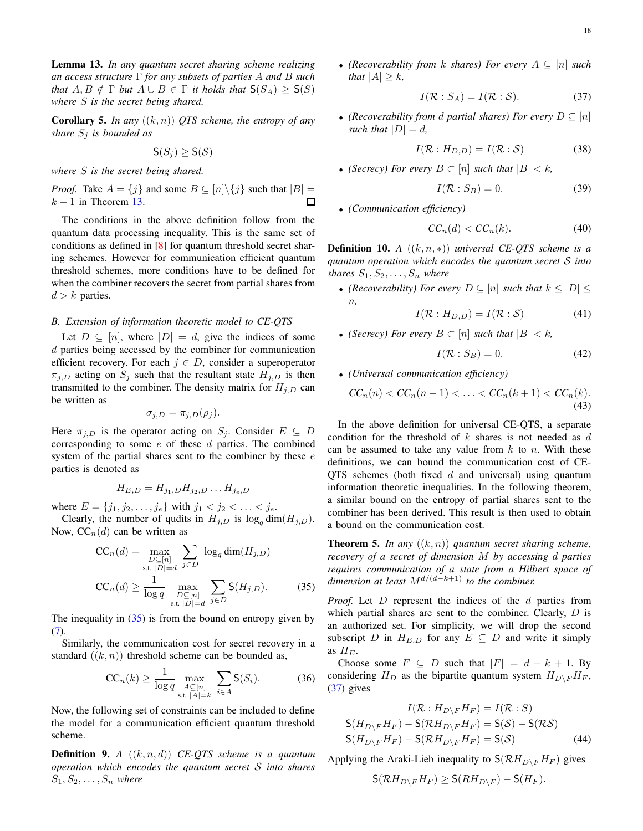<span id="page-17-0"></span>Lemma 13. *In any quantum secret sharing scheme realizing an access structure* Γ *for any subsets of parties* A *and* B *such that*  $A, B \notin \Gamma$  *but*  $A \cup B \in \Gamma$  *it holds that*  $S(S_A) \geq S(S)$ *where* S *is the secret being shared.*

Corollary 5. *In any* ((k, n)) *QTS scheme, the entropy of any share*  $S_j$  *is bounded as* 

 $S(S_i) > S(S)$ 

*where* S *is the secret being shared.*

*Proof.* Take  $A = \{j\}$  and some  $B \subseteq [n] \setminus \{j\}$  such that  $|B| =$  $k-1$  in Theorem [13.](#page-17-0)  $\Box$ 

The conditions in the above definition follow from the quantum data processing inequality. This is the same set of conditions as defined in [\[8\]](#page-21-10) for quantum threshold secret sharing schemes. However for communication efficient quantum threshold schemes, more conditions have to be defined for when the combiner recovers the secret from partial shares from  $d > k$  parties.

#### *B. Extension of information theoretic model to CE-QTS*

Let  $D \subseteq [n]$ , where  $|D| = d$ , give the indices of some d parties being accessed by the combiner for communication efficient recovery. For each  $j \in D$ , consider a superoperator  $\pi_{i,D}$  acting on  $S_i$  such that the resultant state  $H_{i,D}$  is then transmitted to the combiner. The density matrix for  $H_{j,D}$  can be written as

$$
\sigma_{j,D} = \pi_{j,D}(\rho_j).
$$

Here  $\pi_{i,D}$  is the operator acting on  $S_i$ . Consider  $E \subseteq D$ corresponding to some  $e$  of these  $d$  parties. The combined system of the partial shares sent to the combiner by these  $e$ parties is denoted as

$$
H_{E,D}=H_{j_1,D}H_{j_2,D}\ldots H_{j_e,D}
$$

where  $E = \{j_1, j_2, \ldots, j_e\}$  with  $j_1 < j_2 < \ldots < j_e$ .

Clearly, the number of qudits in  $H_{j,D}$  is  $\log_a \dim(H_{j,D})$ . Now,  $CC_n(d)$  can be written as

$$
CC_n(d) = \max_{\substack{D \subseteq [n] \\ \text{s.t. } |D| = d}} \sum_{j \in D} \log_q \dim(H_{j,D})
$$
  

$$
CC_n(d) \ge \frac{1}{\log q} \max_{\substack{D \subseteq [n] \\ \text{s.t. } |D| = d}} \sum_{j \in D} S(H_{j,D}).
$$
 (35)

The inequality in  $(35)$  is from the bound on entropy given by [\(7\)](#page-5-3).

Similarly, the communication cost for secret recovery in a standard  $((k, n))$  threshold scheme can be bounded as,

$$
CC_n(k) \ge \frac{1}{\log q} \max_{\substack{A \subseteq [n] \\ \text{s.t. } |A| = k}} \sum_{i \in A} \mathsf{S}(S_i). \tag{36}
$$

Now, the following set of constraints can be included to define the model for a communication efficient quantum threshold scheme.

Definition 9. *A* ((k, n, d)) *CE-QTS scheme is a quantum operation which encodes the quantum secret* S *into shares*  $S_1, S_2, \ldots, S_n$  where

• *(Recoverability from k shares) For every*  $A \subseteq [n]$  *such that*  $|A| > k$ ,

<span id="page-17-2"></span>
$$
I(\mathcal{R}:S_A) = I(\mathcal{R}:\mathcal{S}).\tag{37}
$$

• *(Recoverability from d partial shares) For every*  $D \subseteq [n]$ *such that*  $|D| = d$ ,

$$
I(\mathcal{R}:H_{D,D}) = I(\mathcal{R}:\mathcal{S})\tag{38}
$$

• *(Secrecy)* For every  $B \subset [n]$  such that  $|B| < k$ ,

$$
I(\mathcal{R}:S_B) = 0.
$$
 (39)

• *(Communication efficiency)*

$$
CC_n(d) < CC_n(k). \tag{40}
$$

**Definition 10.** *A*  $((k, n, *)$ *) universal CE-QTS scheme is a quantum operation which encodes the quantum secret* S *into shares*  $S_1, S_2, \ldots, S_n$  *where* 

• *(Recoverability) For every*  $D \subseteq [n]$  *such that*  $k \leq |D| \leq$ n*,*

$$
I(\mathcal{R}:H_{D,D}) = I(\mathcal{R}:\mathcal{S})\tag{41}
$$

• *(Secrecy)* For every  $B \subset [n]$  *such that*  $|B| < k$ ,

$$
I(\mathcal{R}:S_B) = 0.\t\t(42)
$$

• *(Universal communication efficiency)*

$$
CC_n(n) < CC_n(n-1) < \ldots < CC_n(k+1) < CC_n(k). \tag{43}
$$

In the above definition for universal CE-QTS, a separate condition for the threshold of  $k$  shares is not needed as  $d$ can be assumed to take any value from  $k$  to  $n$ . With these definitions, we can bound the communication cost of CE-QTS schemes (both fixed  $d$  and universal) using quantum information theoretic inequalities. In the following theorem, a similar bound on the entropy of partial shares sent to the combiner has been derived. This result is then used to obtain a bound on the communication cost.

**Theorem 5.** In any  $((k, n))$  quantum secret sharing scheme, *recovery of a secret of dimension* M *by accessing* d *parties requires communication of a state from a Hilbert space of dimension at least* Md/(d−k+1) *to the combiner.*

<span id="page-17-1"></span>*Proof.* Let D represent the indices of the d parties from which partial shares are sent to the combiner. Clearly,  $D$  is an authorized set. For simplicity, we will drop the second subscript D in  $H_{E,D}$  for any  $E \subseteq D$  and write it simply as  $H_E$ .

Choose some  $F \subseteq D$  such that  $|F| = d - k + 1$ . By considering  $H_D$  as the bipartite quantum system  $H_{D\setminus F}H_F$ , [\(37\)](#page-17-2) gives

$$
I(\mathcal{R}:H_{D\backslash F}H_F) = I(\mathcal{R}:S)
$$
  
\n
$$
S(H_{D\backslash F}H_F) - S(\mathcal{R}H_{D\backslash F}H_F) = S(S) - S(\mathcal{R}S)
$$
  
\n
$$
S(H_{D\backslash F}H_F) - S(\mathcal{R}H_{D\backslash F}H_F) = S(S)
$$
\n(44)

Applying the Araki-Lieb inequality to  $S(\mathcal{R}H_{D\setminus F}H_F)$  gives

<span id="page-17-3"></span>
$$
\mathsf{S}(\mathcal{R}H_{D\setminus F}H_F)\geq \mathsf{S}(\mathcal{R}H_{D\setminus F})-\mathsf{S}(H_F).
$$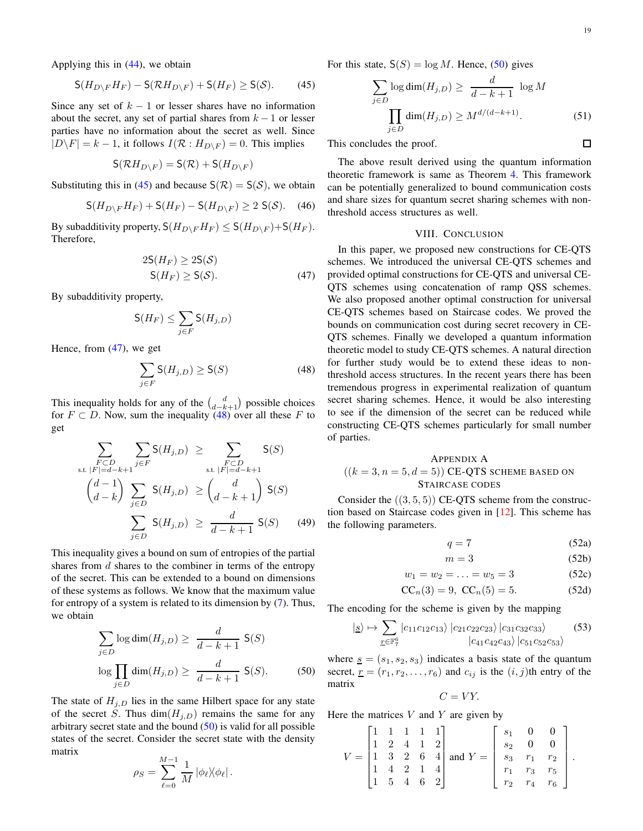$\Box$ 

Applying this in [\(44\)](#page-17-3), we obtain

$$
\mathsf{S}(H_{D\setminus F}H_F) - \mathsf{S}(\mathcal{R}H_{D\setminus F}) + \mathsf{S}(H_F) \geq \mathsf{S}(\mathcal{S}).\tag{45}
$$

Since any set of  $k - 1$  or lesser shares have no information about the secret, any set of partial shares from  $k - 1$  or lesser parties have no information about the secret as well. Since  $|D\backslash F| = k - 1$ , it follows  $I(\mathcal{R}: H_{D\backslash F}) = 0$ . This implies

$$
\mathsf{S}(\mathcal{R}H_{D\setminus F}) = \mathsf{S}(\mathcal{R}) + \mathsf{S}(H_{D\setminus F})
$$

Substituting this in [\(45\)](#page-18-1) and because  $S(\mathcal{R}) = S(\mathcal{S})$ , we obtain

<span id="page-18-1"></span>
$$
\mathsf{S}(H_{D\setminus F}H_F) + \mathsf{S}(H_F) - \mathsf{S}(H_{D\setminus F}) \ge 2 \mathsf{S}(\mathcal{S}). \tag{46}
$$

By subadditivity property,  $S(H_{D\setminus F}H_F) \leq S(H_{D\setminus F})+S(H_F)$ . Therefore,

$$
2S(H_F) \ge 2S(S)
$$
  
 
$$
S(H_F) \ge S(S).
$$
 (47)

By subadditivity property,

$$
\mathsf{S}(H_F)\leq \sum_{j\in F}\mathsf{S}(H_{j,D})
$$

Hence, from [\(47\)](#page-18-2), we get

$$
\sum_{j \in F} \mathsf{S}(H_{j,D}) \ge \mathsf{S}(S) \tag{48}
$$

This inequality holds for any of the  $\binom{d}{d-k+1}$  possible choices for  $F \subset D$ . Now, sum the inequality [\(48\)](#page-18-3) over all these F to get

<span id="page-18-3"></span>
$$
\sum_{\substack{F \subset D \\ \text{s.t. } |F| = d - k + 1}} \sum_{j \in F} S(H_{j,D}) \ge \sum_{\substack{F \subset D \\ \text{s.t. } |F| = d - k + 1}} S(S)
$$
\n
$$
\left(\begin{array}{c} d - 1 \\ d - k \end{array}\right) \sum_{j \in D} S(H_{j,D}) \ge \left(\begin{array}{c} d \\ d - k + 1 \end{array}\right) S(S)
$$
\n
$$
\sum_{j \in D} S(H_{j,D}) \ge \frac{d}{d - k + 1} S(S) \qquad (49)
$$

This inequality gives a bound on sum of entropies of the partial shares from  $d$  shares to the combiner in terms of the entropy of the secret. This can be extended to a bound on dimensions of these systems as follows. We know that the maximum value for entropy of a system is related to its dimension by [\(7\)](#page-5-3). Thus, we obtain

$$
\sum_{j \in D} \log \dim(H_{j,D}) \ge \frac{d}{d-k+1} \mathsf{S}(S)
$$

$$
\log \prod_{j \in D} \dim(H_{j,D}) \ge \frac{d}{d-k+1} \mathsf{S}(S).
$$
(50)

The state of  $H_{i,D}$  lies in the same Hilbert space for any state of the secret S. Thus  $\dim(H_{j,D})$  remains the same for any arbitrary secret state and the bound  $(50)$  is valid for all possible states of the secret. Consider the secret state with the density matrix

$$
\rho_S = \sum_{\ell=0}^{M-1} \frac{1}{M} |\phi_\ell\rangle\!\langle\phi_\ell|.
$$

For this state,  $S(S) = \log M$ . Hence, [\(50\)](#page-18-4) gives

<span id="page-18-4"></span>
$$
\sum_{j \in D} \log \dim(H_{j,D}) \ge \frac{d}{d-k+1} \log M
$$

$$
\prod_{j \in D} \dim(H_{j,D}) \ge M^{d/(d-k+1)}.
$$
(51)

This concludes the proof.

The above result derived using the quantum information theoretic framework is same as Theorem [4.](#page-15-6) This framework can be potentially generalized to bound communication costs and share sizes for quantum secret sharing schemes with nonthreshold access structures as well.

#### VIII. CONCLUSION

<span id="page-18-2"></span>In this paper, we proposed new constructions for CE-QTS schemes. We introduced the universal CE-QTS schemes and provided optimal constructions for CE-QTS and universal CE-QTS schemes using concatenation of ramp QSS schemes. We also proposed another optimal construction for universal CE-QTS schemes based on Staircase codes. We proved the bounds on communication cost during secret recovery in CE-QTS schemes. Finally we developed a quantum information theoretic model to study CE-QTS schemes. A natural direction for further study would be to extend these ideas to nonthreshold access structures. In the recent years there has been tremendous progress in experimental realization of quantum secret sharing schemes. Hence, it would be also interesting to see if the dimension of the secret can be reduced while constructing CE-QTS schemes particularly for small number of parties.

# APPENDIX A  $((k = 3, n = 5, d = 5))$  CE-QTS SCHEME BASED ON STAIRCASE CODES

Consider the  $((3, 5, 5))$  CE-QTS scheme from the construction based on Staircase codes given in [\[12\]](#page-21-8). This scheme has the following parameters.

<span id="page-18-0"></span>
$$
q = 7 \tag{52a}
$$

$$
m = 3 \tag{52b}
$$

$$
w_1 = w_2 = \ldots = w_5 = 3 \tag{52c}
$$

$$
CC_n(3) = 9, CC_n(5) = 5.
$$
 (52d)

The encoding for the scheme is given by the mapping

$$
|s\rangle \mapsto \sum_{\underline{r} \in \mathbb{F}_7^6} |c_{11}c_{12}c_{13}\rangle |c_{21}c_{22}c_{23}\rangle |c_{31}c_{32}c_{33}\rangle
$$
 (53)

where  $s = (s_1, s_2, s_3)$  indicates a basis state of the quantum secret,  $\underline{r} = (r_1, r_2, \dots, r_6)$  and  $c_{ij}$  is the  $(i, j)$ th entry of the matrix

$$
C=VY.
$$

Here the matrices  $V$  and  $Y$  are given by

|  |  | $\begin{bmatrix} 1 & 1 & 1 & 1 & 1 \end{bmatrix}$ |                                                                                                                                                     |  | $s_1$ 0 0         |  |
|--|--|---------------------------------------------------|-----------------------------------------------------------------------------------------------------------------------------------------------------|--|-------------------|--|
|  |  |                                                   |                                                                                                                                                     |  |                   |  |
|  |  |                                                   | $V = \begin{vmatrix} 1 & 2 & 4 & 1 & 2 \\ 1 & 3 & 2 & 6 & 4 \end{vmatrix}$ and $Y = \begin{vmatrix} s_2 & 0 & 0 \\ s_3 & r_1 & r_2 \end{vmatrix}$ . |  |                   |  |
|  |  | $\begin{bmatrix} 1 & 4 & 2 & 1 & 4 \end{bmatrix}$ |                                                                                                                                                     |  | $r_1$ $r_3$ $r_5$ |  |
|  |  | $\begin{vmatrix} 1 & 5 & 4 & 6 & 2 \end{vmatrix}$ |                                                                                                                                                     |  | $r_2$ $r_4$ $r_6$ |  |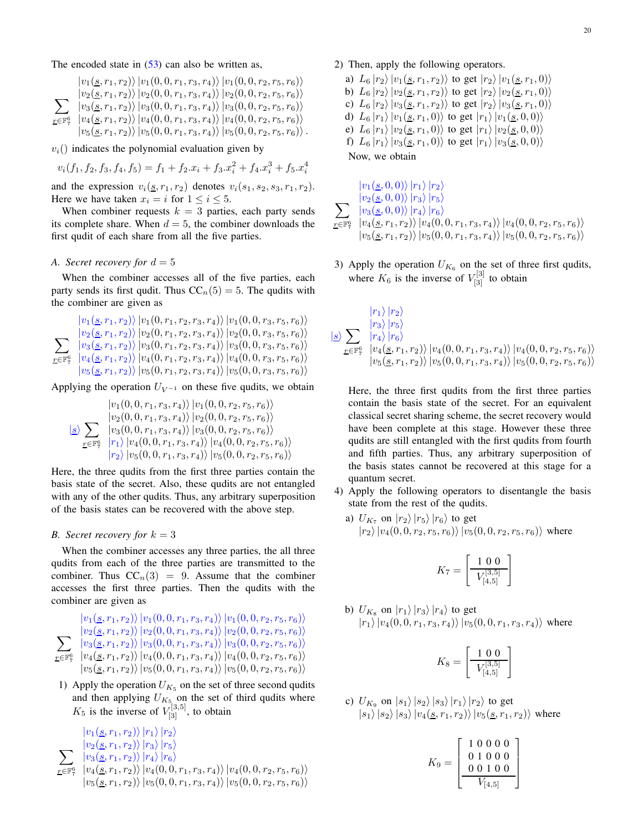The encoded state in  $(53)$  can also be written as,

$$
\sum_{r \in \mathbb{F}_7^6} \frac{\ket{v_1(s,r_1,r_2)} \ket{v_1(0,0,r_1,r_3,r_4)} \ket{v_1(0,0,r_2,r_5,r_6)}}{\sum_{r \in \mathbb{F}_7^6} \frac{\ket{v_2(s,r_1,r_2)} \ket{v_2(0,0,r_1,r_3,r_4)} \ket{v_2(0,0,r_2,r_5,r_6)}}{\ket{v_4(s,r_1,r_2)} \ket{v_4(0,0,r_1,r_3,r_4)} \ket{v_3(0,0,r_2,r_5,r_6)}}
$$
\n
$$
\frac{\ket{v_4(s,r_1,r_2)} \ket{v_4(0,0,r_1,r_3,r_4)} \ket{v_4(0,0,r_2,r_5,r_6)}}
$$

 $v_i$ () indicates the polynomial evaluation given by

$$
v_i(f_1, f_2, f_3, f_4, f_5) = f_1 + f_2 \cdot x_i + f_3 \cdot x_i^2 + f_4 \cdot x_i^3 + f_5 \cdot x_i^4
$$

and the expression  $v_i(\underline{s}, r_1, r_2)$  denotes  $v_i(s_1, s_2, s_3, r_1, r_2)$ . Here we have taken  $x_i = i$  for  $1 \le i \le 5$ .

When combiner requests  $k = 3$  parties, each party sends its complete share. When  $d = 5$ , the combiner downloads the first qudit of each share from all the five parties.

#### *A.* Secret recovery for  $d = 5$

When the combiner accesses all of the five parties, each party sends its first qudit. Thus  $CC_n(5) = 5$ . The qudits with the combiner are given as

 $\sum$  $r$ ∈F $^{6}$ 7  $|v_1(\underline{s}, r_1, r_2)\rangle |v_1(0, r_1, r_2, r_3, r_4)\rangle |v_1(0, 0, r_3, r_5, r_6)\rangle$  $|v_2(\underline{s}, r_1, r_2)\rangle\,|v_2(0, r_1, r_2, r_3, r_4)\rangle\,|v_2(0, 0, r_3, r_5, r_6)\rangle$  $|v_3(\underline{s}, r_1, r_2)\rangle |v_3(0, r_1, r_2, r_3, r_4)\rangle |v_3(0, 0, r_3, r_5, r_6)\rangle$  $|v_4(\underline{s}, r_1, r_2)\rangle |v_4(0, r_1, r_2, r_3, r_4)\rangle |v_4(0, 0, r_3, r_5, r_6)\rangle$  $|v_5(\underline{s}, r_1, r_2)\rangle |v_5(0, r_1, r_2, r_3, r_4)\rangle |v_5(0, 0, r_3, r_5, r_6)\rangle$ 

Applying the operation  $U_{V^{-1}}$  on these five qudits, we obtain

$$
\frac{|v_1(0,0,r_1,r_3,r_4)\rangle|v_1(0,0,r_2,r_5,r_6)\rangle}{|v_2(0,0,r_1,r_3,r_4)\rangle|v_2(0,0,r_2,r_5,r_6)\rangle}
$$
  
\n
$$
\frac{|s\rangle}{\sum_{r \in \mathbb{F}_7^6} \frac{|v_3(0,0,r_1,r_3,r_4)\rangle|v_3(0,0,r_2,r_5,r_6)\rangle}{|r_1\rangle|v_4(0,0,r_1,r_3,r_4)\rangle|v_4(0,0,r_2,r_5,r_6)\rangle}
$$
  
\n
$$
|r_2\rangle|v_5(0,0,r_1,r_3,r_4)\rangle|v_5(0,0,r_2,r_5,r_6)\rangle}
$$

Here, the three qudits from the first three parties contain the basis state of the secret. Also, these qudits are not entangled with any of the other qudits. Thus, any arbitrary superposition of the basis states can be recovered with the above step.

# *B.* Secret recovery for  $k = 3$

When the combiner accesses any three parties, the all three qudits from each of the three parties are transmitted to the combiner. Thus  $CC_n(3) = 9$ . Assume that the combiner accesses the first three parties. Then the qudits with the combiner are given as

$$
\sum_{r \in \mathbb{F}_7^6} \frac{|v_1(s, r_1, r_2)\rangle|v_1(0, 0, r_1, r_3, r_4)\rangle|v_1(0, 0, r_2, r_5, r_6)\rangle}{|v_2(s, r_1, r_2)\rangle|v_2(0, 0, r_1, r_3, r_4)\rangle|v_2(0, 0, r_2, r_5, r_6)\rangle}
$$
  

$$
\sum_{r \in \mathbb{F}_7^6} \frac{|v_3(s, r_1, r_2)\rangle|v_3(0, 0, r_1, r_3, r_4)\rangle|v_3(0, 0, r_2, r_5, r_6)\rangle}{|v_4(s, r_1, r_2)\rangle|v_4(0, 0, r_1, r_3, r_4)\rangle|v_4(0, 0, r_2, r_5, r_6)\rangle}
$$
  

$$
|v_5(s, r_1, r_2)\rangle|v_5(0, 0, r_1, r_3, r_4)\rangle|v_5(0, 0, r_2, r_5, r_6)\rangle
$$

1) Apply the operation  $U_{K_5}$  on the set of three second qudits and then applying  $U_{K_5}$  on the set of third qudits where  $K_5$  is the inverse of  $V_{[3]}^{[3,5]}$ , to obtain

$$
\sum_{\substack{v_2(\underline{s}, r_1, r_2) \\ \underline{v}_2(\underline{s}, r_1, r_2) \\ \underline{v}_3(\underline{s}, r_1, r_2)}} \frac{|v_2(\underline{s}, r_1, r_2) \rangle |r_3\rangle |r_5\rangle}{|v_3(\underline{s}, r_1, r_2) \rangle |r_4\rangle |r_6\rangle} \frac{|v_4(\underline{s}, r_1, r_2) \rangle |v_4(0, 0, r_1, r_3, r_4)\rangle |v_4(0, 0, r_2, r_5, r_6)\rangle}{|v_5(\underline{s}, r_1, r_2) \rangle |v_5(0, 0, r_1, r_3, r_4)\rangle |v_5(0, 0, r_2, r_5, r_6)\rangle}
$$

20

### 2) Then, apply the following operators.

a)  $L_6 |r_2\rangle |v_1(\underline{s}, r_1, r_2)\rangle$  to get  $|r_2\rangle |v_1(\underline{s}, r_1, 0)\rangle$ b)  $L_6 |r_2\rangle |v_2(\underline{s}, r_1, r_2)\rangle$  to get  $|r_2\rangle |v_2(\underline{s}, r_1, 0)\rangle$ c)  $L_6 |r_2\rangle |v_3(\underline{s}, r_1, r_2)\rangle$  to get  $|r_2\rangle |v_3(\underline{s}, r_1, 0)\rangle$ d)  $L_6 |r_1\rangle |v_1(\underline{s}, r_1, 0)\rangle$  to get  $|r_1\rangle |v_1(\underline{s}, 0, 0)\rangle$ e)  $L_6 |r_1\rangle |v_2(\underline{s}, r_1, 0)\rangle$  to get  $|r_1\rangle |v_2(\underline{s}, 0, 0)\rangle$ f)  $L_6 |r_1\rangle |v_3(\underline{s}, r_1, 0)\rangle$  to get  $|r_1\rangle |v_3(\underline{s}, 0, 0)\rangle$ 

Now, we obtain

$$
\sum_{\substack{r \in \mathbb{F}_7^6}} \frac{|v_1(\mathbf{g}, 0, 0)\rangle |r_1\rangle |r_2\rangle}{|v_2(\mathbf{g}, 0, 0)\rangle |r_3\rangle |r_5\rangle} \\ \sum_{\substack{r \in \mathbb{F}_7^6}} \frac{|v_3(\mathbf{g}, 0, 0)\rangle |r_4\rangle |r_6\rangle}{|v_4(\mathbf{g}, r_1, r_2)\rangle |v_4(0, 0, r_1, r_3, r_4)\rangle |v_4(0, 0, r_2, r_5, r_6)\rangle} |v_5(\mathbf{g}, r_1, r_2)\rangle |v_5(0, 0, r_1, r_3, r_4)\rangle |v_5(0, 0, r_2, r_5, r_6)\rangle
$$

3) Apply the operation  $U_{K_6}$  on the set of three first qudits, where  $K_6$  is the inverse of  $V_{[3]}^{[3]}$  to obtain

$$
\frac{|r_1\rangle |r_2\rangle}{\sum_{\underline{r}\in\mathbb{F}_7^6} \frac{|r_3\rangle |r_5\rangle}{|v_4\rangle |r_6\rangle}}
$$
\n
$$
\frac{|g_1\rangle \sum_{\underline{r}\in\mathbb{F}_7^6} \frac{|r_4\rangle |r_6\rangle}{|v_4(\underline{s}, r_1, r_2)\rangle |v_4(0, 0, r_1, r_3, r_4)\rangle |v_4(0, 0, r_2, r_5, r_6)\rangle}
$$

Here, the three first qudits from the first three parties contain the basis state of the secret. For an equivalent classical secret sharing scheme, the secret recovery would have been complete at this stage. However these three qudits are still entangled with the first qudits from fourth and fifth parties. Thus, any arbitrary superposition of the basis states cannot be recovered at this stage for a quantum secret.

- 4) Apply the following operators to disentangle the basis state from the rest of the qudits.
	- a)  $U_{K_7}$  on  $|r_2\rangle |r_5\rangle |r_6\rangle$  to get  $|r_2\rangle |v_4(0,0,r_2,r_5,r_6)\rangle |v_5(0,0,r_2,r_5,r_6)\rangle$  where

$$
K_7 = \left[\begin{array}{c} 1 \ 0 \ 0 \\ \hline V_{[4,5]}^{[3,5]} \end{array}\right]
$$

b)  $U_{K_8}$  on  $|r_1\rangle\,|r_3\rangle\,|r_4\rangle$  to get  $|r_1\rangle |v_4(0,0,r_1,r_3,r_4)\rangle |v_5(0,0,r_1,r_3,r_4)\rangle$  where

$$
K_8 = \left[\begin{array}{c} 1 \ 0 \ 0 \\ \hline V_{[4,5]}^{[3,5]} \end{array}\right]
$$

c) 
$$
U_{K_9}
$$
 on  $|s_1\rangle |s_2\rangle |s_3\rangle |r_1\rangle |r_2\rangle$  to get  
 $|s_1\rangle |s_2\rangle |s_3\rangle |v_4(\underline{s}, r_1, r_2)\rangle |v_5(\underline{s}, r_1, r_2)\rangle$  where

$$
K_9 = \left[\begin{array}{rrr} 1 & 0 & 0 & 0 & 0 \\ 0 & 1 & 0 & 0 & 0 \\ 0 & 0 & 1 & 0 & 0 \\ \hline V_{[4,5]} & & & \end{array}\right]
$$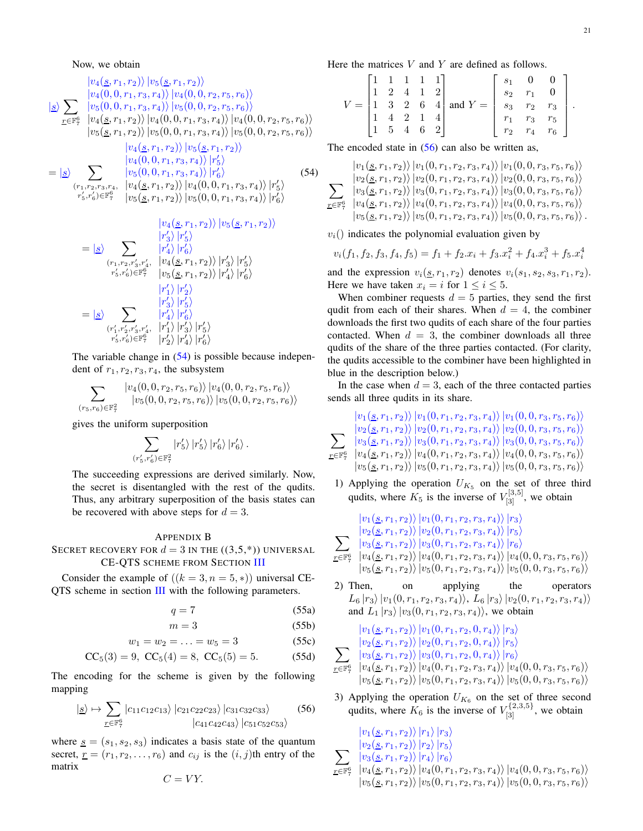Now, we obtain

<span id="page-20-1"></span>
$$
\frac{|v_4(\underline{s}, r_1, r_2)| |v_5(\underline{s}, r_1, r_2)\rangle}{|v_4(0, 0, r_1, r_3, r_4)| |v_4(0, 0, r_2, r_5, r_6)\rangle}
$$
\n
$$
\frac{|g_2|}{\underline{r} \in \mathbb{F}_7^6} \frac{|v_5(0, 0, r_1, r_3, r_4)| |v_5(0, 0, r_2, r_5, r_6)\rangle}{|v_4(\underline{s}, r_1, r_2)| |v_4(0, 0, r_1, r_3, r_4)\rangle |v_4(0, 0, r_2, r_5, r_6)\rangle}
$$
\n
$$
|v_5(\underline{s}, r_1, r_2)\rangle |v_5(0, 0, r_1, r_3, r_4)\rangle |v_5(0, 0, r_2, r_5, r_6)\rangle
$$
\n
$$
|v_4(\underline{s}, r_1, r_2)\rangle |v_5(\underline{s}, r_1, r_2)\rangle
$$
\n
$$
|v_4(0, 0, r_1, r_3, r_4)\rangle |r_5'\rangle
$$
\n
$$
= |\underline{s}\rangle \sum_{(r_1, r_2, r_3, r_4, \quad |v_4(\underline{s}, r_1, r_2)\rangle |v_4(0, 0, r_1, r_3, r_4)\rangle |r_5'\rangle}
$$
\n
$$
r_5' \cdot r_6' \in \mathbb{F}_7^6 \quad |v_5(\underline{s}, r_1, r_2)\rangle |v_5(0, 0, r_1, r_3, r_4)\rangle |r_6'\rangle
$$
\n(54)

$$
= |\underline{s}\rangle \sum_{\substack{(r_1, r_2, r'_3, r'_4, \ r'_4) \mid r'_5}} \frac{|r'_4\rangle |r'_5\rangle}{|r'_4\rangle |r'_6\rangle}
$$
  
\n
$$
= |\underline{s}\rangle \sum_{\substack{(r_1, r_2, r'_3, r'_4, \ r'_5, r'_6) \in \mathbb{F}_7^6}} \frac{|r'_4\rangle |r'_6\rangle}{|v_4(\underline{s}, r_1, r_2)\rangle |r'_4\rangle |r'_5\rangle}
$$
  
\n
$$
= |\underline{s}\rangle \sum_{\substack{(r'_1, r'_2, r'_3, r'_4, \ r'_1) \mid r'_5\rangle}{|r'_4\rangle |r'_6\rangle}}
$$
  
\n
$$
= |\underline{s}\rangle \sum_{\substack{(r'_1, r'_2, r'_3, r'_4, \ r'_1) \mid r'_3\rangle |r'_5\rangle}{|r'_4\rangle |r'_6\rangle}
$$

The variable change in [\(54\)](#page-20-2) is possible because independent of  $r_1, r_2, r_3, r_4$ , the subsystem

$$
\sum_{(r_5,r_6)\in\mathbb{F}_7^2} \frac{|v_4(0,0,r_2,r_5,r_6)\rangle |v_4(0,0,r_2,r_5,r_6)\rangle}{|v_5(0,0,r_2,r_5,r_6)\rangle |v_5(0,0,r_2,r_5,r_6)\rangle}
$$

gives the uniform superposition

<span id="page-20-2"></span>
$$
\sum_{(r'_5,r'_6)\in\mathbb{F}_7^2} \left|r'_5\right\rangle\left|r'_5\right\rangle\left|r'_6\right\rangle\left|r'_6\right\rangle.
$$

The succeeding expressions are derived similarly. Now, the secret is disentangled with the rest of the qudits. Thus, any arbitrary superposition of the basis states can be recovered with above steps for  $d = 3$ .

# <span id="page-20-0"></span>APPENDIX B

# SECRET RECOVERY FOR  $d = 3$  IN THE  $((3,5,*)$ ) UNIVERSAL CE-QTS SCHEME FROM SECTION [III](#page-5-0)

Consider the example of  $((k = 3, n = 5, *)$  universal CE-QTS scheme in section [III](#page-5-0) with the following parameters.

$$
q = 7 \tag{55a}
$$

$$
m = 3 \tag{55b}
$$

$$
w_1 = w_2 = \ldots = w_5 = 3 \tag{55c}
$$

$$
CC_5(3) = 9, CC_5(4) = 8, CC_5(5) = 5.
$$
 (55d)

The encoding for the scheme is given by the following mapping

$$
|g \rightarrow \sum_{\underline{r} \in \mathbb{F}_7^6} |c_{11}c_{12}c_{13}\rangle |c_{21}c_{22}c_{23}\rangle |c_{31}c_{32}c_{33}\rangle
$$
 (56)

where  $s = (s_1, s_2, s_3)$  indicates a basis state of the quantum secret,  $r = (r_1, r_2, \dots, r_6)$  and  $c_{ij}$  is the  $(i, j)$ th entry of the matrix

$$
C=VY.
$$

Here the matrices  $V$  and  $Y$  are defined as follows.

|          | $1 \; 1 \; 1 \; 1$ |     |                     |                                                                                                             |                |       | $s_1$ 0 0   |  |
|----------|--------------------|-----|---------------------|-------------------------------------------------------------------------------------------------------------|----------------|-------|-------------|--|
|          | $\Omega$           |     | $4 \quad 1 \quad 2$ |                                                                                                             | S <sub>2</sub> | $r_1$ |             |  |
| $\equiv$ |                    |     |                     | $\begin{vmatrix} 1 & 3 & 2 & 6 & 4 \end{vmatrix}$ and $Y = \begin{vmatrix} s_3 & r_2 & r_3 \end{vmatrix}$ . |                |       |             |  |
|          |                    | 2 1 |                     |                                                                                                             |                |       | $r_3$ $r_5$ |  |
|          | 5                  |     |                     |                                                                                                             | $r_{\Omega}$   | $r_4$ | $r_6$       |  |

The encoded state in  $(56)$  can also be written as,

$$
\sum_{r \in \mathbb{F}_7^6} \frac{|v_1(s, r_1, r_2)\rangle |v_1(0, r_1, r_2, r_3, r_4)\rangle |v_1(0, 0, r_3, r_5, r_6)\rangle}{|v_2(s, r_1, r_2)\rangle |v_2(0, r_1, r_2, r_3, r_4)\rangle |v_2(0, 0, r_3, r_5, r_6)\rangle}
$$
  

$$
\sum_{r \in \mathbb{F}_7^6} \frac{|v_3(s, r_1, r_2)\rangle |v_3(0, r_1, r_2, r_3, r_4)\rangle |v_3(0, 0, r_3, r_5, r_6)\rangle}{|v_4(s, r_1, r_2)\rangle |v_4(0, r_1, r_2, r_3, r_4)\rangle |v_4(0, 0, r_3, r_5, r_6)\rangle}
$$
  

$$
|v_5(s, r_1, r_2)\rangle |v_5(0, r_1, r_2, r_3, r_4)\rangle |v_5(0, 0, r_3, r_5, r_6)\rangle.
$$

 $v_i$ () indicates the polynomial evaluation given by

$$
v_i(f_1, f_2, f_3, f_4, f_5) = f_1 + f_2 \cdot x_i + f_3 \cdot x_i^2 + f_4 \cdot x_i^3 + f_5 \cdot x_i^4
$$

and the expression  $v_i(s, r_1, r_2)$  denotes  $v_i(s_1, s_2, s_3, r_1, r_2)$ . Here we have taken  $x_i = i$  for  $1 \le i \le 5$ .

When combiner requests  $d = 5$  parties, they send the first qudit from each of their shares. When  $d = 4$ , the combiner downloads the first two qudits of each share of the four parties contacted. When  $d = 3$ , the combiner downloads all three qudits of the share of the three parties contacted. (For clarity, the qudits accessible to the combiner have been highlighted in blue in the description below.)

In the case when  $d = 3$ , each of the three contacted parties sends all three qudits in its share.

$$
\sum_{r \in \mathbb{F}_7^6} \frac{|v_1(\mathcal{S}, r_1, r_2)\rangle |v_1(0, r_1, r_2, r_3, r_4)\rangle |v_1(0, 0, r_3, r_5, r_6)\rangle}{|v_2(\mathcal{S}, r_1, r_2)\rangle |v_2(0, r_1, r_2, r_3, r_4)\rangle |v_2(0, 0, r_3, r_5, r_6)\rangle}
$$
  

$$
\sum_{r \in \mathbb{F}_7^6} \frac{|v_3(\mathcal{S}, r_1, r_2)\rangle |v_3(0, r_1, r_2, r_3, r_4)\rangle |v_3(0, 0, r_3, r_5, r_6)\rangle}{|v_4(\mathcal{S}, r_1, r_2)\rangle |v_4(0, r_1, r_2, r_3, r_4)\rangle |v_4(0, 0, r_3, r_5, r_6)\rangle}
$$
  

$$
|v_5(\mathcal{S}, r_1, r_2)\rangle |v_5(0, r_1, r_2, r_3, r_4)\rangle |v_5(0, 0, r_3, r_5, r_6)\rangle
$$

1) Applying the operation  $U_{K_5}$  on the set of three third qudits, where  $K_5$  is the inverse of  $V_{[3]}^{[3,5]}$ , we obtain

$$
\sum_{r \in \mathbb{F}_7^6} \frac{|v_1(\underline{s}, r_1, r_2)\rangle |v_1(0, r_1, r_2, r_3, r_4)\rangle |r_3\rangle}{|v_2(\underline{s}, r_1, r_2)\rangle |v_2(0, r_1, r_2, r_3, r_4)\rangle |r_5\rangle}
$$
  

$$
\sum_{r \in \mathbb{F}_7^6} \frac{|v_3(\underline{s}, r_1, r_2)\rangle |v_3(0, r_1, r_2, r_3, r_4)\rangle |r_6\rangle}{|v_4(\underline{s}, r_1, r_2)\rangle |v_4(0, r_1, r_2, r_3, r_4)\rangle |v_4(0, 0, r_3, r_5, r_6)\rangle}
$$
  

$$
|v_5(\underline{s}, r_1, r_2)\rangle |v_5(0, r_1, r_2, r_3, r_4)\rangle |v_5(0, 0, r_3, r_5, r_6)\rangle
$$

2) Then, on applying the operators  $L_6 |r_3\rangle |v_1(0, r_1, r_2, r_3, r_4)\rangle$ ,  $L_6 |r_3\rangle |v_2(0, r_1, r_2, r_3, r_4)\rangle$ and  $L_1 |r_3\rangle |v_3(0, r_1, r_2, r_3, r_4)\rangle$ , we obtain

$$
\begin{array}{c} |v_1(\underline{s},r_1,r_2)\rangle \, |v_1(0,r_1,r_2,0,r_4)\rangle \, |r_3\rangle \\ \sum_{v_2(\underline{s},r_1,r_2)\rangle} \, |v_2(0,r_1,r_2,0,r_4)\rangle \, |r_5\rangle \\ \sum_{r\in \mathbb{F}_7^6} \, |v_3(\underline{s},r_1,r_2)\rangle \, |v_3(0,r_1,r_2,0,r_4)\rangle \, |r_6\rangle \\ |v_4(\underline{s},r_1,r_2)\rangle \, |v_4(0,r_1,r_2,r_3,r_4)\rangle \, |v_4(0,0,r_3,r_5,r_6)\rangle \\ |v_5(\underline{s},r_1,r_2)\rangle \, |v_5(0,r_1,r_2,r_3,r_4)\rangle \, |v_5(0,0,r_3,r_5,r_6)\rangle \end{array}
$$

<span id="page-20-3"></span>3) Applying the operation  $U_{K_6}$  on the set of three second qudits, where  $K_6$  is the inverse of  $V_{[3]}^{\{2,3,5\}}$ , we obtain

$$
\sum_{r \in \mathbb{F}_7^6} \frac{|v_1(\underline{s}, r_1, r_2)\rangle |r_1\rangle |r_3\rangle}{|v_2(\underline{s}, r_1, r_2)\rangle |r_2\rangle |r_5\rangle}
$$
\n
$$
\sum_{r \in \mathbb{F}_7^6} \frac{|v_3(\underline{s}, r_1, r_2)\rangle |r_4\rangle |r_6\rangle}{|v_4(\underline{s}, r_1, r_2)\rangle |v_4(0, r_1, r_2, r_3, r_4)\rangle |v_4(0, 0, r_3, r_5, r_6)\rangle}
$$
\n
$$
|v_5(\underline{s}, r_1, r_2)\rangle |v_5(0, r_1, r_2, r_3, r_4)\rangle |v_5(0, 0, r_3, r_5, r_6)\rangle
$$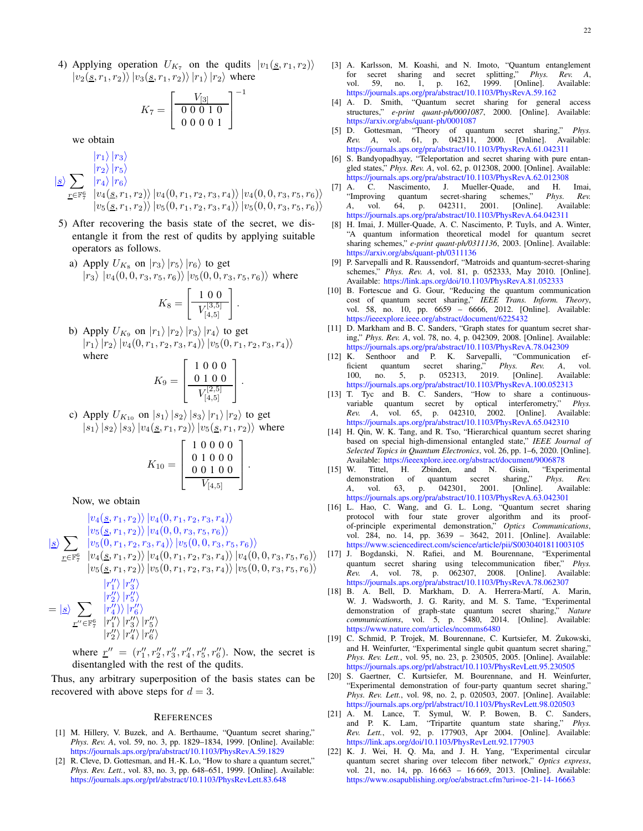$$
K_7 = \left[\begin{array}{c} V_{[3]} \\ 0 \ 0 \ 0 \ 1 \ 0 \\ 0 \ 0 \ 0 \ 0 \ 1 \end{array}\right]
$$

−1

we obtain

- $|s\rangle \sum |r_4\rangle |r_6\rangle$  $\sqrt{r\in\mathbb{F}_7^6}\;\;\left| v_4(\underline{s},r_1,r_2)\right\rangle\left| v_4(0,r_1,r_2,r_3,r_4)\right\rangle\left| v_4(0,0,r_3,r_5,r_6)\right\rangle$  $|r_1\rangle |r_3\rangle$  $|r_2\rangle |r_5\rangle$  $|v_5(\underline{s}, r_1, r_2)\rangle |v_5(0, r_1, r_2, r_3, r_4)\rangle |v_5(0, 0, r_3, r_5, r_6)\rangle$
- 5) After recovering the basis state of the secret, we disentangle it from the rest of qudits by applying suitable operators as follows.
	- a) Apply  $U_{K_8}$  on  $|r_3\rangle |r_5\rangle |r_6\rangle$  to get  $|r_3\rangle |v_4(0, 0, r_3, r_5, r_6)\rangle |v_5(0, 0, r_3, r_5, r_6)\rangle$  where

$$
K_8 = \left[\begin{array}{c} 1 \ 0 \ 0 \\ \hline V_{[4,5]}^{[3,5]} \end{array}\right]
$$

.

b) Apply  $U_{K_9}$  on  $|r_1\rangle |r_2\rangle |r_3\rangle |r_4\rangle$  to get  $|r_1\rangle |r_2\rangle |v_4(0, r_1, r_2, r_3, r_4)\rangle |v_5(0, r_1, r_2, r_3, r_4)\rangle$ where

$$
K_9 = \left[\begin{array}{rrr} 1 & 0 & 0 & 0 \\ 0 & 1 & 0 & 0 \\ \hline V^{[2,5]}_{[4,5]} & \end{array}\right].
$$

c) Apply  $U_{K_{10}}$  on  $|s_1\rangle |s_2\rangle |s_3\rangle |r_1\rangle |r_2\rangle$  to get  $|s_1\rangle |s_2\rangle |s_3\rangle |v_4(\underline{s}, r_1, r_2)\rangle |v_5(\underline{s}, r_1, r_2)\rangle$  where

$$
K_{10} = \left[ \begin{array}{rrr} 1 & 0 & 0 & 0 & 0 \\ 0 & 1 & 0 & 0 & 0 \\ 0 & 0 & 1 & 0 & 0 \\ \hline V_{[4,5]} & & & \end{array} \right].
$$

Now, we obtain

$$
\frac{|v_4(s, r_1, r_2)| |v_4(0, r_1, r_2, r_3, r_4)\rangle}{|v_5(s, r_1, r_2)| |v_4(0, 0, r_3, r_5, r_6)\rangle}
$$
\n
$$
\frac{|g\rangle}{\sum_{r \in \mathbb{F}_7^6} \frac{|v_5(0, r_1, r_2, r_3, r_4)| |v_5(0, 0, r_3, r_5, r_6)\rangle}{|v_4(s, r_1, r_2)| |v_4(0, r_1, r_2, r_3, r_4)\rangle |v_4(0, 0, r_3, r_5, r_6)\rangle}
$$
\n
$$
|v_5(s, r_1, r_2)| |v_5(0, r_1, r_2, r_3, r_4)\rangle |v_5(0, 0, r_3, r_5, r_6)\rangle
$$
\n
$$
|r_1''\rangle |r_3''\rangle
$$
\n
$$
= |s\rangle \sum_{r_1''\rangle} \frac{|r_2''\rangle |r_3''\rangle}{|r_2''\rangle |v_3''\rangle}
$$

$$
= \ket{\underline{s}} \sum_{\underline{r}'' \in \mathbb{F}_7^6} \frac{\ket{r_4''}}{\ket{r_1''}} \ket{r_3''} \ket{r_5''} \newline \ket{r_2''}\ket{r_4''}\ket{r_6''}
$$

where  $\underline{r}'' = (r''_1, r''_2, r''_3, r''_4, r''_5, r''_6)$ . Now, the secret is disentangled with the rest of the qudits.

Thus, any arbitrary superposition of the basis states can be recovered with above steps for  $d = 3$ .

#### **REFERENCES**

- <span id="page-21-0"></span>[1] M. Hillery, V. Buzek, and A. Berthaume, "Quantum secret sharing," *Phys. Rev. A*, vol. 59, no. 3, pp. 1829–1834, 1999. [Online]. Available: <https://journals.aps.org/pra/abstract/10.1103/PhysRevA.59.1829>
- <span id="page-21-1"></span>[2] R. Cleve, D. Gottesman, and H.-K. Lo, "How to share a quantum secret," *Phys. Rev. Lett.*, vol. 83, no. 3, pp. 648–651, 1999. [Online]. Available: <https://journals.aps.org/prl/abstract/10.1103/PhysRevLett.83.648>
- <span id="page-21-2"></span>[3] A. Karlsson, M. Koashi, and N. Imoto, "Quantum entanglement for secret sharing and secret splitting," *Phys. Rev. A*, vol. 59, no. 1, p. 162, 1999. [Online]. Available: <https://journals.aps.org/pra/abstract/10.1103/PhysRevA.59.162>
- [4] A. D. Smith, "Quantum secret sharing for general access structures," *e-print quant-ph/0001087*, 2000. [Online]. Available: <https://arxiv.org/abs/quant-ph/0001087>
- <span id="page-21-9"></span>[5] D. Gottesman, "Theory of quantum secret sharing," *Phys. Rev. A*, vol. 61, p. 042311, 2000. [Online]. Available: <https://journals.aps.org/pra/abstract/10.1103/PhysRevA.61.042311>
- [6] S. Bandyopadhyay, "Teleportation and secret sharing with pure entangled states," *Phys. Rev. A*, vol. 62, p. 012308, 2000. [Online]. Available: <https://journals.aps.org/pra/abstract/10.1103/PhysRevA.62.012308><br>A. C. Nascimento, J. Mueller-Quade, and H.
- <span id="page-21-6"></span>A. C. Nascimento, J. Mueller-Quade, and H. Imai, "Improving quantum secret-sharing schemes," *Phys. Rev. A*, vol. 64, p. 042311, 2001. [Online]. <https://journals.aps.org/pra/abstract/10.1103/PhysRevA.64.042311>
- <span id="page-21-10"></span>[8] H. Imai, J. Müller-Quade, A. C. Nascimento, P. Tuyls, and A. Winter, "A quantum information theoretical model for quantum secret sharing schemes," *e-print quant-ph/0311136*, 2003. [Online]. Available: <https://arxiv.org/abs/quant-ph/0311136>
- [9] P. Sarvepalli and R. Raussendorf, "Matroids and quantum-secret-sharing schemes," *Phys. Rev. A*, vol. 81, p. 052333, May 2010. [Online]. Available: <https://link.aps.org/doi/10.1103/PhysRevA.81.052333>
- <span id="page-21-7"></span>[10] B. Fortescue and G. Gour, "Reducing the quantum communication cost of quantum secret sharing," *IEEE Trans. Inform. Theory*, vol. 58, no. 10, pp. 6659 – 6666, 2012. [Online]. Available: <https://ieeexplore.ieee.org/abstract/document/6225432>
- [11] D. Markham and B. C. Sanders, "Graph states for quantum secret sharing," *Phys. Rev. A*, vol. 78, no. 4, p. 042309, 2008. [Online]. Available: <https://journals.aps.org/pra/abstract/10.1103/PhysRevA.78.042309>
- <span id="page-21-8"></span>[12] K. Senthoor and P. K. Sarvepalli, "Communication ef-<br>ficient quantum secret sharing," Phys. Rev. A, vol. ficient quantum secret sharing," *Phys. Rev. A*, vol.<br>100. no. 5, p. 052313, 2019. [Online]. Available: 100, no. 5, p.  $052313$ , <https://journals.aps.org/pra/abstract/10.1103/PhysRevA.100.052313>
- [13] T. Tyc and B. C. Sanders, "How to share a continuousvariable quantum secret by optical interferometry," *Phys. Rev. A*, vol. 65, p. 042310, 2002. [Online]. Available: <https://journals.aps.org/pra/abstract/10.1103/PhysRevA.65.042310>
- <span id="page-21-3"></span>[14] H. Qin, W. K. Tang, and R. Tso, "Hierarchical quantum secret sharing based on special high-dimensional entangled state," *IEEE Journal of Selected Topics in Quantum Electronics*, vol. 26, pp. 1–6, 2020. [Online]. Available: <https://ieeexplore.ieee.org/abstract/document/9006878>
- <span id="page-21-4"></span>[15] W. Tittel, H. Zbinden, and N. Gisin, "Experimental demonstration of quantum secret sharing," *Phys. Rev. A*, vol. 63, p. 042301, 2001. [Online]. Available: <https://journals.aps.org/pra/abstract/10.1103/PhysRevA.63.042301>
- [16] L. Hao, C. Wang, and G. L. Long, "Quantum secret sharing protocol with four state grover algorithm and its proofof-principle experimental demonstration," *Optics Communications*, vol. 284, no. 14, pp. 3639 – 3642, 2011. [Online]. Available: <https://www.sciencedirect.com/science/article/pii/S0030401811003105>
- [17] J. Bogdanski, N. Rafiei, and M. Bourennane, "Experimental quantum secret sharing using telecommunication fiber," *Phys. Rev. A*, vol. 78, p. 062307, 2008. [Online]. Available: <https://journals.aps.org/pra/abstract/10.1103/PhysRevA.78.062307>
- [18] B. A. Bell, D. Markham, D. A. Herrera-Martí, A. Marin, W. J. Wadsworth, J. G. Rarity, and M. S. Tame, "Experimental demonstration of graph-state quantum secret sharing," *Nature communications*, vol. 5, p. 5480, 2014. [Online]. Available: <https://www.nature.com/articles/ncomms6480>
- [19] C. Schmid, P. Trojek, M. Bourennane, C. Kurtsiefer, M. Żukowski, and H. Weinfurter, "Experimental single qubit quantum secret sharing," *Phys. Rev. Lett.*, vol. 95, no. 23, p. 230505, 2005. [Online]. Available: <https://journals.aps.org/prl/abstract/10.1103/PhysRevLett.95.230505>
- [20] S. Gaertner, C. Kurtsiefer, M. Bourennane, and H. Weinfurter, "Experimental demonstration of four-party quantum secret sharing," *Phys. Rev. Lett.*, vol. 98, no. 2, p. 020503, 2007. [Online]. Available: <https://journals.aps.org/prl/abstract/10.1103/PhysRevLett.98.020503>
- [21] A. M. Lance, T. Symul, W. P. Bowen, B. C. Sanders, and P. K. Lam, "Tripartite quantum state sharing," *Phys. Rev. Lett.*, vol. 92, p. 177903, Apr 2004. [Online]. Available: <https://link.aps.org/doi/10.1103/PhysRevLett.92.177903>
- <span id="page-21-5"></span>[22] K. J. Wei, H. Q. Ma, and J. H. Yang, "Experimental circular quantum secret sharing over telecom fiber network," *Optics express*, vol. 21, no. 14, pp. 16 663 – 16 669, 2013. [Online]. Available: <https://www.osapublishing.org/oe/abstract.cfm?uri=oe-21-14-16663>